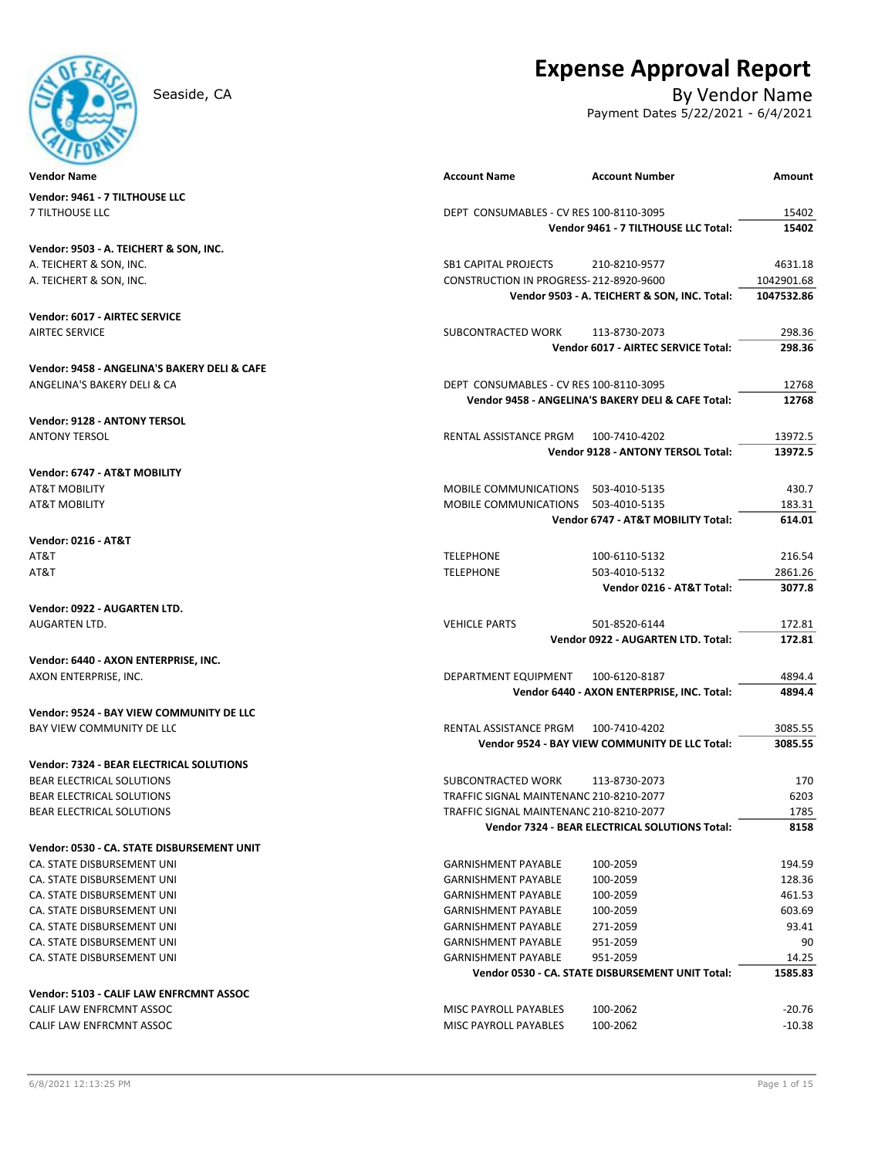# **Amount** CALIF LAW ENFRCMNT ASSOC MISC PAYROLL PAYABLES 100‐2062 ‐10.38 CA. STATE DISBURSEMENT UNI GARNISHMENT PAYABLE 951‐2059 90 CA. STATE DISBURSEMENT UNI GARNISHMENT PAYABLE 951‐2059 14.25 **Vendor 0530 ‐ CA. STATE DISBURSEMENT UNIT Total: 1585.83 Vendor: 5103 ‐ CALIF LAW ENFRCMNT ASSOC** CALIF LAW ENFRCMNT ASSOC MISC PAYROLL PAYABLES 100‐2062 ‐20.76 CA. STATE DISBURSEMENT UNI GARNISHMENT PAYABLE 100‐2059 461.53 CA. STATE DISBURSEMENT UNI GARNISHMENT PAYABLE 100‐2059 603.69 CA. STATE DISBURSEMENT UNI GARNISHMENT PAYABLE 271‐2059 93.41 BEAR ELECTRICAL SOLUTIONS TRAFFIC SIGNAL MAINTENANC 210‐8210‐2077 1785 **Vendor 7324 ‐ BEAR ELECTRICAL SOLUTIONS Total: 8158 Vendor: 0530 ‐ CA. STATE DISBURSEMENT UNIT** CA. STATE DISBURSEMENT UNI GARNISHMENT PAYABLE 100‐2059 194.59 CA. STATE DISBURSEMENT UNI GARNISHMENT PAYABLE 100‐2059 128.36 **Vendor: 9524 ‐ BAY VIEW COMMUNITY DE LLC** BAY VIEW COMMUNITY DE LLC GENERAL RENTAL ASSISTANCE PRGM 100-7410-4202 3085.55 **Vendor 9524 ‐ BAY VIEW COMMUNITY DE LLC Total: 3085.55 Vendor: 7324 ‐ BEAR ELECTRICAL SOLUTIONS** BEAR ELECTRICAL SOLUTIONS SUBCONTRACTED WORK 113‐8730‐2073 170 BEAR ELECTRICAL SOLUTIONS TRAFFIC SIGNAL MAINTENANC 210‐8210‐2077 6203 **Vendor: 0922 ‐ AUGARTEN LTD.** AUGARTEN LTD. NEWSLEY AND THE SERVICE OF STREET ASSESSED. THE SERVICE PARTS AND STREET AND THE SERVICE PARTS AND THE SERVICE PARTS AND THE SERVICE PARTS AND THE SERVICE PARTS AND THE SERVICE OF SERVICE PARTS AND THE SERVIC **Vendor 0922 ‐ AUGARTEN LTD. Total: 172.81 Vendor: 6440 ‐ AXON ENTERPRISE, INC.** AXON ENTERPRISE, INC. DEPARTMENT EQUIPMENT 100‐6120‐8187 4894.4 **Vendor 6440 ‐ AXON ENTERPRISE, INC. Total: 4894.4 Vendor 6747 ‐ AT&T MOBILITY Total: 614.01 Vendor: 0216 ‐ AT&T** AT&T TELEPHONE 100‐6110‐5132 216.54 AT&T TELEPHONE 503‐4010‐5132 2861.26 **Vendor 0216 ‐ AT&T Total: 3077.8 Vendor: 9128 ‐ ANTONY TERSOL** ANTONY TERSOL RENTAL ASSISTANCE PRGM 100‐7410‐4202 13972.5 **Vendor 9128 ‐ ANTONY TERSOL Total: 13972.5 Vendor: 6747 ‐ AT&T MOBILITY** AT&T MOBILITY AND ALLOWING MOBILE COMMUNICATIONS 503-4010-5135 430.7 AT&T MOBILITY THE STREET MOBILE COMMUNICATIONS 503-4010-5135 183.31 183.31 **Vendor: 6017 ‐ AIRTEC SERVICE** AIRTEC SERVICE SUBCONTRACTED WORK 113‐8730‐2073 298.36 **Vendor 6017 ‐ AIRTEC SERVICE Total: 298.36 Vendor: 9458 ‐ ANGELINA'S BAKERY DELI & CAFE** ANGELINA'S BAKERY DELI & CA DEPT CONSUMABLES – CV RES 100-8110-3095 12768 **Vendor 9458 ‐ ANGELINA'S BAKERY DELI & CAFE Total: 12768 Vendor 9461 ‐ 7 TILTHOUSE LLC Total: 15402 Vendor: 9503 ‐ A. TEICHERT & SON, INC.** A. TEICHERT & SON, INC. SB1 CAPITAL PROJECTS 210‐8210‐9577 4631.18 A. TEICHERT & SON, INC. CONSTRUCTION IN PROGRESS-212-8920-9600 102901.68 **Vendor 9503 ‐ A. TEICHERT & SON, INC. Total: 1047532.86 Vendor** Name **Account Number** Account Name **Account** Number Account Number Account Number **Vendor: 9461 ‐ 7 TILTHOUSE LLC** 7 TILTHOUSE LLC DEPT CONSUMABLES - CV RES 100-8110-3095 15402

# **Expense Approval Report**

Seaside, CA By Vendor Name

Payment Dates 5/22/2021 - 6/4/2021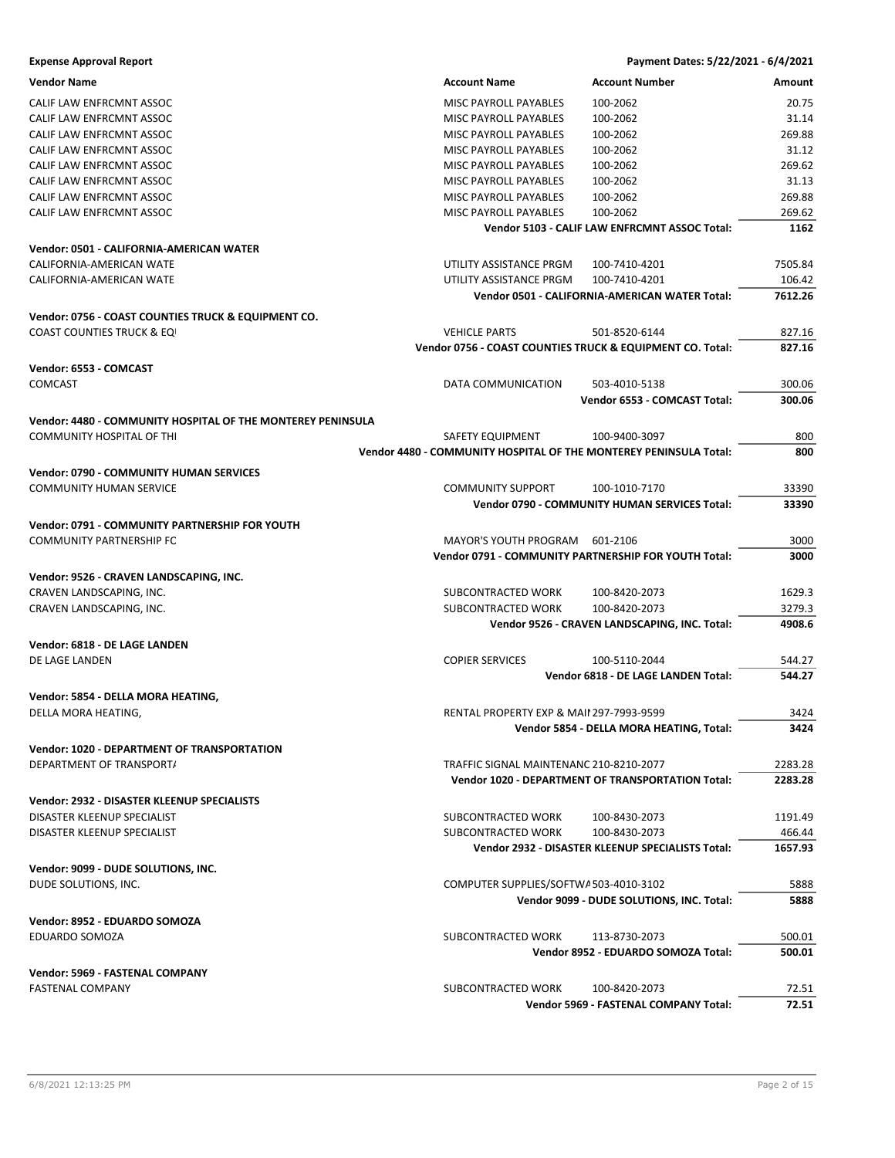| <b>Expense Approval Report</b>                              |                                                                   | Payment Dates: 5/22/2021 - 6/4/2021                      |         |
|-------------------------------------------------------------|-------------------------------------------------------------------|----------------------------------------------------------|---------|
| <b>Vendor Name</b>                                          | <b>Account Name</b>                                               | <b>Account Number</b>                                    | Amount  |
| CALIF LAW ENFRCMNT ASSOC                                    | <b>MISC PAYROLL PAYABLES</b>                                      | 100-2062                                                 | 20.75   |
| CALIF LAW ENFRCMNT ASSOC                                    | MISC PAYROLL PAYABLES                                             | 100-2062                                                 | 31.14   |
| CALIF LAW ENFRCMNT ASSOC                                    | MISC PAYROLL PAYABLES                                             | 100-2062                                                 | 269.88  |
| CALIF LAW ENFRCMNT ASSOC                                    | MISC PAYROLL PAYABLES                                             | 100-2062                                                 | 31.12   |
| CALIF LAW ENFRCMNT ASSOC                                    | MISC PAYROLL PAYABLES                                             | 100-2062                                                 | 269.62  |
| CALIF LAW ENFRCMNT ASSOC                                    | MISC PAYROLL PAYABLES                                             | 100-2062                                                 | 31.13   |
| CALIF LAW ENFRCMNT ASSOC                                    | MISC PAYROLL PAYABLES                                             | 100-2062                                                 | 269.88  |
| CALIF LAW ENFRCMNT ASSOC                                    | MISC PAYROLL PAYABLES                                             | 100-2062                                                 | 269.62  |
|                                                             |                                                                   | Vendor 5103 - CALIF LAW ENFRCMNT ASSOC Total:            | 1162    |
|                                                             |                                                                   |                                                          |         |
| Vendor: 0501 - CALIFORNIA-AMERICAN WATER                    |                                                                   |                                                          |         |
| CALIFORNIA-AMERICAN WATE                                    | UTILITY ASSISTANCE PRGM                                           | 100-7410-4201                                            | 7505.84 |
| CALIFORNIA-AMERICAN WATE                                    | UTILITY ASSISTANCE PRGM                                           | 100-7410-4201                                            | 106.42  |
|                                                             |                                                                   | Vendor 0501 - CALIFORNIA-AMERICAN WATER Total:           | 7612.26 |
| Vendor: 0756 - COAST COUNTIES TRUCK & EQUIPMENT CO.         |                                                                   |                                                          |         |
| <b>COAST COUNTIES TRUCK &amp; EQI</b>                       | <b>VEHICLE PARTS</b>                                              | 501-8520-6144                                            | 827.16  |
|                                                             | Vendor 0756 - COAST COUNTIES TRUCK & EQUIPMENT CO. Total:         |                                                          | 827.16  |
| Vendor: 6553 - COMCAST                                      |                                                                   |                                                          |         |
| <b>COMCAST</b>                                              | DATA COMMUNICATION                                                | 503-4010-5138                                            | 300.06  |
|                                                             |                                                                   | Vendor 6553 - COMCAST Total:                             | 300.06  |
|                                                             |                                                                   |                                                          |         |
| Vendor: 4480 - COMMUNITY HOSPITAL OF THE MONTEREY PENINSULA |                                                                   |                                                          |         |
| COMMUNITY HOSPITAL OF THI                                   | SAFETY EQUIPMENT                                                  | 100-9400-3097                                            | 800     |
|                                                             | Vendor 4480 - COMMUNITY HOSPITAL OF THE MONTEREY PENINSULA Total: |                                                          | 800     |
| <b>Vendor: 0790 - COMMUNITY HUMAN SERVICES</b>              |                                                                   |                                                          |         |
| <b>COMMUNITY HUMAN SERVICE</b>                              | <b>COMMUNITY SUPPORT</b>                                          | 100-1010-7170                                            | 33390   |
|                                                             |                                                                   | Vendor 0790 - COMMUNITY HUMAN SERVICES Total:            | 33390   |
| Vendor: 0791 - COMMUNITY PARTNERSHIP FOR YOUTH              |                                                                   |                                                          |         |
| <b>COMMUNITY PARTNERSHIP FC</b>                             | MAYOR'S YOUTH PROGRAM                                             | 601-2106                                                 | 3000    |
|                                                             |                                                                   | Vendor 0791 - COMMUNITY PARTNERSHIP FOR YOUTH Total:     | 3000    |
|                                                             |                                                                   |                                                          |         |
| Vendor: 9526 - CRAVEN LANDSCAPING, INC.                     |                                                                   |                                                          |         |
| CRAVEN LANDSCAPING, INC.                                    | SUBCONTRACTED WORK                                                | 100-8420-2073                                            | 1629.3  |
| CRAVEN LANDSCAPING, INC.                                    | SUBCONTRACTED WORK                                                | 100-8420-2073                                            | 3279.3  |
|                                                             |                                                                   | Vendor 9526 - CRAVEN LANDSCAPING, INC. Total:            | 4908.6  |
| Vendor: 6818 - DE LAGE LANDEN                               |                                                                   |                                                          |         |
| DE LAGE LANDEN                                              | <b>COPIER SERVICES</b>                                            | 100-5110-2044                                            | 544.27  |
|                                                             |                                                                   | Vendor 6818 - DE LAGE LANDEN Total:                      | 544.27  |
| Vendor: 5854 - DELLA MORA HEATING,                          |                                                                   |                                                          |         |
| DELLA MORA HEATING,                                         | RENTAL PROPERTY EXP & MAII 297-7993-9599                          |                                                          | 3424    |
|                                                             |                                                                   | Vendor 5854 - DELLA MORA HEATING, Total:                 | 3424    |
|                                                             |                                                                   |                                                          |         |
| <b>Vendor: 1020 - DEPARTMENT OF TRANSPORTATION</b>          |                                                                   |                                                          |         |
| DEPARTMENT OF TRANSPORT/                                    | TRAFFIC SIGNAL MAINTENANC 210-8210-2077                           |                                                          | 2283.28 |
|                                                             |                                                                   | <b>Vendor 1020 - DEPARTMENT OF TRANSPORTATION Total:</b> | 2283.28 |
| Vendor: 2932 - DISASTER KLEENUP SPECIALISTS                 |                                                                   |                                                          |         |
| DISASTER KLEENUP SPECIALIST                                 | SUBCONTRACTED WORK                                                | 100-8430-2073                                            | 1191.49 |
| DISASTER KLEENUP SPECIALIST                                 | SUBCONTRACTED WORK                                                | 100-8430-2073                                            | 466.44  |
|                                                             |                                                                   | Vendor 2932 - DISASTER KLEENUP SPECIALISTS Total:        | 1657.93 |
| Vendor: 9099 - DUDE SOLUTIONS, INC.                         |                                                                   |                                                          |         |
| DUDE SOLUTIONS, INC.                                        | COMPUTER SUPPLIES/SOFTWA503-4010-3102                             |                                                          | 5888    |
|                                                             |                                                                   | Vendor 9099 - DUDE SOLUTIONS, INC. Total:                | 5888    |
|                                                             |                                                                   |                                                          |         |
| Vendor: 8952 - EDUARDO SOMOZA                               |                                                                   |                                                          |         |
| EDUARDO SOMOZA                                              | SUBCONTRACTED WORK                                                | 113-8730-2073                                            | 500.01  |
|                                                             |                                                                   | Vendor 8952 - EDUARDO SOMOZA Total:                      | 500.01  |
| Vendor: 5969 - FASTENAL COMPANY                             |                                                                   |                                                          |         |
| <b>FASTENAL COMPANY</b>                                     | SUBCONTRACTED WORK                                                | 100-8420-2073                                            | 72.51   |
|                                                             |                                                                   | Vendor 5969 - FASTENAL COMPANY Total:                    | 72.51   |
|                                                             |                                                                   |                                                          |         |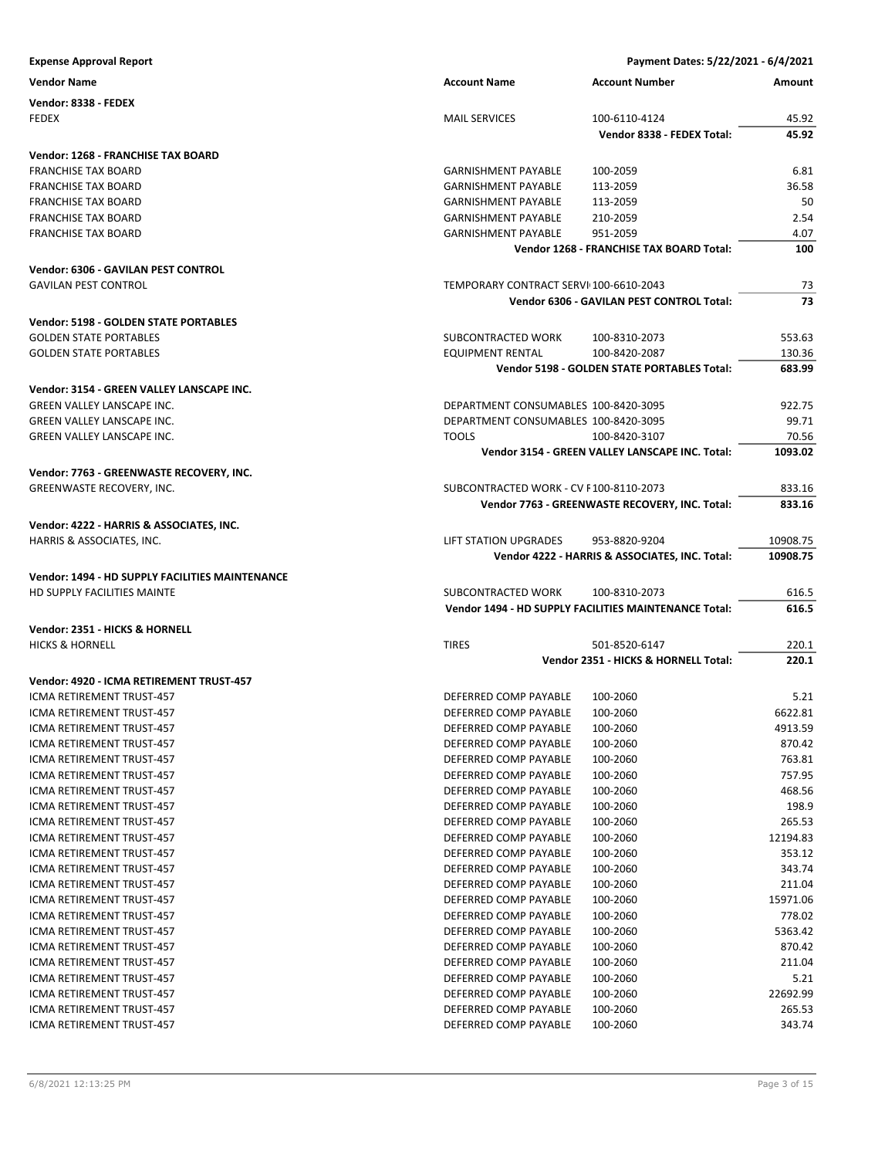| <b>Expense Approval Report</b>                  |                                                      | Payment Dates: 5/22/2021 - 6/4/2021                   |                |
|-------------------------------------------------|------------------------------------------------------|-------------------------------------------------------|----------------|
| <b>Vendor Name</b>                              | <b>Account Name</b>                                  | <b>Account Number</b>                                 | Amount         |
| Vendor: 8338 - FEDEX                            |                                                      |                                                       |                |
| <b>FEDEX</b>                                    | <b>MAIL SERVICES</b>                                 | 100-6110-4124                                         | 45.92          |
|                                                 |                                                      | Vendor 8338 - FEDEX Total:                            | 45.92          |
| Vendor: 1268 - FRANCHISE TAX BOARD              |                                                      |                                                       |                |
| <b>FRANCHISE TAX BOARD</b>                      | <b>GARNISHMENT PAYABLE</b>                           | 100-2059                                              | 6.81           |
| <b>FRANCHISE TAX BOARD</b>                      | <b>GARNISHMENT PAYABLE</b>                           | 113-2059                                              | 36.58          |
| <b>FRANCHISE TAX BOARD</b>                      | <b>GARNISHMENT PAYABLE</b>                           | 113-2059                                              | 50             |
| <b>FRANCHISE TAX BOARD</b>                      | <b>GARNISHMENT PAYABLE</b>                           | 210-2059                                              | 2.54           |
| <b>FRANCHISE TAX BOARD</b>                      | <b>GARNISHMENT PAYABLE</b>                           | 951-2059                                              | 4.07           |
|                                                 |                                                      | Vendor 1268 - FRANCHISE TAX BOARD Total:              | 100            |
| Vendor: 6306 - GAVILAN PEST CONTROL             |                                                      |                                                       |                |
| <b>GAVILAN PEST CONTROL</b>                     | TEMPORARY CONTRACT SERVI 100-6610-2043               |                                                       | 73             |
|                                                 |                                                      | Vendor 6306 - GAVILAN PEST CONTROL Total:             | 73             |
| <b>Vendor: 5198 - GOLDEN STATE PORTABLES</b>    |                                                      |                                                       |                |
| <b>GOLDEN STATE PORTABLES</b>                   | SUBCONTRACTED WORK                                   | 100-8310-2073                                         | 553.63         |
| <b>GOLDEN STATE PORTABLES</b>                   | <b>EQUIPMENT RENTAL</b>                              | 100-8420-2087                                         | 130.36         |
|                                                 |                                                      | Vendor 5198 - GOLDEN STATE PORTABLES Total:           | 683.99         |
|                                                 |                                                      |                                                       |                |
| Vendor: 3154 - GREEN VALLEY LANSCAPE INC.       |                                                      |                                                       |                |
| <b>GREEN VALLEY LANSCAPE INC.</b>               | DEPARTMENT CONSUMABLES 100-8420-3095                 |                                                       | 922.75         |
| GREEN VALLEY LANSCAPE INC.                      | DEPARTMENT CONSUMABLES 100-8420-3095<br><b>TOOLS</b> | 100-8420-3107                                         | 99.71<br>70.56 |
| GREEN VALLEY LANSCAPE INC.                      |                                                      | Vendor 3154 - GREEN VALLEY LANSCAPE INC. Total:       | 1093.02        |
|                                                 |                                                      |                                                       |                |
| Vendor: 7763 - GREENWASTE RECOVERY, INC.        |                                                      |                                                       |                |
| GREENWASTE RECOVERY, INC.                       | SUBCONTRACTED WORK - CV F100-8110-2073               |                                                       | 833.16         |
|                                                 |                                                      | Vendor 7763 - GREENWASTE RECOVERY, INC. Total:        | 833.16         |
| Vendor: 4222 - HARRIS & ASSOCIATES, INC.        |                                                      |                                                       |                |
| HARRIS & ASSOCIATES, INC.                       | LIFT STATION UPGRADES                                | 953-8820-9204                                         | 10908.75       |
|                                                 |                                                      | Vendor 4222 - HARRIS & ASSOCIATES, INC. Total:        | 10908.75       |
| Vendor: 1494 - HD SUPPLY FACILITIES MAINTENANCE |                                                      |                                                       |                |
| HD SUPPLY FACILITIES MAINTE                     | SUBCONTRACTED WORK                                   | 100-8310-2073                                         | 616.5          |
|                                                 |                                                      | Vendor 1494 - HD SUPPLY FACILITIES MAINTENANCE Total: | 616.5          |
| Vendor: 2351 - HICKS & HORNELL                  |                                                      |                                                       |                |
| <b>HICKS &amp; HORNELL</b>                      | <b>TIRES</b>                                         | 501-8520-6147                                         | 220.1          |
|                                                 |                                                      | Vendor 2351 - HICKS & HORNELL Total:                  | 220.1          |
| Vendor: 4920 - ICMA RETIREMENT TRUST-457        |                                                      |                                                       |                |
| ICMA RETIREMENT TRUST-457                       | DEFERRED COMP PAYABLE                                | 100-2060                                              | 5.21           |
| ICMA RETIREMENT TRUST-457                       | DEFERRED COMP PAYABLE                                | 100-2060                                              | 6622.81        |
| ICMA RETIREMENT TRUST-457                       | DEFERRED COMP PAYABLE                                | 100-2060                                              | 4913.59        |
| ICMA RETIREMENT TRUST-457                       | DEFERRED COMP PAYABLE                                | 100-2060                                              | 870.42         |
| ICMA RETIREMENT TRUST-457                       | DEFERRED COMP PAYABLE                                | 100-2060                                              | 763.81         |
| ICMA RETIREMENT TRUST-457                       | DEFERRED COMP PAYABLE                                | 100-2060                                              | 757.95         |
| ICMA RETIREMENT TRUST-457                       | DEFERRED COMP PAYABLE                                | 100-2060                                              | 468.56         |
| ICMA RETIREMENT TRUST-457                       | DEFERRED COMP PAYABLE                                | 100-2060                                              | 198.9          |
| ICMA RETIREMENT TRUST-457                       | DEFERRED COMP PAYABLE                                | 100-2060                                              | 265.53         |
| ICMA RETIREMENT TRUST-457                       | DEFERRED COMP PAYABLE                                | 100-2060                                              | 12194.83       |
| ICMA RETIREMENT TRUST-457                       | DEFERRED COMP PAYABLE                                | 100-2060                                              | 353.12         |
| <b>ICMA RETIREMENT TRUST-457</b>                | DEFERRED COMP PAYABLE                                | 100-2060                                              | 343.74         |
| ICMA RETIREMENT TRUST-457                       | DEFERRED COMP PAYABLE                                | 100-2060                                              | 211.04         |
| ICMA RETIREMENT TRUST-457                       | DEFERRED COMP PAYABLE                                | 100-2060                                              | 15971.06       |
| ICMA RETIREMENT TRUST-457                       | DEFERRED COMP PAYABLE                                | 100-2060                                              | 778.02         |
| ICMA RETIREMENT TRUST-457                       | DEFERRED COMP PAYABLE                                | 100-2060                                              | 5363.42        |
| ICMA RETIREMENT TRUST-457                       | DEFERRED COMP PAYABLE                                | 100-2060                                              | 870.42         |
| ICMA RETIREMENT TRUST-457                       | DEFERRED COMP PAYABLE                                | 100-2060                                              | 211.04         |
| ICMA RETIREMENT TRUST-457                       | DEFERRED COMP PAYABLE                                | 100-2060                                              | 5.21           |
| ICMA RETIREMENT TRUST-457                       | DEFERRED COMP PAYABLE                                | 100-2060                                              | 22692.99       |
| ICMA RETIREMENT TRUST-457                       | DEFERRED COMP PAYABLE                                | 100-2060                                              | 265.53         |
| ICMA RETIREMENT TRUST-457                       | DEFERRED COMP PAYABLE                                | 100-2060                                              | 343.74         |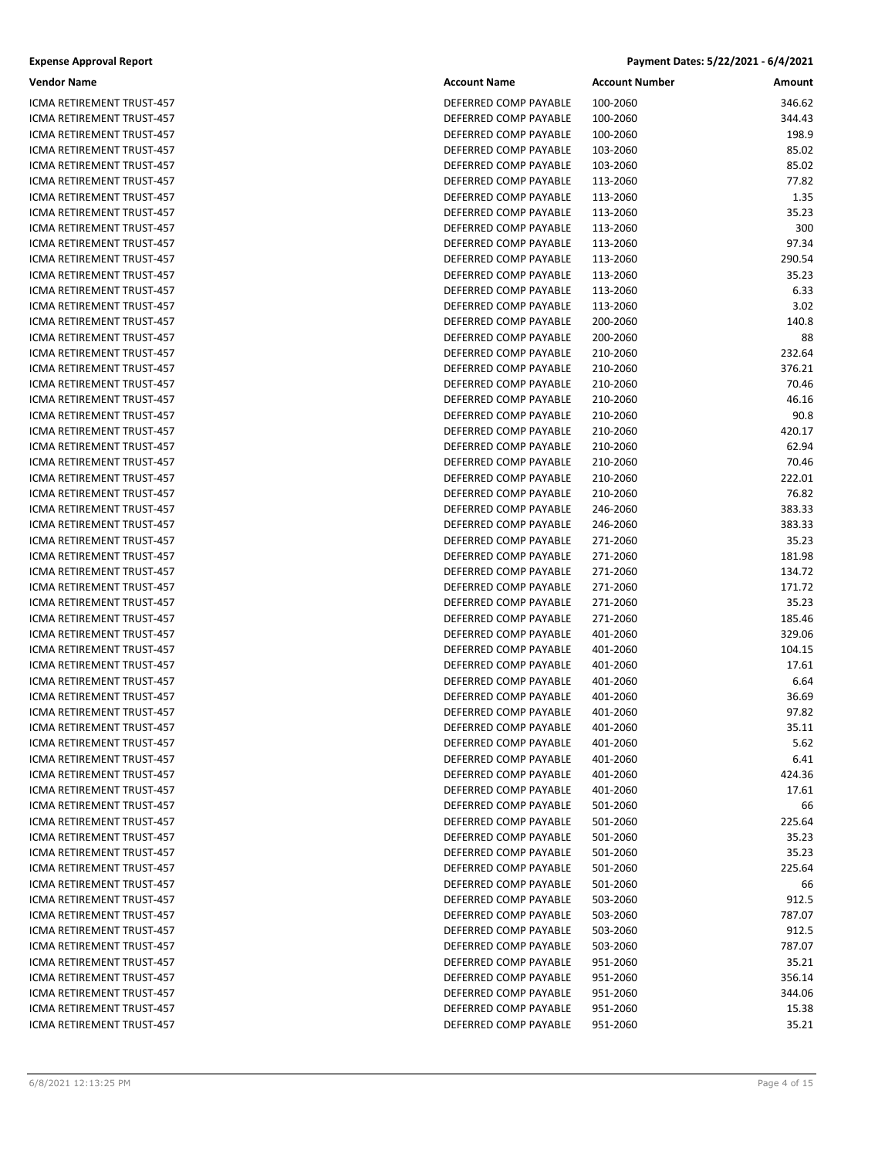#### **Expense Approval Report Payment Dates: 5/22/2021 ‐ 6/4/2021**

| Vendor Name               | <b>Account Name</b>   | <b>Account Number</b> | Amount |
|---------------------------|-----------------------|-----------------------|--------|
| ICMA RETIREMENT TRUST-457 | DEFERRED COMP PAYABLE | 100-2060              | 346.62 |
| ICMA RETIREMENT TRUST-457 | DEFERRED COMP PAYABLE | 100-2060              | 344.43 |
| ICMA RETIREMENT TRUST-457 | DEFERRED COMP PAYABLE | 100-2060              | 198.9  |
| ICMA RETIREMENT TRUST-457 | DEFERRED COMP PAYABLE | 103-2060              | 85.02  |
| ICMA RETIREMENT TRUST-457 | DEFERRED COMP PAYABLE | 103-2060              | 85.02  |
| ICMA RETIREMENT TRUST-457 | DEFERRED COMP PAYABLE | 113-2060              | 77.82  |
| ICMA RETIREMENT TRUST-457 | DEFERRED COMP PAYABLE | 113-2060              | 1.35   |
| ICMA RETIREMENT TRUST-457 | DEFERRED COMP PAYABLE | 113-2060              | 35.23  |
| ICMA RETIREMENT TRUST-457 | DEFERRED COMP PAYABLE | 113-2060              | 300    |
| ICMA RETIREMENT TRUST-457 | DEFERRED COMP PAYABLE | 113-2060              | 97.34  |
| ICMA RETIREMENT TRUST-457 | DEFERRED COMP PAYABLE | 113-2060              | 290.54 |
| ICMA RETIREMENT TRUST-457 | DEFERRED COMP PAYABLE | 113-2060              | 35.23  |
| ICMA RETIREMENT TRUST-457 | DEFERRED COMP PAYABLE | 113-2060              | 6.33   |
| ICMA RETIREMENT TRUST-457 | DEFERRED COMP PAYABLE | 113-2060              | 3.02   |
| ICMA RETIREMENT TRUST-457 | DEFERRED COMP PAYABLE | 200-2060              | 140.8  |
| ICMA RETIREMENT TRUST-457 | DEFERRED COMP PAYABLE | 200-2060              | 88     |
| ICMA RETIREMENT TRUST-457 | DEFERRED COMP PAYABLE | 210-2060              | 232.64 |
| ICMA RETIREMENT TRUST-457 | DEFERRED COMP PAYABLE | 210-2060              | 376.21 |
| ICMA RETIREMENT TRUST-457 | DEFERRED COMP PAYABLE | 210-2060              | 70.46  |
| ICMA RETIREMENT TRUST-457 | DEFERRED COMP PAYABLE | 210-2060              | 46.16  |
| ICMA RETIREMENT TRUST-457 | DEFERRED COMP PAYABLE | 210-2060              | 90.8   |
| ICMA RETIREMENT TRUST-457 | DEFERRED COMP PAYABLE | 210-2060              | 420.17 |
| ICMA RETIREMENT TRUST-457 | DEFERRED COMP PAYABLE | 210-2060              | 62.94  |
| ICMA RETIREMENT TRUST-457 | DEFERRED COMP PAYABLE | 210-2060              | 70.46  |
| ICMA RETIREMENT TRUST-457 | DEFERRED COMP PAYABLE | 210-2060              | 222.01 |
| ICMA RETIREMENT TRUST-457 | DEFERRED COMP PAYABLE | 210-2060              | 76.82  |
| ICMA RETIREMENT TRUST-457 | DEFERRED COMP PAYABLE | 246-2060              | 383.33 |
| ICMA RETIREMENT TRUST-457 | DEFERRED COMP PAYABLE | 246-2060              | 383.33 |
| ICMA RETIREMENT TRUST-457 | DEFERRED COMP PAYABLE | 271-2060              | 35.23  |
| ICMA RETIREMENT TRUST-457 | DEFERRED COMP PAYABLE | 271-2060              | 181.98 |
| ICMA RETIREMENT TRUST-457 | DEFERRED COMP PAYABLE | 271-2060              | 134.72 |
| ICMA RETIREMENT TRUST-457 | DEFERRED COMP PAYABLE | 271-2060              | 171.72 |
| ICMA RETIREMENT TRUST-457 | DEFERRED COMP PAYABLE | 271-2060              | 35.23  |
| ICMA RETIREMENT TRUST-457 | DEFERRED COMP PAYABLE | 271-2060              | 185.46 |
| ICMA RETIREMENT TRUST-457 | DEFERRED COMP PAYABLE | 401-2060              | 329.06 |
| ICMA RETIREMENT TRUST-457 | DEFERRED COMP PAYABLE | 401-2060              | 104.15 |
| ICMA RETIREMENT TRUST-457 | DEFERRED COMP PAYABLE | 401-2060              | 17.61  |
| ICMA RETIREMENT TRUST-457 | DEFERRED COMP PAYABLE | 401-2060              | 6.64   |
| ICMA RETIREMENT TRUST-457 | DEFERRED COMP PAYABLE | 401-2060              | 36.69  |
| ICMA RETIREMENT TRUST-457 | DEFERRED COMP PAYABLE | 401-2060              | 97.82  |
| ICMA RETIREMENT TRUST-457 | DEFERRED COMP PAYABLE | 401-2060              | 35.11  |
| ICMA RETIREMENT TRUST-457 | DEFERRED COMP PAYABLE | 401-2060              | 5.62   |
| ICMA RETIREMENT TRUST-457 | DEFERRED COMP PAYABLE | 401-2060              | 6.41   |
| ICMA RETIREMENT TRUST-457 | DEFERRED COMP PAYABLE | 401-2060              | 424.36 |
| ICMA RETIREMENT TRUST-457 | DEFERRED COMP PAYABLE | 401-2060              | 17.61  |
| ICMA RETIREMENT TRUST-457 | DEFERRED COMP PAYABLE | 501-2060              | 66     |
| ICMA RETIREMENT TRUST-457 | DEFERRED COMP PAYABLE | 501-2060              | 225.64 |
| ICMA RETIREMENT TRUST-457 | DEFERRED COMP PAYABLE | 501-2060              | 35.23  |
| ICMA RETIREMENT TRUST-457 | DEFERRED COMP PAYABLE | 501-2060              | 35.23  |
| ICMA RETIREMENT TRUST-457 | DEFERRED COMP PAYABLE | 501-2060              | 225.64 |
| ICMA RETIREMENT TRUST-457 | DEFERRED COMP PAYABLE | 501-2060              | 66     |
| ICMA RETIREMENT TRUST-457 | DEFERRED COMP PAYABLE | 503-2060              | 912.5  |
| ICMA RETIREMENT TRUST-457 | DEFERRED COMP PAYABLE | 503-2060              | 787.07 |
| ICMA RETIREMENT TRUST-457 | DEFERRED COMP PAYABLE | 503-2060              | 912.5  |
| ICMA RETIREMENT TRUST-457 | DEFERRED COMP PAYABLE | 503-2060              | 787.07 |
| ICMA RETIREMENT TRUST-457 | DEFERRED COMP PAYABLE | 951-2060              | 35.21  |
| ICMA RETIREMENT TRUST-457 | DEFERRED COMP PAYABLE | 951-2060              | 356.14 |
| ICMA RETIREMENT TRUST-457 | DEFERRED COMP PAYABLE | 951-2060              | 344.06 |
| ICMA RETIREMENT TRUST-457 | DEFERRED COMP PAYABLE | 951-2060              | 15.38  |
| ICMA RETIREMENT TRUST-457 | DEFERRED COMP PAYABLE | 951-2060              | 35.21  |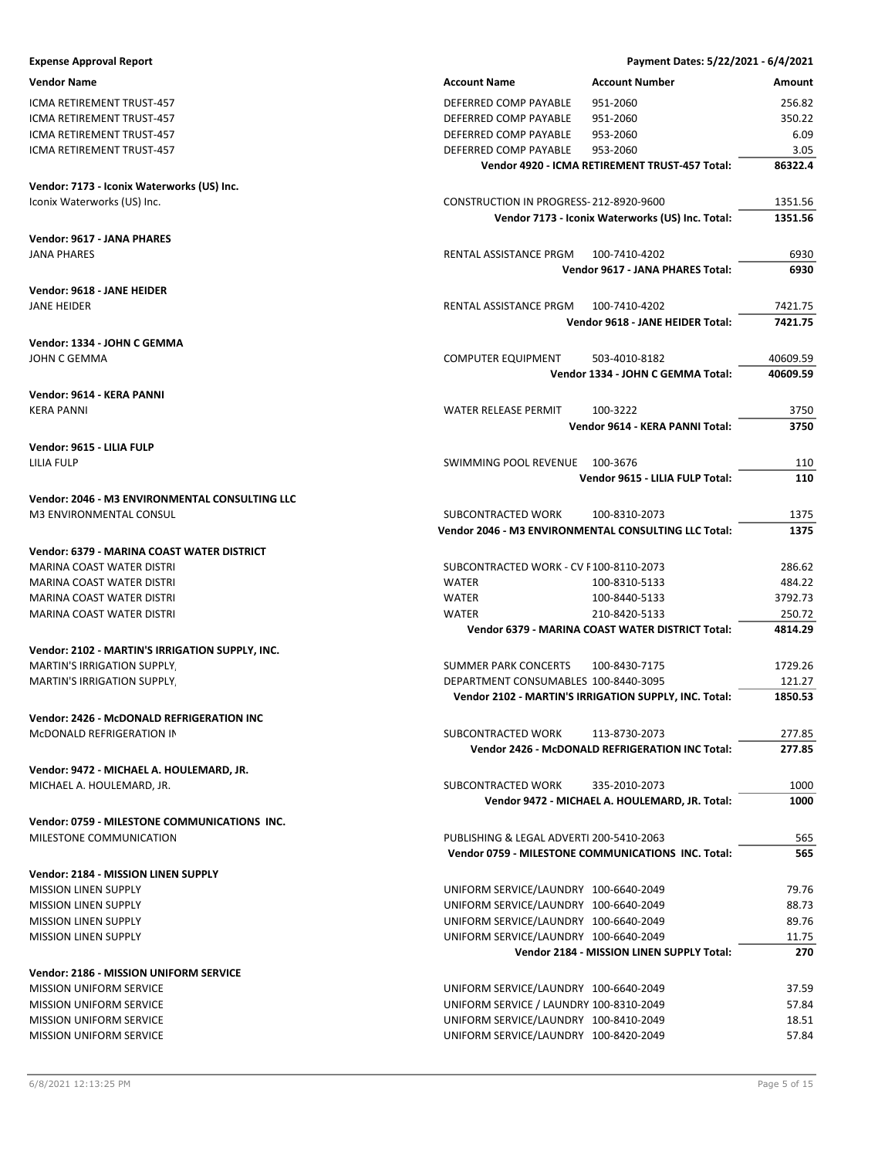| <b>Expense Approval Report</b>                  |                                          | Payment Dates: 5/22/2021 - 6/4/2021                              |                  |
|-------------------------------------------------|------------------------------------------|------------------------------------------------------------------|------------------|
| <b>Vendor Name</b>                              | <b>Account Name</b>                      | <b>Account Number</b>                                            | Amount           |
| ICMA RETIREMENT TRUST-457                       | DEFERRED COMP PAYABLE                    | 951-2060                                                         | 256.82           |
| ICMA RETIREMENT TRUST-457                       | DEFERRED COMP PAYABLE                    | 951-2060                                                         | 350.22           |
| ICMA RETIREMENT TRUST-457                       | DEFERRED COMP PAYABLE                    | 953-2060                                                         | 6.09             |
| ICMA RETIREMENT TRUST-457                       | DEFERRED COMP PAYABLE                    | 953-2060                                                         | 3.05             |
|                                                 |                                          | Vendor 4920 - ICMA RETIREMENT TRUST-457 Total:                   | 86322.4          |
| Vendor: 7173 - Iconix Waterworks (US) Inc.      |                                          |                                                                  |                  |
| Iconix Waterworks (US) Inc.                     | CONSTRUCTION IN PROGRESS-212-8920-9600   |                                                                  | 1351.56          |
|                                                 |                                          | Vendor 7173 - Iconix Waterworks (US) Inc. Total:                 | 1351.56          |
| <b>Vendor: 9617 - JANA PHARES</b>               |                                          |                                                                  |                  |
| <b>JANA PHARES</b>                              | RENTAL ASSISTANCE PRGM                   | 100-7410-4202                                                    | 6930             |
|                                                 |                                          | Vendor 9617 - JANA PHARES Total:                                 | 6930             |
| Vendor: 9618 - JANE HEIDER                      |                                          |                                                                  |                  |
| <b>JANE HEIDER</b>                              | RENTAL ASSISTANCE PRGM                   | 100-7410-4202                                                    | 7421.75          |
|                                                 |                                          | Vendor 9618 - JANE HEIDER Total:                                 | 7421.75          |
| Vendor: 1334 - JOHN C GEMMA                     |                                          |                                                                  |                  |
| JOHN C GEMMA                                    | COMPUTER EQUIPMENT                       | 503-4010-8182                                                    | 40609.59         |
|                                                 |                                          | Vendor 1334 - JOHN C GEMMA Total:                                | 40609.59         |
| Vendor: 9614 - KERA PANNI                       |                                          |                                                                  |                  |
| <b>KERA PANNI</b>                               | <b>WATER RELEASE PERMIT</b>              | 100-3222                                                         | 3750             |
|                                                 |                                          | Vendor 9614 - KERA PANNI Total:                                  | 3750             |
| Vendor: 9615 - LILIA FULP                       |                                          |                                                                  |                  |
| LILIA FULP                                      | SWIMMING POOL REVENUE                    | 100-3676                                                         | 110              |
|                                                 |                                          | Vendor 9615 - LILIA FULP Total:                                  | 110              |
| Vendor: 2046 - M3 ENVIRONMENTAL CONSULTING LLC  |                                          |                                                                  |                  |
| M3 ENVIRONMENTAL CONSUL                         | SUBCONTRACTED WORK                       | 100-8310-2073                                                    | 1375             |
|                                                 |                                          | Vendor 2046 - M3 ENVIRONMENTAL CONSULTING LLC Total:             | 1375             |
| Vendor: 6379 - MARINA COAST WATER DISTRICT      |                                          |                                                                  |                  |
| MARINA COAST WATER DISTRI                       | SUBCONTRACTED WORK - CV F100-8110-2073   |                                                                  | 286.62           |
| MARINA COAST WATER DISTRI                       | <b>WATER</b>                             | 100-8310-5133                                                    | 484.22           |
| <b>MARINA COAST WATER DISTRI</b>                | <b>WATER</b>                             | 100-8440-5133                                                    | 3792.73          |
| MARINA COAST WATER DISTRI                       | <b>WATER</b>                             | 210-8420-5133                                                    | 250.72           |
|                                                 |                                          | Vendor 6379 - MARINA COAST WATER DISTRICT Total:                 | 4814.29          |
| Vendor: 2102 - MARTIN'S IRRIGATION SUPPLY, INC. |                                          |                                                                  |                  |
| <b>MARTIN'S IRRIGATION SUPPLY</b>               | SUMMER PARK CONCERTS                     | 100-8430-7175                                                    | 1729.26          |
| <b>MARTIN'S IRRIGATION SUPPLY.</b>              | DEPARTMENT CONSUMABLES 100-8440-3095     |                                                                  | 121.27           |
|                                                 |                                          | Vendor 2102 - MARTIN'S IRRIGATION SUPPLY, INC. Total:            | 1850.53          |
| Vendor: 2426 - McDONALD REFRIGERATION INC       |                                          |                                                                  |                  |
| MCDONALD REFRIGERATION IN                       | SUBCONTRACTED WORK                       | 113-8730-2073<br>Vendor 2426 - McDONALD REFRIGERATION INC Total: | 277.85<br>277.85 |
|                                                 |                                          |                                                                  |                  |
| Vendor: 9472 - MICHAEL A. HOULEMARD, JR.        | SUBCONTRACTED WORK                       | 335-2010-2073                                                    | 1000             |
| MICHAEL A. HOULEMARD, JR.                       |                                          | Vendor 9472 - MICHAEL A. HOULEMARD, JR. Total:                   | 1000             |
|                                                 |                                          |                                                                  |                  |
| Vendor: 0759 - MILESTONE COMMUNICATIONS INC.    |                                          |                                                                  |                  |
| MILESTONE COMMUNICATION                         | PUBLISHING & LEGAL ADVERTI 200-5410-2063 |                                                                  | 565              |
|                                                 |                                          | Vendor 0759 - MILESTONE COMMUNICATIONS INC. Total:               | 565              |
| Vendor: 2184 - MISSION LINEN SUPPLY             |                                          |                                                                  |                  |
| <b>MISSION LINEN SUPPLY</b>                     | UNIFORM SERVICE/LAUNDRY 100-6640-2049    |                                                                  | 79.76            |
| <b>MISSION LINEN SUPPLY</b>                     | UNIFORM SERVICE/LAUNDRY 100-6640-2049    |                                                                  | 88.73            |
| <b>MISSION LINEN SUPPLY</b>                     | UNIFORM SERVICE/LAUNDRY 100-6640-2049    |                                                                  | 89.76            |
| <b>MISSION LINEN SUPPLY</b>                     | UNIFORM SERVICE/LAUNDRY 100-6640-2049    |                                                                  | 11.75            |
|                                                 |                                          | Vendor 2184 - MISSION LINEN SUPPLY Total:                        | 270              |
| Vendor: 2186 - MISSION UNIFORM SERVICE          |                                          |                                                                  |                  |
| <b>MISSION UNIFORM SERVICE</b>                  | UNIFORM SERVICE/LAUNDRY 100-6640-2049    |                                                                  | 37.59            |
| <b>MISSION UNIFORM SERVICE</b>                  | UNIFORM SERVICE / LAUNDRY 100-8310-2049  |                                                                  | 57.84            |
| <b>MISSION UNIFORM SERVICE</b>                  | UNIFORM SERVICE/LAUNDRY 100-8410-2049    |                                                                  | 18.51<br>57.84   |
| <b>MISSION UNIFORM SERVICE</b>                  | UNIFORM SERVICE/LAUNDRY 100-8420-2049    |                                                                  |                  |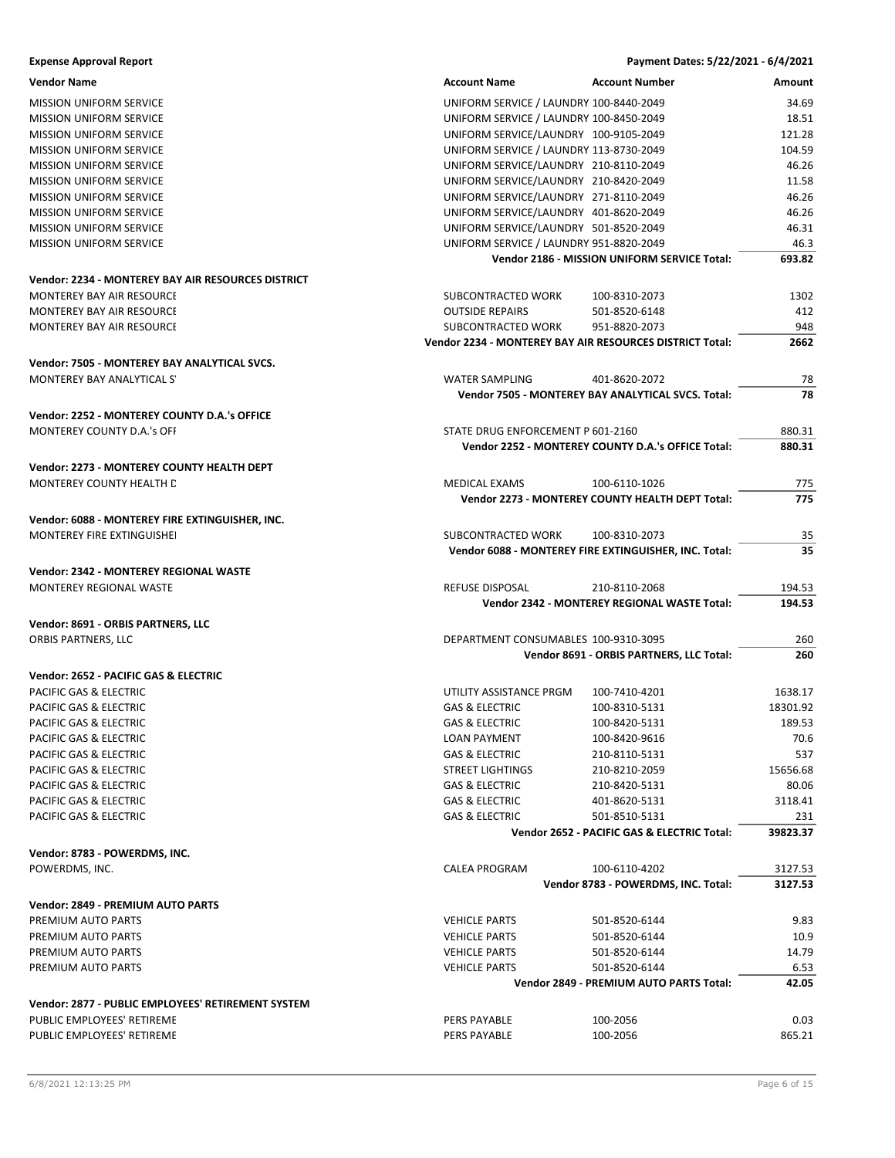| <b>Expense Approval Report</b>                            |                                                          | Payment Dates: 5/22/2021 - 6/4/2021                   |            |
|-----------------------------------------------------------|----------------------------------------------------------|-------------------------------------------------------|------------|
| <b>Vendor Name</b>                                        | <b>Account Name</b>                                      | <b>Account Number</b>                                 | Amount     |
| <b>MISSION UNIFORM SERVICE</b>                            | UNIFORM SERVICE / LAUNDRY 100-8440-2049                  |                                                       | 34.69      |
| <b>MISSION UNIFORM SERVICE</b>                            | UNIFORM SERVICE / LAUNDRY 100-8450-2049                  |                                                       | 18.51      |
| <b>MISSION UNIFORM SERVICE</b>                            | UNIFORM SERVICE/LAUNDRY 100-9105-2049                    |                                                       | 121.28     |
| <b>MISSION UNIFORM SERVICE</b>                            | UNIFORM SERVICE / LAUNDRY 113-8730-2049                  |                                                       | 104.59     |
| <b>MISSION UNIFORM SERVICE</b>                            | UNIFORM SERVICE/LAUNDRY 210-8110-2049                    |                                                       | 46.26      |
| <b>MISSION UNIFORM SERVICE</b>                            | UNIFORM SERVICE/LAUNDRY 210-8420-2049                    |                                                       | 11.58      |
| <b>MISSION UNIFORM SERVICE</b>                            | UNIFORM SERVICE/LAUNDRY 271-8110-2049                    |                                                       | 46.26      |
| <b>MISSION UNIFORM SERVICE</b>                            | UNIFORM SERVICE/LAUNDRY 401-8620-2049                    |                                                       | 46.26      |
| <b>MISSION UNIFORM SERVICE</b>                            | UNIFORM SERVICE/LAUNDRY 501-8520-2049                    |                                                       | 46.31      |
| <b>MISSION UNIFORM SERVICE</b>                            | UNIFORM SERVICE / LAUNDRY 951-8820-2049                  |                                                       | 46.3       |
|                                                           |                                                          | Vendor 2186 - MISSION UNIFORM SERVICE Total:          | 693.82     |
| Vendor: 2234 - MONTEREY BAY AIR RESOURCES DISTRICT        |                                                          |                                                       |            |
| MONTEREY BAY AIR RESOURCE                                 | SUBCONTRACTED WORK                                       | 100-8310-2073                                         | 1302       |
| MONTEREY BAY AIR RESOURCE                                 | <b>OUTSIDE REPAIRS</b>                                   | 501-8520-6148                                         | 412        |
| MONTEREY BAY AIR RESOURCE                                 | SUBCONTRACTED WORK                                       | 951-8820-2073                                         | 948        |
|                                                           | Vendor 2234 - MONTEREY BAY AIR RESOURCES DISTRICT Total: |                                                       | 2662       |
| Vendor: 7505 - MONTEREY BAY ANALYTICAL SVCS.              |                                                          |                                                       |            |
| MONTEREY BAY ANALYTICAL S'                                | <b>WATER SAMPLING</b>                                    | 401-8620-2072                                         | 78         |
|                                                           |                                                          | Vendor 7505 - MONTEREY BAY ANALYTICAL SVCS. Total:    | 78         |
| Vendor: 2252 - MONTEREY COUNTY D.A.'s OFFICE              |                                                          |                                                       |            |
| <b>MONTEREY COUNTY D.A.'s OFF</b>                         | STATE DRUG ENFORCEMENT P 601-2160                        |                                                       | 880.31     |
|                                                           |                                                          | Vendor 2252 - MONTEREY COUNTY D.A.'s OFFICE Total:    | 880.31     |
|                                                           |                                                          |                                                       |            |
| Vendor: 2273 - MONTEREY COUNTY HEALTH DEPT                |                                                          |                                                       |            |
| MONTEREY COUNTY HEALTH D                                  | MEDICAL EXAMS                                            | 100-6110-1026                                         | 775        |
|                                                           |                                                          | Vendor 2273 - MONTEREY COUNTY HEALTH DEPT Total:      | 775        |
| Vendor: 6088 - MONTEREY FIRE EXTINGUISHER, INC.           |                                                          |                                                       |            |
| MONTEREY FIRE EXTINGUISHEI                                | SUBCONTRACTED WORK                                       | 100-8310-2073                                         | 35         |
|                                                           |                                                          | Vendor 6088 - MONTEREY FIRE EXTINGUISHER, INC. Total: | 35         |
| <b>Vendor: 2342 - MONTEREY REGIONAL WASTE</b>             |                                                          |                                                       |            |
| MONTEREY REGIONAL WASTE                                   | <b>REFUSE DISPOSAL</b>                                   | 210-8110-2068                                         | 194.53     |
|                                                           |                                                          | Vendor 2342 - MONTEREY REGIONAL WASTE Total:          | 194.53     |
|                                                           |                                                          |                                                       |            |
| Vendor: 8691 - ORBIS PARTNERS, LLC<br>ORBIS PARTNERS, LLC |                                                          |                                                       |            |
|                                                           | DEPARTMENT CONSUMABLES 100-9310-3095                     | Vendor 8691 - ORBIS PARTNERS, LLC Total:              | 260<br>260 |
|                                                           |                                                          |                                                       |            |
| Vendor: 2652 - PACIFIC GAS & ELECTRIC                     |                                                          |                                                       |            |
| PACIFIC GAS & ELECTRIC                                    | UTILITY ASSISTANCE PRGM                                  | 100-7410-4201                                         | 1638.17    |
| PACIFIC GAS & ELECTRIC                                    | <b>GAS &amp; ELECTRIC</b>                                | 100-8310-5131                                         | 18301.92   |
| PACIFIC GAS & ELECTRIC                                    | <b>GAS &amp; ELECTRIC</b>                                | 100-8420-5131                                         | 189.53     |
| PACIFIC GAS & ELECTRIC                                    | <b>LOAN PAYMENT</b>                                      | 100-8420-9616                                         | 70.6       |
| PACIFIC GAS & ELECTRIC                                    | <b>GAS &amp; ELECTRIC</b>                                | 210-8110-5131                                         | 537        |
| PACIFIC GAS & ELECTRIC                                    | <b>STREET LIGHTINGS</b>                                  | 210-8210-2059                                         | 15656.68   |
| PACIFIC GAS & ELECTRIC                                    | <b>GAS &amp; ELECTRIC</b>                                | 210-8420-5131                                         | 80.06      |
| PACIFIC GAS & ELECTRIC                                    | GAS & ELECTRIC                                           | 401-8620-5131                                         | 3118.41    |
| PACIFIC GAS & ELECTRIC                                    | <b>GAS &amp; ELECTRIC</b>                                | 501-8510-5131                                         | 231        |
|                                                           |                                                          | Vendor 2652 - PACIFIC GAS & ELECTRIC Total:           | 39823.37   |
| Vendor: 8783 - POWERDMS, INC.                             |                                                          |                                                       |            |
| POWERDMS, INC.                                            | <b>CALEA PROGRAM</b>                                     | 100-6110-4202                                         | 3127.53    |
|                                                           |                                                          | Vendor 8783 - POWERDMS, INC. Total:                   | 3127.53    |
| Vendor: 2849 - PREMIUM AUTO PARTS                         |                                                          |                                                       |            |
| PREMIUM AUTO PARTS                                        | <b>VEHICLE PARTS</b>                                     | 501-8520-6144                                         | 9.83       |
| PREMIUM AUTO PARTS                                        | <b>VEHICLE PARTS</b>                                     | 501-8520-6144                                         | 10.9       |
| PREMIUM AUTO PARTS                                        | <b>VEHICLE PARTS</b>                                     | 501-8520-6144                                         | 14.79      |
| PREMIUM AUTO PARTS                                        | <b>VEHICLE PARTS</b>                                     | 501-8520-6144                                         | 6.53       |
|                                                           |                                                          | Vendor 2849 - PREMIUM AUTO PARTS Total:               | 42.05      |
| Vendor: 2877 - PUBLIC EMPLOYEES' RETIREMENT SYSTEM        |                                                          |                                                       |            |
| PUBLIC EMPLOYEES' RETIREME                                | <b>PERS PAYABLE</b>                                      | 100-2056                                              | 0.03       |
| PUBLIC EMPLOYEES' RETIREME                                | PERS PAYABLE                                             | 100-2056                                              | 865.21     |
|                                                           |                                                          |                                                       |            |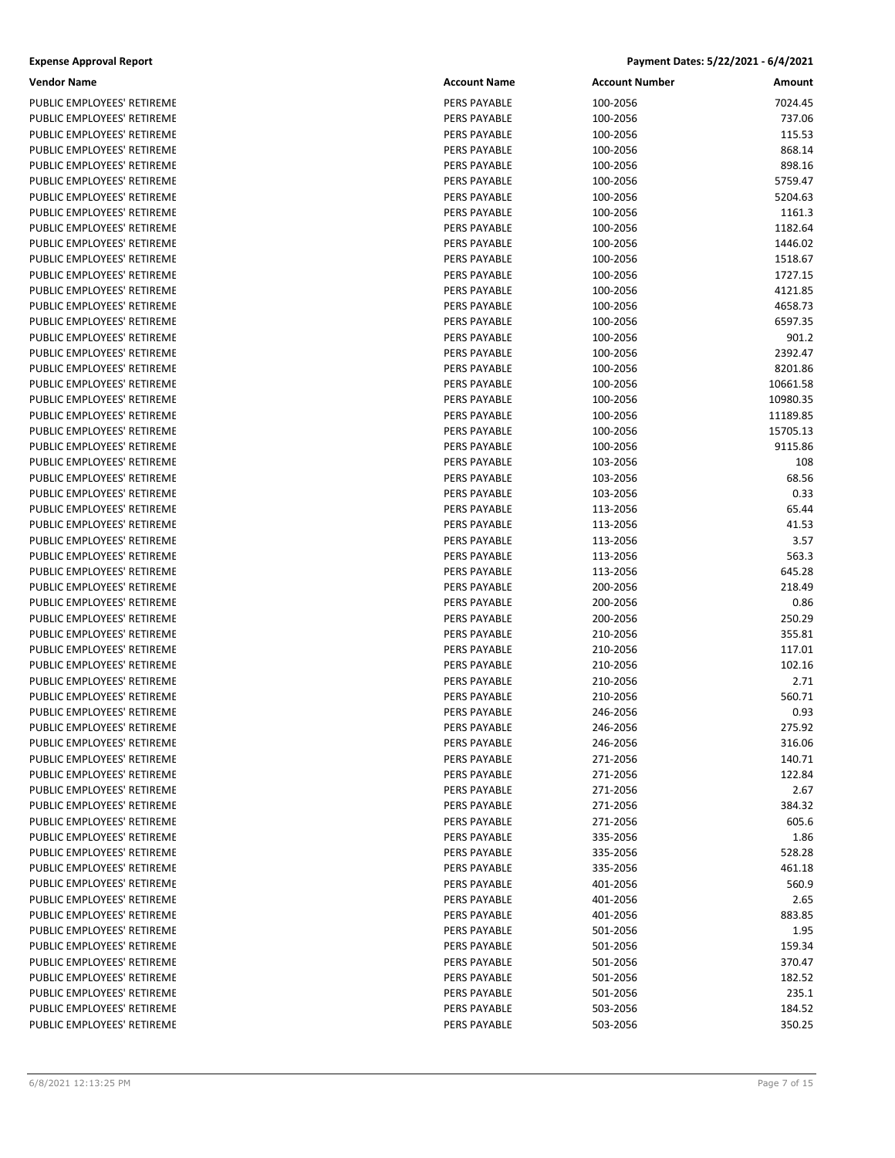#### **Expense Approval Report Payment Dates: 5/22/2021 ‐ 6/4/2021**

| Vendor Name                | <b>Account Name</b> | <b>Account Number</b> | Amount   |
|----------------------------|---------------------|-----------------------|----------|
| PUBLIC EMPLOYEES' RETIREME | PERS PAYABLE        | 100-2056              | 7024.45  |
| PUBLIC EMPLOYEES' RETIREME | PERS PAYABLE        | 100-2056              | 737.06   |
| PUBLIC EMPLOYEES' RETIREME | PERS PAYABLE        | 100-2056              | 115.53   |
| PUBLIC EMPLOYEES' RETIREME | PERS PAYABLE        | 100-2056              | 868.14   |
| PUBLIC EMPLOYEES' RETIREME | PERS PAYABLE        | 100-2056              | 898.16   |
| PUBLIC EMPLOYEES' RETIREME | PERS PAYABLE        | 100-2056              | 5759.47  |
| PUBLIC EMPLOYEES' RETIREME | PERS PAYABLE        | 100-2056              | 5204.63  |
| PUBLIC EMPLOYEES' RETIREME | PERS PAYABLE        | 100-2056              | 1161.3   |
| PUBLIC EMPLOYEES' RETIREME | PERS PAYABLE        | 100-2056              | 1182.64  |
| PUBLIC EMPLOYEES' RETIREME | PERS PAYABLE        | 100-2056              | 1446.02  |
| PUBLIC EMPLOYEES' RETIREME | <b>PERS PAYABLE</b> | 100-2056              | 1518.67  |
| PUBLIC EMPLOYEES' RETIREME | PERS PAYABLE        | 100-2056              | 1727.15  |
| PUBLIC EMPLOYEES' RETIREME | PERS PAYABLE        | 100-2056              | 4121.85  |
| PUBLIC EMPLOYEES' RETIREME | PERS PAYABLE        | 100-2056              | 4658.73  |
| PUBLIC EMPLOYEES' RETIREME | PERS PAYABLE        | 100-2056              | 6597.35  |
| PUBLIC EMPLOYEES' RETIREME | PERS PAYABLE        | 100-2056              | 901.2    |
| PUBLIC EMPLOYEES' RETIREME | PERS PAYABLE        | 100-2056              | 2392.47  |
| PUBLIC EMPLOYEES' RETIREME | PERS PAYABLE        | 100-2056              | 8201.86  |
| PUBLIC EMPLOYEES' RETIREME | PERS PAYABLE        | 100-2056              | 10661.58 |
| PUBLIC EMPLOYEES' RETIREME | PERS PAYABLE        | 100-2056              | 10980.35 |
| PUBLIC EMPLOYEES' RETIREME | PERS PAYABLE        | 100-2056              | 11189.85 |
| PUBLIC EMPLOYEES' RETIREME | PERS PAYABLE        | 100-2056              | 15705.13 |
| PUBLIC EMPLOYEES' RETIREME | PERS PAYABLE        | 100-2056              | 9115.86  |
| PUBLIC EMPLOYEES' RETIREME | PERS PAYABLE        | 103-2056              | 108      |
| PUBLIC EMPLOYEES' RETIREME | PERS PAYABLE        | 103-2056              | 68.56    |
| PUBLIC EMPLOYEES' RETIREME | PERS PAYABLE        | 103-2056              | 0.33     |
| PUBLIC EMPLOYEES' RETIREME | PERS PAYABLE        | 113-2056              | 65.44    |
| PUBLIC EMPLOYEES' RETIREME | PERS PAYABLE        | 113-2056              | 41.53    |
| PUBLIC EMPLOYEES' RETIREME | PERS PAYABLE        | 113-2056              | 3.57     |
| PUBLIC EMPLOYEES' RETIREME | PERS PAYABLE        | 113-2056              | 563.3    |
| PUBLIC EMPLOYEES' RETIREME | PERS PAYABLE        | 113-2056              | 645.28   |
| PUBLIC EMPLOYEES' RETIREME | PERS PAYABLE        | 200-2056              | 218.49   |
| PUBLIC EMPLOYEES' RETIREME | PERS PAYABLE        | 200-2056              | 0.86     |
| PUBLIC EMPLOYEES' RETIREME | PERS PAYABLE        | 200-2056              | 250.29   |
| PUBLIC EMPLOYEES' RETIREME | PERS PAYABLE        | 210-2056              | 355.81   |
| PUBLIC EMPLOYEES' RETIREME | PERS PAYABLE        | 210-2056              | 117.01   |
| PUBLIC EMPLOYEES' RETIREME | PERS PAYABLE        | 210-2056              | 102.16   |
| PUBLIC EMPLOYEES' RETIREME | PERS PAYABLE        | 210-2056              | 2.71     |
| PUBLIC EMPLOYEES' RETIREME | PERS PAYABLE        | 210-2056              | 560.71   |
| PUBLIC EMPLOYEES' RETIREME | PERS PAYABLE        | 246-2056              | 0.93     |
| PUBLIC EMPLOYEES' RETIREME | PERS PAYABLE        | 246-2056              | 275.92   |
| PUBLIC EMPLOYEES' RETIREME | PERS PAYABLE        | 246-2056              | 316.06   |
| PUBLIC EMPLOYEES' RETIREME | PERS PAYABLE        | 271-2056              | 140.71   |
| PUBLIC EMPLOYEES' RETIREME | PERS PAYABLE        | 271-2056              | 122.84   |
| PUBLIC EMPLOYEES' RETIREME | PERS PAYABLE        | 271-2056              | 2.67     |
| PUBLIC EMPLOYEES' RETIREME | PERS PAYABLE        | 271-2056              | 384.32   |
| PUBLIC EMPLOYEES' RETIREME | PERS PAYABLE        | 271-2056              | 605.6    |
| PUBLIC EMPLOYEES' RETIREME | PERS PAYABLE        | 335-2056              | 1.86     |
| PUBLIC EMPLOYEES' RETIREME | PERS PAYABLE        | 335-2056              | 528.28   |
| PUBLIC EMPLOYEES' RETIREME | PERS PAYABLE        | 335-2056              | 461.18   |
| PUBLIC EMPLOYEES' RETIREME | PERS PAYABLE        | 401-2056              | 560.9    |
| PUBLIC EMPLOYEES' RETIREME | PERS PAYABLE        | 401-2056              | 2.65     |
| PUBLIC EMPLOYEES' RETIREME | PERS PAYABLE        | 401-2056              | 883.85   |
| PUBLIC EMPLOYEES' RETIREME | PERS PAYABLE        | 501-2056              | 1.95     |
| PUBLIC EMPLOYEES' RETIREME | PERS PAYABLE        | 501-2056              | 159.34   |
| PUBLIC EMPLOYEES' RETIREME | PERS PAYABLE        | 501-2056              | 370.47   |
| PUBLIC EMPLOYEES' RETIREME | PERS PAYABLE        | 501-2056              | 182.52   |
| PUBLIC EMPLOYEES' RETIREME | PERS PAYABLE        | 501-2056              | 235.1    |
| PUBLIC EMPLOYEES' RETIREME | PERS PAYABLE        | 503-2056              | 184.52   |
| PUBLIC EMPLOYEES' RETIREME | PERS PAYABLE        | 503-2056              | 350.25   |
|                            |                     |                       |          |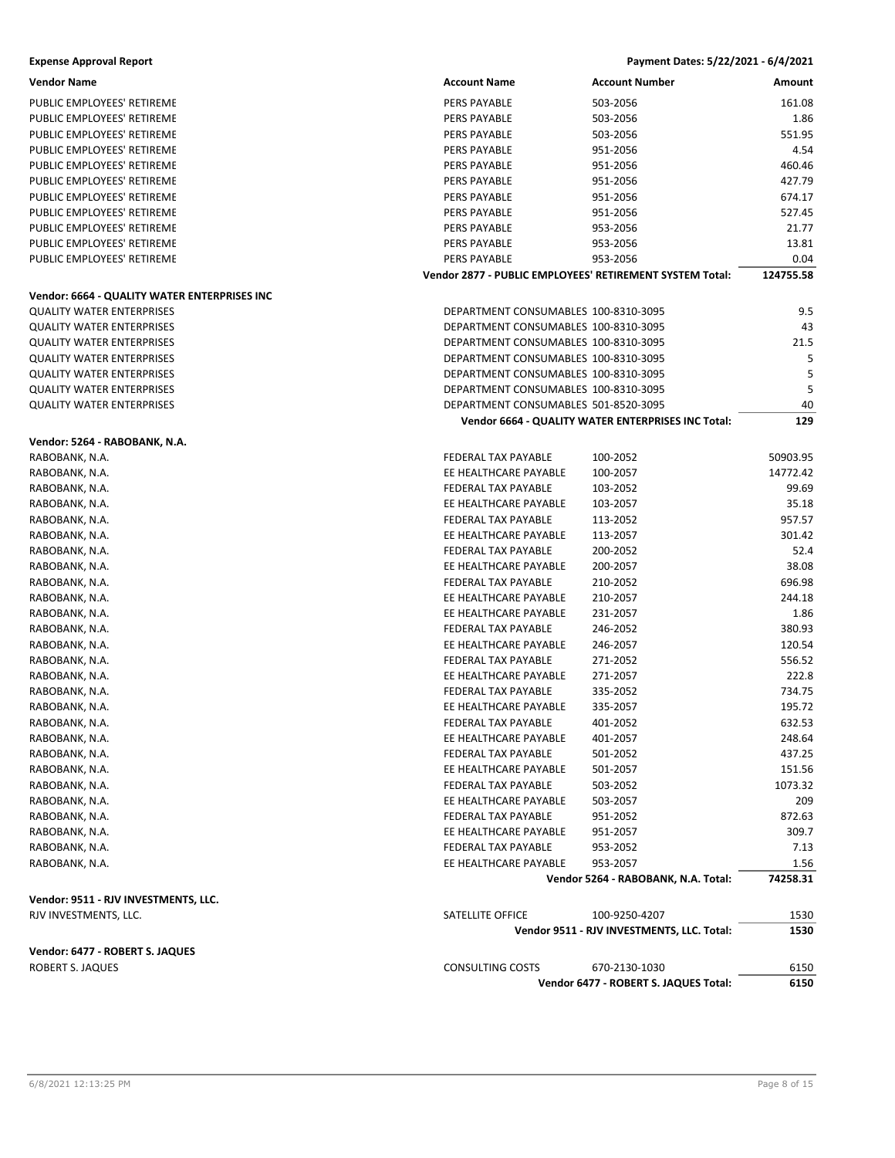#### **Vendor: 6664 ‐ QUALITY WATER ENTERPRISES INC**

#### **Vendor: 5264 ‐ RABOBANK, N.A.**

#### **Vendor: 9511 ‐ RJV INVESTMENTS, LLC.** RJV INVESTMENTS, LLC.

#### **Vendor: 6477 ‐ ROBERT S. JAQUES** ROBERT S. JAQUES

**Expense Approval Report Payment Dates: 5/22/2021 ‐ 6/4/2021**

| Vendor Name                                  | <b>Account Name</b>                          | <b>Account Number</b>                                    | Amount        |
|----------------------------------------------|----------------------------------------------|----------------------------------------------------------|---------------|
| PUBLIC EMPLOYEES' RETIREME                   | PERS PAYABLE                                 | 503-2056                                                 | 161.08        |
| PUBLIC EMPLOYEES' RETIREME                   | PERS PAYABLE                                 | 503-2056                                                 | 1.86          |
| PUBLIC EMPLOYEES' RETIREME                   | PERS PAYABLE                                 | 503-2056                                                 | 551.95        |
| PUBLIC EMPLOYEES' RETIREME                   | PERS PAYABLE                                 | 951-2056                                                 | 4.54          |
| PUBLIC EMPLOYEES' RETIREME                   | PERS PAYABLE                                 | 951-2056                                                 | 460.46        |
| PUBLIC EMPLOYEES' RETIREME                   | PERS PAYABLE                                 | 951-2056                                                 | 427.79        |
| PUBLIC EMPLOYEES' RETIREME                   | PERS PAYABLE                                 | 951-2056                                                 | 674.17        |
| PUBLIC EMPLOYEES' RETIREME                   | <b>PERS PAYABLE</b>                          | 951-2056                                                 | 527.45        |
| PUBLIC EMPLOYEES' RETIREME                   | PERS PAYABLE                                 | 953-2056                                                 | 21.77         |
| PUBLIC EMPLOYEES' RETIREME                   | PERS PAYABLE                                 | 953-2056                                                 | 13.81         |
| PUBLIC EMPLOYEES' RETIREME                   | PERS PAYABLE                                 | 953-2056                                                 | 0.04          |
|                                              |                                              | Vendor 2877 - PUBLIC EMPLOYEES' RETIREMENT SYSTEM Total: | 124755.58     |
| Vendor: 6664 - QUALITY WATER ENTERPRISES INC |                                              |                                                          |               |
| <b>QUALITY WATER ENTERPRISES</b>             | DEPARTMENT CONSUMABLES 100-8310-3095         |                                                          | 9.5           |
| <b>QUALITY WATER ENTERPRISES</b>             | DEPARTMENT CONSUMABLES 100-8310-3095         |                                                          | 43            |
| <b>QUALITY WATER ENTERPRISES</b>             | DEPARTMENT CONSUMABLES 100-8310-3095         |                                                          | 21.5          |
| <b>QUALITY WATER ENTERPRISES</b>             | DEPARTMENT CONSUMABLES 100-8310-3095         |                                                          | 5             |
| <b>QUALITY WATER ENTERPRISES</b>             | DEPARTMENT CONSUMABLES 100-8310-3095         |                                                          | 5             |
| QUALITY WATER ENTERPRISES                    | DEPARTMENT CONSUMABLES 100-8310-3095         |                                                          | 5             |
| QUALITY WATER ENTERPRISES                    | DEPARTMENT CONSUMABLES 501-8520-3095         |                                                          | 40            |
|                                              |                                              | Vendor 6664 - QUALITY WATER ENTERPRISES INC Total:       | 129           |
| Vendor: 5264 - RABOBANK, N.A.                |                                              |                                                          |               |
| RABOBANK, N.A.                               | FEDERAL TAX PAYABLE                          |                                                          | 50903.95      |
|                                              | EE HEALTHCARE PAYABLE                        | 100-2052<br>100-2057                                     | 14772.42      |
| RABOBANK, N.A.                               | FEDERAL TAX PAYABLE                          |                                                          | 99.69         |
| RABOBANK, N.A.<br>RABOBANK, N.A.             | EE HEALTHCARE PAYABLE                        | 103-2052<br>103-2057                                     | 35.18         |
|                                              | FEDERAL TAX PAYABLE                          |                                                          | 957.57        |
| RABOBANK, N.A.                               | EE HEALTHCARE PAYABLE                        | 113-2052                                                 | 301.42        |
| RABOBANK, N.A.                               |                                              | 113-2057                                                 |               |
| RABOBANK, N.A.                               | FEDERAL TAX PAYABLE<br>EE HEALTHCARE PAYABLE | 200-2052<br>200-2057                                     | 52.4<br>38.08 |
| RABOBANK, N.A.                               |                                              |                                                          | 696.98        |
| RABOBANK, N.A.                               | FEDERAL TAX PAYABLE<br>EE HEALTHCARE PAYABLE | 210-2052                                                 | 244.18        |
| RABOBANK, N.A.                               | EE HEALTHCARE PAYABLE                        | 210-2057<br>231-2057                                     | 1.86          |
| RABOBANK, N.A.                               | FEDERAL TAX PAYABLE                          | 246-2052                                                 | 380.93        |
| RABOBANK, N.A.                               | EE HEALTHCARE PAYABLE                        | 246-2057                                                 | 120.54        |
| RABOBANK, N.A.<br>RABOBANK, N.A.             | <b>FEDERAL TAX PAYABLE</b>                   | 271-2052                                                 | 556.52        |
|                                              | EE HEALTHCARE PAYABLE                        | 271-2057                                                 | 222.8         |
| RABOBANK, N.A.<br>RABOBANK, N.A.             | FEDERAL TAX PAYABLE                          | 335-2052                                                 | 734.75        |
| RABOBANK, N.A.                               | EE HEALTHCARE PAYABLE                        | 335-2057                                                 | 195.72        |
| RABOBANK, N.A.                               | FEDERAL TAX PAYABLE                          | 401-2052                                                 | 632.53        |
| RABOBANK, N.A.                               | EE HEALTHCARE PAYABLE                        |                                                          | 248.64        |
| RABOBANK, N.A.                               | FEDERAL TAX PAYABLE                          | 401-2057<br>501-2052                                     | 437.25        |
| RABOBANK, N.A.                               | EE HEALTHCARE PAYABLE                        | 501-2057                                                 | 151.56        |
| RABOBANK, N.A.                               | FEDERAL TAX PAYABLE                          | 503-2052                                                 | 1073.32       |
|                                              | EE HEALTHCARE PAYABLE                        | 503-2057                                                 | 209           |
| RABOBANK, N.A.                               | FEDERAL TAX PAYABLE                          | 951-2052                                                 | 872.63        |
| RABOBANK, N.A.                               | EE HEALTHCARE PAYABLE                        |                                                          | 309.7         |
| RABOBANK, N.A.                               | <b>FEDERAL TAX PAYABLE</b>                   | 951-2057                                                 |               |
| RABOBANK, N.A.<br>RABOBANK, N.A.             | EE HEALTHCARE PAYABLE                        | 953-2052<br>953-2057                                     | 7.13<br>1.56  |
|                                              |                                              | Vendor 5264 - RABOBANK, N.A. Total:                      | 74258.31      |
|                                              |                                              |                                                          |               |
| Vendor: 9511 - RJV INVESTMENTS, LLC.         |                                              |                                                          |               |
| RJV INVESTMENTS, LLC.                        | SATELLITE OFFICE                             | 100-9250-4207                                            | 1530          |
|                                              |                                              | Vendor 9511 - RJV INVESTMENTS, LLC. Total:               | 1530          |
| Vendor: 6477 - ROBERT S. JAQUES              |                                              |                                                          |               |
| ROBERT S. JAQUES                             | <b>CONSULTING COSTS</b>                      | 670-2130-1030                                            | 6150          |
|                                              |                                              | Vendor 6477 - ROBERT S. JAQUES Total:                    | 6150          |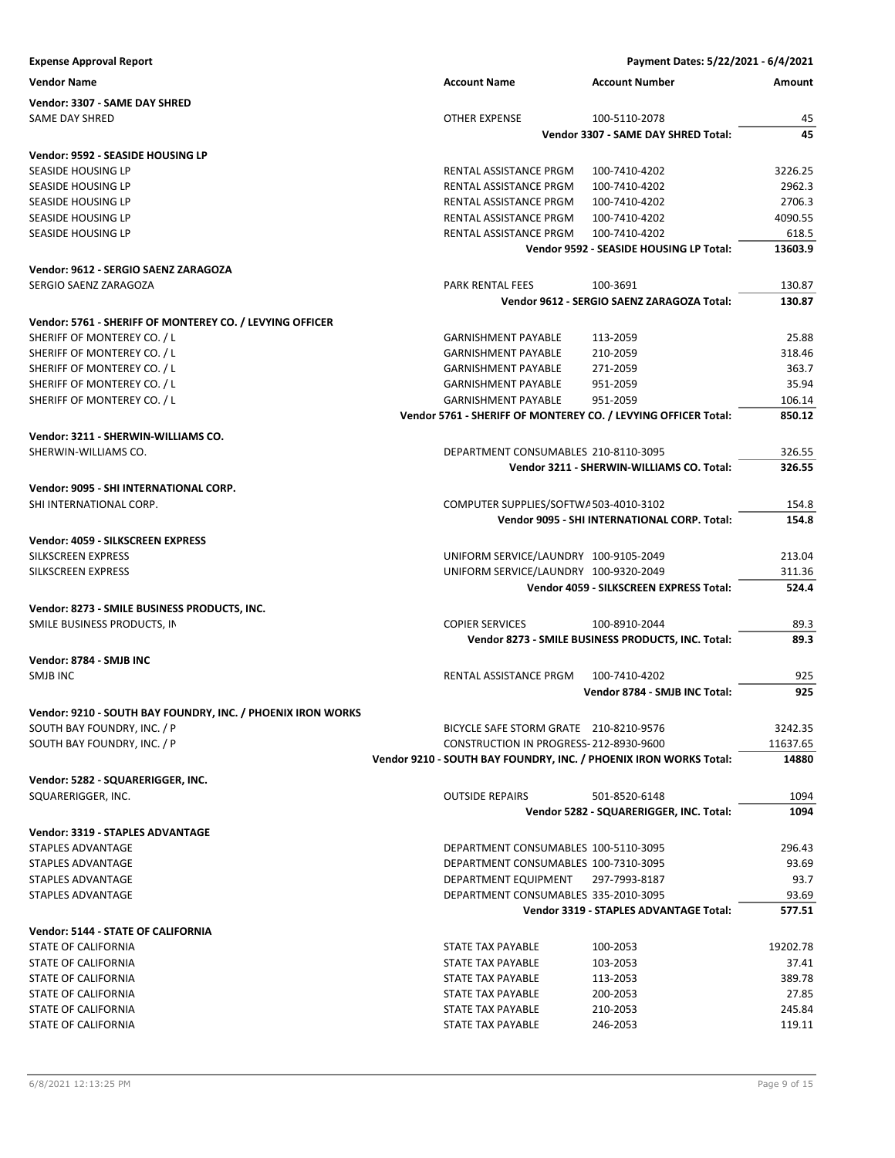| <b>Expense Approval Report</b>                              |                                                                   |                                                                | Payment Dates: 5/22/2021 - 6/4/2021 |
|-------------------------------------------------------------|-------------------------------------------------------------------|----------------------------------------------------------------|-------------------------------------|
| <b>Vendor Name</b>                                          | <b>Account Name</b>                                               | <b>Account Number</b>                                          | Amount                              |
| Vendor: 3307 - SAME DAY SHRED                               |                                                                   |                                                                |                                     |
| SAME DAY SHRED                                              | OTHER EXPENSE                                                     | 100-5110-2078                                                  | 45                                  |
|                                                             |                                                                   | Vendor 3307 - SAME DAY SHRED Total:                            | 45                                  |
| Vendor: 9592 - SEASIDE HOUSING LP                           |                                                                   |                                                                |                                     |
| SEASIDE HOUSING LP                                          | RENTAL ASSISTANCE PRGM                                            | 100-7410-4202                                                  | 3226.25                             |
| SEASIDE HOUSING LP                                          | RENTAL ASSISTANCE PRGM                                            | 100-7410-4202                                                  | 2962.3                              |
| SEASIDE HOUSING LP                                          | RENTAL ASSISTANCE PRGM                                            | 100-7410-4202                                                  | 2706.3                              |
| SEASIDE HOUSING LP                                          | RENTAL ASSISTANCE PRGM                                            | 100-7410-4202                                                  | 4090.55                             |
| SEASIDE HOUSING LP                                          | RENTAL ASSISTANCE PRGM                                            | 100-7410-4202                                                  | 618.5                               |
|                                                             |                                                                   | Vendor 9592 - SEASIDE HOUSING LP Total:                        | 13603.9                             |
| Vendor: 9612 - SERGIO SAENZ ZARAGOZA                        |                                                                   |                                                                |                                     |
| SERGIO SAENZ ZARAGOZA                                       | PARK RENTAL FEES                                                  | 100-3691                                                       | 130.87                              |
|                                                             |                                                                   | Vendor 9612 - SERGIO SAENZ ZARAGOZA Total:                     | 130.87                              |
| Vendor: 5761 - SHERIFF OF MONTEREY CO. / LEVYING OFFICER    |                                                                   |                                                                |                                     |
| SHERIFF OF MONTEREY CO. / L                                 | <b>GARNISHMENT PAYABLE</b>                                        | 113-2059                                                       | 25.88                               |
| SHERIFF OF MONTEREY CO. / L                                 | <b>GARNISHMENT PAYABLE</b>                                        | 210-2059                                                       | 318.46                              |
| SHERIFF OF MONTEREY CO. / L                                 | <b>GARNISHMENT PAYABLE</b>                                        | 271-2059                                                       | 363.7                               |
| SHERIFF OF MONTEREY CO. / L                                 | <b>GARNISHMENT PAYABLE</b>                                        | 951-2059                                                       | 35.94                               |
| SHERIFF OF MONTEREY CO. / L                                 | <b>GARNISHMENT PAYABLE</b>                                        | 951-2059                                                       | 106.14                              |
|                                                             |                                                                   | Vendor 5761 - SHERIFF OF MONTEREY CO. / LEVYING OFFICER Total: | 850.12                              |
| Vendor: 3211 - SHERWIN-WILLIAMS CO.                         |                                                                   |                                                                |                                     |
| SHERWIN-WILLIAMS CO.                                        |                                                                   | DEPARTMENT CONSUMABLES 210-8110-3095                           | 326.55                              |
|                                                             |                                                                   | Vendor 3211 - SHERWIN-WILLIAMS CO. Total:                      | 326.55                              |
|                                                             |                                                                   |                                                                |                                     |
| Vendor: 9095 - SHI INTERNATIONAL CORP.                      |                                                                   |                                                                |                                     |
| SHI INTERNATIONAL CORP.                                     |                                                                   | COMPUTER SUPPLIES/SOFTWA503-4010-3102                          | 154.8                               |
|                                                             |                                                                   | Vendor 9095 - SHI INTERNATIONAL CORP. Total:                   | 154.8                               |
| Vendor: 4059 - SILKSCREEN EXPRESS                           |                                                                   |                                                                |                                     |
| SILKSCREEN EXPRESS                                          |                                                                   | UNIFORM SERVICE/LAUNDRY 100-9105-2049                          | 213.04                              |
| SILKSCREEN EXPRESS                                          |                                                                   | UNIFORM SERVICE/LAUNDRY 100-9320-2049                          | 311.36                              |
|                                                             |                                                                   | Vendor 4059 - SILKSCREEN EXPRESS Total:                        | 524.4                               |
| Vendor: 8273 - SMILE BUSINESS PRODUCTS, INC.                |                                                                   |                                                                |                                     |
| SMILE BUSINESS PRODUCTS, IN                                 | <b>COPIER SERVICES</b>                                            | 100-8910-2044                                                  | 89.3                                |
|                                                             |                                                                   | Vendor 8273 - SMILE BUSINESS PRODUCTS, INC. Total:             | 89.3                                |
| Vendor: 8784 - SMJB INC                                     |                                                                   |                                                                |                                     |
| SMJB INC                                                    | RENTAL ASSISTANCE PRGM                                            | 100-7410-4202                                                  | 925                                 |
|                                                             |                                                                   | Vendor 8784 - SMJB INC Total:                                  | 925                                 |
| Vendor: 9210 - SOUTH BAY FOUNDRY, INC. / PHOENIX IRON WORKS |                                                                   |                                                                |                                     |
| SOUTH BAY FOUNDRY, INC. / P                                 |                                                                   | BICYCLE SAFE STORM GRATE 210-8210-9576                         | 3242.35                             |
| SOUTH BAY FOUNDRY, INC. / P                                 |                                                                   | CONSTRUCTION IN PROGRESS-212-8930-9600                         | 11637.65                            |
|                                                             | Vendor 9210 - SOUTH BAY FOUNDRY, INC. / PHOENIX IRON WORKS Total: |                                                                | 14880                               |
|                                                             |                                                                   |                                                                |                                     |
| Vendor: 5282 - SQUARERIGGER, INC.                           |                                                                   |                                                                |                                     |
| SQUARERIGGER, INC.                                          | <b>OUTSIDE REPAIRS</b>                                            | 501-8520-6148                                                  | 1094                                |
|                                                             |                                                                   | Vendor 5282 - SQUARERIGGER, INC. Total:                        | 1094                                |
| <b>Vendor: 3319 - STAPLES ADVANTAGE</b>                     |                                                                   |                                                                |                                     |
| STAPLES ADVANTAGE                                           |                                                                   | DEPARTMENT CONSUMABLES 100-5110-3095                           | 296.43                              |
| <b>STAPLES ADVANTAGE</b>                                    |                                                                   | DEPARTMENT CONSUMABLES 100-7310-3095                           | 93.69                               |
| STAPLES ADVANTAGE                                           | DEPARTMENT EQUIPMENT                                              | 297-7993-8187                                                  | 93.7                                |
| STAPLES ADVANTAGE                                           |                                                                   | DEPARTMENT CONSUMABLES 335-2010-3095                           | 93.69                               |
|                                                             |                                                                   | Vendor 3319 - STAPLES ADVANTAGE Total:                         | 577.51                              |
| <b>Vendor: 5144 - STATE OF CALIFORNIA</b>                   |                                                                   |                                                                |                                     |
| STATE OF CALIFORNIA                                         | STATE TAX PAYABLE                                                 | 100-2053                                                       | 19202.78                            |
| STATE OF CALIFORNIA                                         | STATE TAX PAYABLE                                                 | 103-2053                                                       | 37.41                               |
| STATE OF CALIFORNIA                                         | STATE TAX PAYABLE                                                 | 113-2053                                                       | 389.78                              |
| STATE OF CALIFORNIA                                         | STATE TAX PAYABLE                                                 | 200-2053                                                       | 27.85                               |
| STATE OF CALIFORNIA                                         | STATE TAX PAYABLE                                                 | 210-2053                                                       | 245.84                              |
| STATE OF CALIFORNIA                                         | STATE TAX PAYABLE                                                 | 246-2053                                                       | 119.11                              |
|                                                             |                                                                   |                                                                |                                     |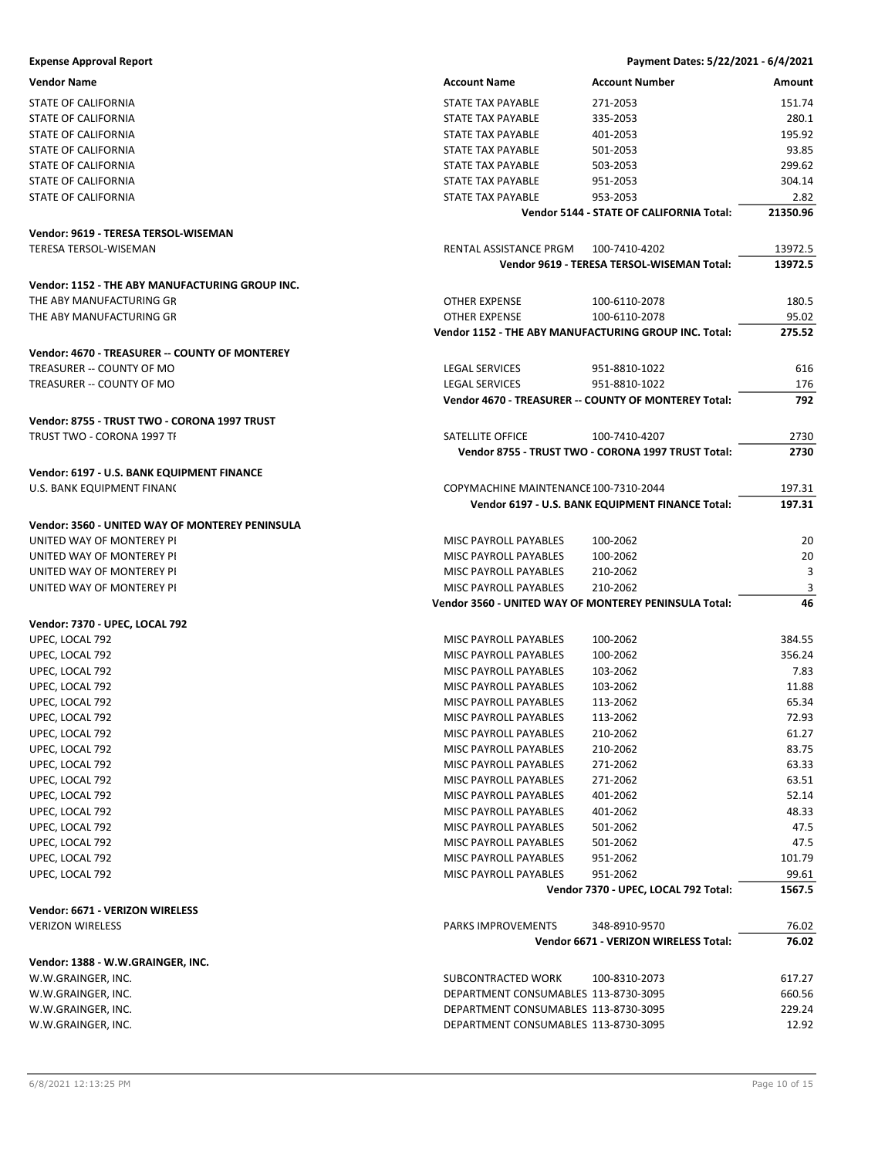| <b>Expense Approval Report</b>                  |                                       | Payment Dates: 5/22/2021 - 6/4/2021                   |          |
|-------------------------------------------------|---------------------------------------|-------------------------------------------------------|----------|
| <b>Vendor Name</b>                              | <b>Account Name</b>                   | <b>Account Number</b>                                 | Amount   |
| <b>STATE OF CALIFORNIA</b>                      | <b>STATE TAX PAYABLE</b>              | 271-2053                                              | 151.74   |
| STATE OF CALIFORNIA                             | STATE TAX PAYABLE                     | 335-2053                                              | 280.1    |
| STATE OF CALIFORNIA                             | <b>STATE TAX PAYABLE</b>              | 401-2053                                              | 195.92   |
| STATE OF CALIFORNIA                             | STATE TAX PAYABLE                     | 501-2053                                              | 93.85    |
| STATE OF CALIFORNIA                             | STATE TAX PAYABLE                     | 503-2053                                              | 299.62   |
| STATE OF CALIFORNIA                             | STATE TAX PAYABLE                     | 951-2053                                              | 304.14   |
| STATE OF CALIFORNIA                             | STATE TAX PAYABLE                     | 953-2053                                              | 2.82     |
|                                                 |                                       | Vendor 5144 - STATE OF CALIFORNIA Total:              | 21350.96 |
| Vendor: 9619 - TERESA TERSOL-WISEMAN            |                                       |                                                       |          |
| <b>TERESA TERSOL-WISEMAN</b>                    | RENTAL ASSISTANCE PRGM                | 100-7410-4202                                         | 13972.5  |
|                                                 |                                       | Vendor 9619 - TERESA TERSOL-WISEMAN Total:            | 13972.5  |
|                                                 |                                       |                                                       |          |
| Vendor: 1152 - THE ABY MANUFACTURING GROUP INC. |                                       |                                                       |          |
| THE ABY MANUFACTURING GR                        | OTHER EXPENSE                         | 100-6110-2078                                         | 180.5    |
| THE ABY MANUFACTURING GR                        | OTHER EXPENSE                         | 100-6110-2078                                         | 95.02    |
|                                                 |                                       | Vendor 1152 - THE ABY MANUFACTURING GROUP INC. Total: | 275.52   |
| Vendor: 4670 - TREASURER -- COUNTY OF MONTEREY  |                                       |                                                       |          |
| TREASURER -- COUNTY OF MO                       | <b>LEGAL SERVICES</b>                 | 951-8810-1022                                         | 616      |
| TREASURER -- COUNTY OF MO                       | <b>LEGAL SERVICES</b>                 | 951-8810-1022                                         | 176      |
|                                                 |                                       | Vendor 4670 - TREASURER -- COUNTY OF MONTEREY Total:  | 792      |
|                                                 |                                       |                                                       |          |
| Vendor: 8755 - TRUST TWO - CORONA 1997 TRUST    |                                       |                                                       |          |
| TRUST TWO - CORONA 1997 TI                      | SATELLITE OFFICE                      | 100-7410-4207                                         | 2730     |
|                                                 |                                       | Vendor 8755 - TRUST TWO - CORONA 1997 TRUST Total:    | 2730     |
| Vendor: 6197 - U.S. BANK EQUIPMENT FINANCE      |                                       |                                                       |          |
| U.S. BANK EQUIPMENT FINANC                      | COPYMACHINE MAINTENANCE 100-7310-2044 |                                                       | 197.31   |
|                                                 |                                       | Vendor 6197 - U.S. BANK EQUIPMENT FINANCE Total:      | 197.31   |
| Vendor: 3560 - UNITED WAY OF MONTEREY PENINSULA |                                       |                                                       |          |
| UNITED WAY OF MONTEREY PI                       | MISC PAYROLL PAYABLES                 | 100-2062                                              | 20       |
| UNITED WAY OF MONTEREY PI                       | MISC PAYROLL PAYABLES                 | 100-2062                                              | 20       |
| UNITED WAY OF MONTEREY PI                       | MISC PAYROLL PAYABLES                 | 210-2062                                              | 3        |
| UNITED WAY OF MONTEREY PI                       | <b>MISC PAYROLL PAYABLES</b>          | 210-2062                                              | 3        |
|                                                 |                                       | Vendor 3560 - UNITED WAY OF MONTEREY PENINSULA Total: | 46       |
|                                                 |                                       |                                                       |          |
| Vendor: 7370 - UPEC, LOCAL 792                  |                                       |                                                       |          |
| UPEC, LOCAL 792                                 | MISC PAYROLL PAYABLES                 | 100-2062                                              | 384.55   |
| UPEC, LOCAL 792                                 | MISC PAYROLL PAYABLES                 | 100-2062                                              | 356.24   |
| UPEC, LOCAL 792                                 | MISC PAYROLL PAYABLES                 | 103-2062                                              | 7.83     |
| UPEC, LOCAL 792                                 | MISC PAYROLL PAYABLES                 | 103-2062                                              | 11.88    |
| UPEC, LOCAL 792                                 | MISC PAYROLL PAYABLES                 | 113-2062                                              | 65.34    |
| UPEC, LOCAL 792                                 | MISC PAYROLL PAYABLES                 | 113-2062                                              | 72.93    |
| UPEC, LOCAL 792                                 | MISC PAYROLL PAYABLES                 | 210-2062                                              | 61.27    |
| UPEC, LOCAL 792                                 | MISC PAYROLL PAYABLES                 | 210-2062                                              | 83.75    |
| UPEC, LOCAL 792                                 | MISC PAYROLL PAYABLES                 | 271-2062                                              | 63.33    |
| UPEC, LOCAL 792                                 | MISC PAYROLL PAYABLES                 | 271-2062                                              | 63.51    |
| UPEC, LOCAL 792                                 | <b>MISC PAYROLL PAYABLES</b>          | 401-2062                                              | 52.14    |
| UPEC, LOCAL 792                                 | MISC PAYROLL PAYABLES                 | 401-2062                                              | 48.33    |
| UPEC, LOCAL 792                                 | MISC PAYROLL PAYABLES                 | 501-2062                                              | 47.5     |
| UPEC, LOCAL 792                                 | MISC PAYROLL PAYABLES                 | 501-2062                                              | 47.5     |
| UPEC, LOCAL 792                                 | MISC PAYROLL PAYABLES                 | 951-2062                                              | 101.79   |
| UPEC, LOCAL 792                                 | MISC PAYROLL PAYABLES                 | 951-2062                                              | 99.61    |
|                                                 |                                       | Vendor 7370 - UPEC, LOCAL 792 Total:                  | 1567.5   |
| Vendor: 6671 - VERIZON WIRELESS                 |                                       |                                                       |          |
| <b>VERIZON WIRELESS</b>                         | PARKS IMPROVEMENTS                    | 348-8910-9570                                         | 76.02    |
|                                                 |                                       | Vendor 6671 - VERIZON WIRELESS Total:                 | 76.02    |
|                                                 |                                       |                                                       |          |
| Vendor: 1388 - W.W.GRAINGER, INC.               |                                       |                                                       |          |
| W.W.GRAINGER, INC.                              | SUBCONTRACTED WORK                    | 100-8310-2073                                         | 617.27   |
| W.W.GRAINGER, INC.                              | DEPARTMENT CONSUMABLES 113-8730-3095  |                                                       | 660.56   |
| W.W.GRAINGER, INC.                              | DEPARTMENT CONSUMABLES 113-8730-3095  |                                                       | 229.24   |
| W.W.GRAINGER, INC.                              | DEPARTMENT CONSUMABLES 113-8730-3095  |                                                       | 12.92    |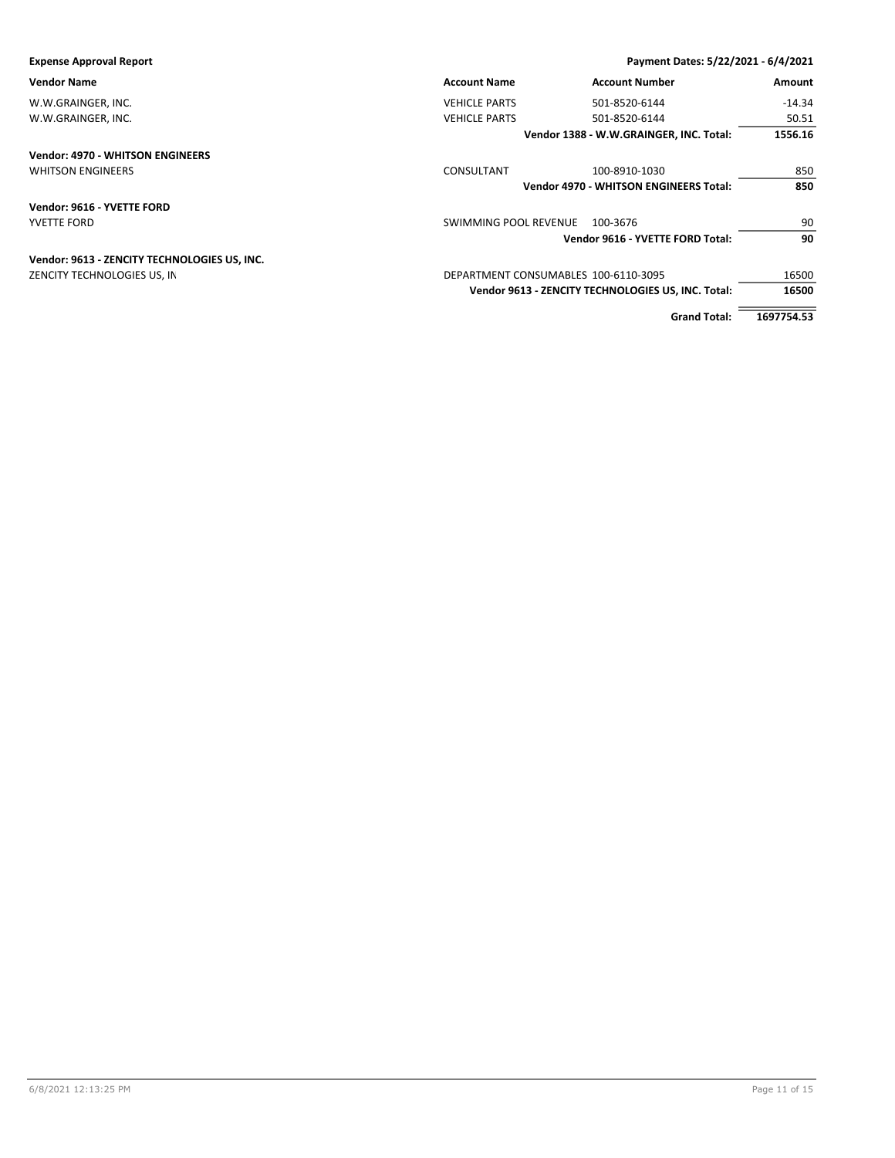| <b>Expense Approval Report</b>               |                                      | Payment Dates: 5/22/2021 - 6/4/2021                |            |
|----------------------------------------------|--------------------------------------|----------------------------------------------------|------------|
| <b>Vendor Name</b>                           | <b>Account Name</b>                  | <b>Account Number</b>                              | Amount     |
| W.W.GRAINGER, INC.                           | <b>VEHICLE PARTS</b>                 | 501-8520-6144                                      | $-14.34$   |
| W.W.GRAINGER, INC.                           | <b>VEHICLE PARTS</b>                 | 501-8520-6144                                      | 50.51      |
|                                              |                                      | Vendor 1388 - W.W.GRAINGER, INC. Total:            | 1556.16    |
| <b>Vendor: 4970 - WHITSON ENGINEERS</b>      |                                      |                                                    |            |
| <b>WHITSON ENGINEERS</b>                     | CONSULTANT                           | 100-8910-1030                                      | 850        |
|                                              |                                      | <b>Vendor 4970 - WHITSON ENGINEERS Total:</b>      | 850        |
| Vendor: 9616 - YVETTE FORD                   |                                      |                                                    |            |
| YVETTE FORD                                  | SWIMMING POOL REVENUE                | 100-3676                                           | 90         |
|                                              |                                      | Vendor 9616 - YVETTE FORD Total:                   | 90         |
| Vendor: 9613 - ZENCITY TECHNOLOGIES US, INC. |                                      |                                                    |            |
| ZENCITY TECHNOLOGIES US, IN                  | DEPARTMENT CONSUMABLES 100-6110-3095 |                                                    | 16500      |
|                                              |                                      | Vendor 9613 - ZENCITY TECHNOLOGIES US, INC. Total: | 16500      |
|                                              |                                      | <b>Grand Total:</b>                                | 1697754.53 |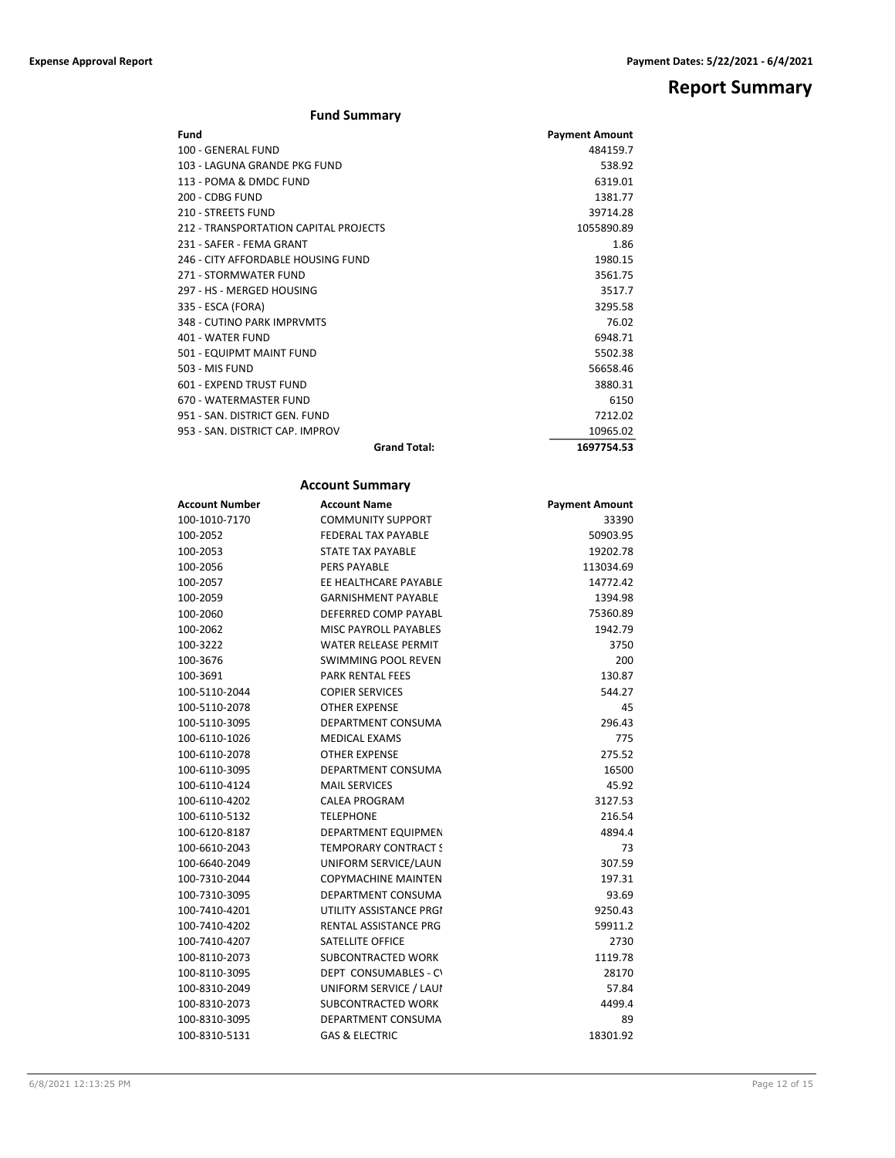# **Report Summary**

| <b>Fund Summary</b>                   |                       |
|---------------------------------------|-----------------------|
| Fund                                  | <b>Payment Amount</b> |
| 100 - GENERAL FUND                    | 484159.7              |
| 103 - LAGUNA GRANDE PKG FUND          | 538.92                |
| 113 - POMA & DMDC FUND                | 6319.01               |
| 200 - CDBG FUND                       | 1381.77               |
| 210 - STREETS FUND                    | 39714.28              |
| 212 - TRANSPORTATION CAPITAL PROJECTS | 1055890.89            |
| 231 - SAFFR - FFMA GRANT              | 1.86                  |
| 246 - CITY AFFORDABLE HOUSING FUND    | 1980.15               |
| 271 - STORMWATER FUND                 | 3561.75               |
| 297 - HS - MERGED HOUSING             | 3517.7                |
| 335 - ESCA (FORA)                     | 3295.58               |
| 348 - CUTINO PARK IMPRVMTS            | 76.02                 |
| 401 - WATER FUND                      | 6948.71               |
| 501 - EQUIPMT MAINT FUND              | 5502.38               |
| 503 - MIS FUND                        | 56658.46              |
| 601 - EXPEND TRUST FUND               | 3880.31               |
| 670 - WATERMASTER FUND                | 6150                  |
| 951 - SAN, DISTRICT GEN, FUND         | 7212.02               |
| 953 - SAN, DISTRICT CAP, IMPROV       | 10965.02              |
| <b>Grand Total:</b>                   | 1697754.53            |

## **Account Summary**

| <b>Account Number</b> | <b>Account Name</b>          | <b>Payment Amount</b> |
|-----------------------|------------------------------|-----------------------|
| 100-1010-7170         | <b>COMMUNITY SUPPORT</b>     | 33390                 |
| 100-2052              | FEDERAL TAX PAYABLE          | 50903.95              |
| 100-2053              | <b>STATE TAX PAYABLE</b>     | 19202.78              |
| 100-2056              | <b>PERS PAYABLE</b>          | 113034.69             |
| 100-2057              | EE HEALTHCARE PAYABLE        | 14772.42              |
| 100-2059              | <b>GARNISHMENT PAYABLE</b>   | 1394.98               |
| 100-2060              | DEFERRED COMP PAYABL         | 75360.89              |
| 100-2062              | <b>MISC PAYROLL PAYABLES</b> | 1942.79               |
| 100-3222              | <b>WATER RELEASE PERMIT</b>  | 3750                  |
| 100-3676              | SWIMMING POOL REVEN          | 200                   |
| 100-3691              | <b>PARK RENTAL FEES</b>      | 130.87                |
| 100-5110-2044         | <b>COPIER SERVICES</b>       | 544.27                |
| 100-5110-2078         | <b>OTHER EXPENSE</b>         | 45                    |
| 100-5110-3095         | DEPARTMENT CONSUMA           | 296.43                |
| 100-6110-1026         | <b>MEDICAL EXAMS</b>         | 775                   |
| 100-6110-2078         | <b>OTHER EXPENSE</b>         | 275.52                |
| 100-6110-3095         | <b>DEPARTMENT CONSUMA</b>    | 16500                 |
| 100-6110-4124         | <b>MAIL SERVICES</b>         | 45.92                 |
| 100-6110-4202         | <b>CALEA PROGRAM</b>         | 3127.53               |
| 100-6110-5132         | <b>TELEPHONE</b>             | 216.54                |
| 100-6120-8187         | DEPARTMENT EQUIPMEN          | 4894.4                |
| 100-6610-2043         | <b>TEMPORARY CONTRACT !</b>  | 73                    |
| 100-6640-2049         | UNIFORM SERVICE/LAUN         | 307.59                |
| 100-7310-2044         | <b>COPYMACHINE MAINTEN</b>   | 197.31                |
| 100-7310-3095         | DEPARTMENT CONSUMA           | 93.69                 |
| 100-7410-4201         | UTILITY ASSISTANCE PRGI      | 9250.43               |
| 100-7410-4202         | <b>RENTAL ASSISTANCE PRG</b> | 59911.2               |
| 100-7410-4207         | <b>SATELLITE OFFICE</b>      | 2730                  |
| 100-8110-2073         | <b>SUBCONTRACTED WORK</b>    | 1119.78               |
| 100-8110-3095         | DEPT CONSUMABLES - CV        | 28170                 |
| 100-8310-2049         | UNIFORM SERVICE / LAUI       | 57.84                 |
| 100-8310-2073         | SUBCONTRACTED WORK           | 4499.4                |
| 100-8310-3095         | <b>DEPARTMENT CONSUMA</b>    | 89                    |
| 100-8310-5131         | <b>GAS &amp; ELECTRIC</b>    | 18301.92              |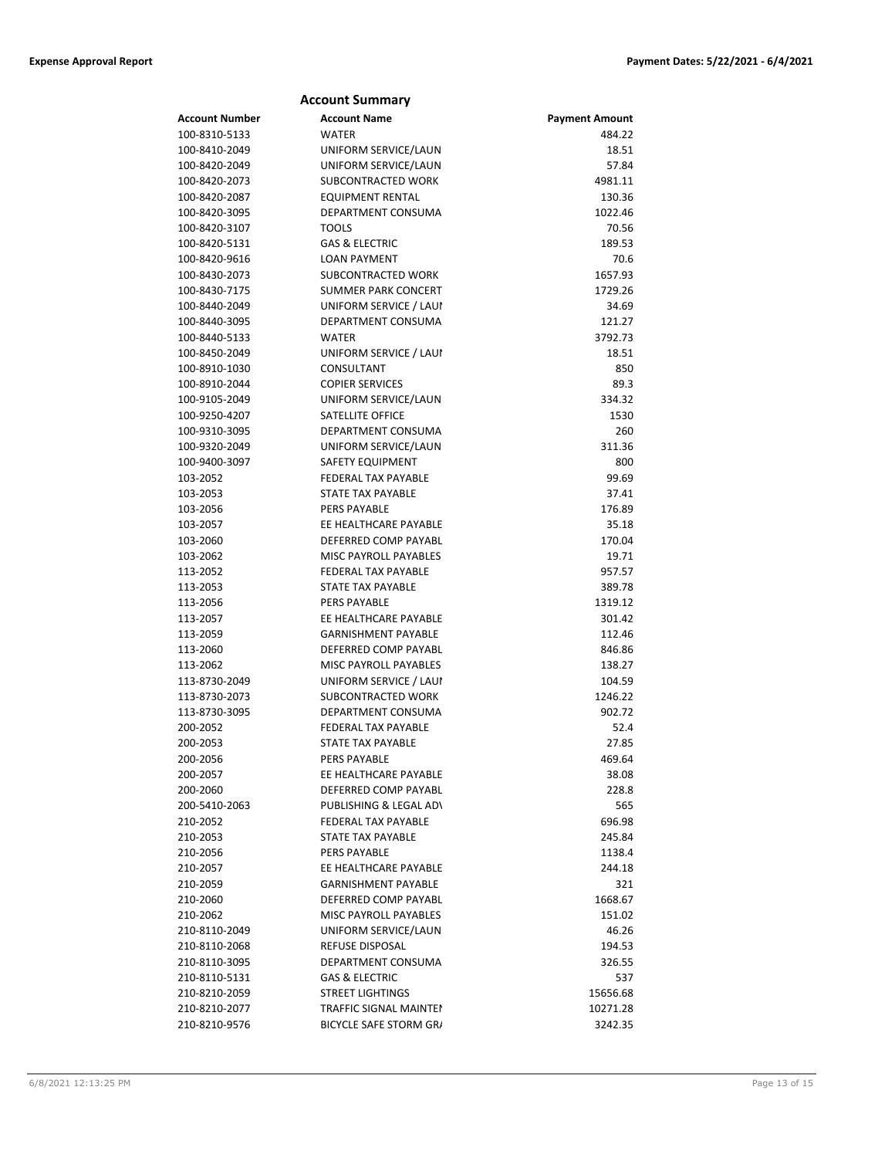| <b>Account Name</b><br><b>Account Number</b><br><b>Payment Amount</b><br>100-8310-5133<br><b>WATER</b><br>484.22<br>18.51<br>100-8410-2049<br>UNIFORM SERVICE/LAUN<br>UNIFORM SERVICE/LAUN<br>57.84<br>100-8420-2049<br>4981.11<br>100-8420-2073<br>SUBCONTRACTED WORK<br>130.36<br>100-8420-2087<br>EQUIPMENT RENTAL<br>DEPARTMENT CONSUMA<br>1022.46<br>100-8420-3095<br><b>TOOLS</b><br>100-8420-3107<br>70.56<br>100-8420-5131<br><b>GAS &amp; ELECTRIC</b><br>189.53<br><b>LOAN PAYMENT</b><br>70.6<br>100-8420-9616<br>SUBCONTRACTED WORK<br>1657.93<br>100-8430-2073<br><b>SUMMER PARK CONCERT</b><br>1729.26<br>100-8430-7175<br>100-8440-2049<br>UNIFORM SERVICE / LAUI<br>34.69<br>DEPARTMENT CONSUMA<br>121.27<br>100-8440-3095<br>3792.73<br>100-8440-5133<br><b>WATER</b><br>18.51<br>100-8450-2049<br>UNIFORM SERVICE / LAUI<br>CONSULTANT<br>850<br>100-8910-1030<br>100-8910-2044<br><b>COPIER SERVICES</b><br>89.3<br>334.32<br>100-9105-2049<br>UNIFORM SERVICE/LAUN<br><b>SATELLITE OFFICE</b><br>1530<br>100-9250-4207<br>100-9310-3095<br>DEPARTMENT CONSUMA<br>260<br>100-9320-2049<br>UNIFORM SERVICE/LAUN<br>311.36<br>100-9400-3097<br><b>SAFETY EQUIPMENT</b><br>800<br>FEDERAL TAX PAYABLE<br>99.69<br>103-2052<br><b>STATE TAX PAYABLE</b><br>37.41<br>103-2053<br>103-2056<br><b>PERS PAYABLE</b><br>176.89<br>103-2057<br>EE HEALTHCARE PAYABLE<br>35.18<br>103-2060<br>DEFERRED COMP PAYABL<br>170.04<br>19.71<br>103-2062<br><b>MISC PAYROLL PAYABLES</b><br><b>FEDERAL TAX PAYABLE</b><br>957.57<br>113-2052<br>STATE TAX PAYABLE<br>113-2053<br>389.78<br>1319.12<br>113-2056<br><b>PERS PAYABLE</b><br>EE HEALTHCARE PAYABLE<br>301.42<br>113-2057<br>113-2059<br><b>GARNISHMENT PAYABLE</b><br>112.46<br>DEFERRED COMP PAYABL<br>113-2060<br>846.86<br>MISC PAYROLL PAYABLES<br>113-2062<br>138.27<br>UNIFORM SERVICE / LAUI<br>104.59<br>113-8730-2049<br>SUBCONTRACTED WORK<br>1246.22<br>113-8730-2073<br>DEPARTMENT CONSUMA<br>902.72<br>113-8730-3095<br>200-2052<br><b>FEDERAL TAX PAYABLE</b><br>52.4<br>27.85<br>200-2053<br>STATE TAX PAYABLE<br><b>PERS PAYABLE</b><br>469.64<br>200-2056<br>200-2057<br>EE HEALTHCARE PAYABLE<br>38.08<br>DEFERRED COMP PAYABL<br>200-2060<br>228.8<br>PUBLISHING & LEGAL AD\<br>200-5410-2063<br>565<br><b>FEDERAL TAX PAYABLE</b><br>696.98<br>210-2052<br>210-2053<br>STATE TAX PAYABLE<br>245.84<br><b>PERS PAYABLE</b><br>1138.4<br>210-2056<br>EE HEALTHCARE PAYABLE<br>210-2057<br>244.18<br>210-2059<br><b>GARNISHMENT PAYABLE</b><br>321<br>DEFERRED COMP PAYABL<br>210-2060<br>1668.67<br>210-2062<br><b>MISC PAYROLL PAYABLES</b><br>151.02<br>210-8110-2049<br>UNIFORM SERVICE/LAUN<br>46.26<br>REFUSE DISPOSAL<br>194.53<br>210-8110-2068<br>210-8110-3095<br>DEPARTMENT CONSUMA<br>326.55<br>210-8110-5131<br><b>GAS &amp; ELECTRIC</b><br>537<br>210-8210-2059<br><b>STREET LIGHTINGS</b><br>15656.68<br>210-8210-2077<br>TRAFFIC SIGNAL MAINTEI<br>10271.28<br>BICYCLE SAFE STORM GR/<br>210-8210-9576<br>3242.35 | <b>Account Summary</b> |  |
|------------------------------------------------------------------------------------------------------------------------------------------------------------------------------------------------------------------------------------------------------------------------------------------------------------------------------------------------------------------------------------------------------------------------------------------------------------------------------------------------------------------------------------------------------------------------------------------------------------------------------------------------------------------------------------------------------------------------------------------------------------------------------------------------------------------------------------------------------------------------------------------------------------------------------------------------------------------------------------------------------------------------------------------------------------------------------------------------------------------------------------------------------------------------------------------------------------------------------------------------------------------------------------------------------------------------------------------------------------------------------------------------------------------------------------------------------------------------------------------------------------------------------------------------------------------------------------------------------------------------------------------------------------------------------------------------------------------------------------------------------------------------------------------------------------------------------------------------------------------------------------------------------------------------------------------------------------------------------------------------------------------------------------------------------------------------------------------------------------------------------------------------------------------------------------------------------------------------------------------------------------------------------------------------------------------------------------------------------------------------------------------------------------------------------------------------------------------------------------------------------------------------------------------------------------------------------------------------------------------------------------------------------------------------------------------------------------------------------------------------------------------------------------------------------------------------------------------------------------------------------------------------------------------------------------------------------------------------------------------------------------------|------------------------|--|
|                                                                                                                                                                                                                                                                                                                                                                                                                                                                                                                                                                                                                                                                                                                                                                                                                                                                                                                                                                                                                                                                                                                                                                                                                                                                                                                                                                                                                                                                                                                                                                                                                                                                                                                                                                                                                                                                                                                                                                                                                                                                                                                                                                                                                                                                                                                                                                                                                                                                                                                                                                                                                                                                                                                                                                                                                                                                                                                                                                                                                  |                        |  |
|                                                                                                                                                                                                                                                                                                                                                                                                                                                                                                                                                                                                                                                                                                                                                                                                                                                                                                                                                                                                                                                                                                                                                                                                                                                                                                                                                                                                                                                                                                                                                                                                                                                                                                                                                                                                                                                                                                                                                                                                                                                                                                                                                                                                                                                                                                                                                                                                                                                                                                                                                                                                                                                                                                                                                                                                                                                                                                                                                                                                                  |                        |  |
|                                                                                                                                                                                                                                                                                                                                                                                                                                                                                                                                                                                                                                                                                                                                                                                                                                                                                                                                                                                                                                                                                                                                                                                                                                                                                                                                                                                                                                                                                                                                                                                                                                                                                                                                                                                                                                                                                                                                                                                                                                                                                                                                                                                                                                                                                                                                                                                                                                                                                                                                                                                                                                                                                                                                                                                                                                                                                                                                                                                                                  |                        |  |
|                                                                                                                                                                                                                                                                                                                                                                                                                                                                                                                                                                                                                                                                                                                                                                                                                                                                                                                                                                                                                                                                                                                                                                                                                                                                                                                                                                                                                                                                                                                                                                                                                                                                                                                                                                                                                                                                                                                                                                                                                                                                                                                                                                                                                                                                                                                                                                                                                                                                                                                                                                                                                                                                                                                                                                                                                                                                                                                                                                                                                  |                        |  |
|                                                                                                                                                                                                                                                                                                                                                                                                                                                                                                                                                                                                                                                                                                                                                                                                                                                                                                                                                                                                                                                                                                                                                                                                                                                                                                                                                                                                                                                                                                                                                                                                                                                                                                                                                                                                                                                                                                                                                                                                                                                                                                                                                                                                                                                                                                                                                                                                                                                                                                                                                                                                                                                                                                                                                                                                                                                                                                                                                                                                                  |                        |  |
|                                                                                                                                                                                                                                                                                                                                                                                                                                                                                                                                                                                                                                                                                                                                                                                                                                                                                                                                                                                                                                                                                                                                                                                                                                                                                                                                                                                                                                                                                                                                                                                                                                                                                                                                                                                                                                                                                                                                                                                                                                                                                                                                                                                                                                                                                                                                                                                                                                                                                                                                                                                                                                                                                                                                                                                                                                                                                                                                                                                                                  |                        |  |
|                                                                                                                                                                                                                                                                                                                                                                                                                                                                                                                                                                                                                                                                                                                                                                                                                                                                                                                                                                                                                                                                                                                                                                                                                                                                                                                                                                                                                                                                                                                                                                                                                                                                                                                                                                                                                                                                                                                                                                                                                                                                                                                                                                                                                                                                                                                                                                                                                                                                                                                                                                                                                                                                                                                                                                                                                                                                                                                                                                                                                  |                        |  |
|                                                                                                                                                                                                                                                                                                                                                                                                                                                                                                                                                                                                                                                                                                                                                                                                                                                                                                                                                                                                                                                                                                                                                                                                                                                                                                                                                                                                                                                                                                                                                                                                                                                                                                                                                                                                                                                                                                                                                                                                                                                                                                                                                                                                                                                                                                                                                                                                                                                                                                                                                                                                                                                                                                                                                                                                                                                                                                                                                                                                                  |                        |  |
|                                                                                                                                                                                                                                                                                                                                                                                                                                                                                                                                                                                                                                                                                                                                                                                                                                                                                                                                                                                                                                                                                                                                                                                                                                                                                                                                                                                                                                                                                                                                                                                                                                                                                                                                                                                                                                                                                                                                                                                                                                                                                                                                                                                                                                                                                                                                                                                                                                                                                                                                                                                                                                                                                                                                                                                                                                                                                                                                                                                                                  |                        |  |
|                                                                                                                                                                                                                                                                                                                                                                                                                                                                                                                                                                                                                                                                                                                                                                                                                                                                                                                                                                                                                                                                                                                                                                                                                                                                                                                                                                                                                                                                                                                                                                                                                                                                                                                                                                                                                                                                                                                                                                                                                                                                                                                                                                                                                                                                                                                                                                                                                                                                                                                                                                                                                                                                                                                                                                                                                                                                                                                                                                                                                  |                        |  |
|                                                                                                                                                                                                                                                                                                                                                                                                                                                                                                                                                                                                                                                                                                                                                                                                                                                                                                                                                                                                                                                                                                                                                                                                                                                                                                                                                                                                                                                                                                                                                                                                                                                                                                                                                                                                                                                                                                                                                                                                                                                                                                                                                                                                                                                                                                                                                                                                                                                                                                                                                                                                                                                                                                                                                                                                                                                                                                                                                                                                                  |                        |  |
|                                                                                                                                                                                                                                                                                                                                                                                                                                                                                                                                                                                                                                                                                                                                                                                                                                                                                                                                                                                                                                                                                                                                                                                                                                                                                                                                                                                                                                                                                                                                                                                                                                                                                                                                                                                                                                                                                                                                                                                                                                                                                                                                                                                                                                                                                                                                                                                                                                                                                                                                                                                                                                                                                                                                                                                                                                                                                                                                                                                                                  |                        |  |
|                                                                                                                                                                                                                                                                                                                                                                                                                                                                                                                                                                                                                                                                                                                                                                                                                                                                                                                                                                                                                                                                                                                                                                                                                                                                                                                                                                                                                                                                                                                                                                                                                                                                                                                                                                                                                                                                                                                                                                                                                                                                                                                                                                                                                                                                                                                                                                                                                                                                                                                                                                                                                                                                                                                                                                                                                                                                                                                                                                                                                  |                        |  |
|                                                                                                                                                                                                                                                                                                                                                                                                                                                                                                                                                                                                                                                                                                                                                                                                                                                                                                                                                                                                                                                                                                                                                                                                                                                                                                                                                                                                                                                                                                                                                                                                                                                                                                                                                                                                                                                                                                                                                                                                                                                                                                                                                                                                                                                                                                                                                                                                                                                                                                                                                                                                                                                                                                                                                                                                                                                                                                                                                                                                                  |                        |  |
|                                                                                                                                                                                                                                                                                                                                                                                                                                                                                                                                                                                                                                                                                                                                                                                                                                                                                                                                                                                                                                                                                                                                                                                                                                                                                                                                                                                                                                                                                                                                                                                                                                                                                                                                                                                                                                                                                                                                                                                                                                                                                                                                                                                                                                                                                                                                                                                                                                                                                                                                                                                                                                                                                                                                                                                                                                                                                                                                                                                                                  |                        |  |
|                                                                                                                                                                                                                                                                                                                                                                                                                                                                                                                                                                                                                                                                                                                                                                                                                                                                                                                                                                                                                                                                                                                                                                                                                                                                                                                                                                                                                                                                                                                                                                                                                                                                                                                                                                                                                                                                                                                                                                                                                                                                                                                                                                                                                                                                                                                                                                                                                                                                                                                                                                                                                                                                                                                                                                                                                                                                                                                                                                                                                  |                        |  |
|                                                                                                                                                                                                                                                                                                                                                                                                                                                                                                                                                                                                                                                                                                                                                                                                                                                                                                                                                                                                                                                                                                                                                                                                                                                                                                                                                                                                                                                                                                                                                                                                                                                                                                                                                                                                                                                                                                                                                                                                                                                                                                                                                                                                                                                                                                                                                                                                                                                                                                                                                                                                                                                                                                                                                                                                                                                                                                                                                                                                                  |                        |  |
|                                                                                                                                                                                                                                                                                                                                                                                                                                                                                                                                                                                                                                                                                                                                                                                                                                                                                                                                                                                                                                                                                                                                                                                                                                                                                                                                                                                                                                                                                                                                                                                                                                                                                                                                                                                                                                                                                                                                                                                                                                                                                                                                                                                                                                                                                                                                                                                                                                                                                                                                                                                                                                                                                                                                                                                                                                                                                                                                                                                                                  |                        |  |
|                                                                                                                                                                                                                                                                                                                                                                                                                                                                                                                                                                                                                                                                                                                                                                                                                                                                                                                                                                                                                                                                                                                                                                                                                                                                                                                                                                                                                                                                                                                                                                                                                                                                                                                                                                                                                                                                                                                                                                                                                                                                                                                                                                                                                                                                                                                                                                                                                                                                                                                                                                                                                                                                                                                                                                                                                                                                                                                                                                                                                  |                        |  |
|                                                                                                                                                                                                                                                                                                                                                                                                                                                                                                                                                                                                                                                                                                                                                                                                                                                                                                                                                                                                                                                                                                                                                                                                                                                                                                                                                                                                                                                                                                                                                                                                                                                                                                                                                                                                                                                                                                                                                                                                                                                                                                                                                                                                                                                                                                                                                                                                                                                                                                                                                                                                                                                                                                                                                                                                                                                                                                                                                                                                                  |                        |  |
|                                                                                                                                                                                                                                                                                                                                                                                                                                                                                                                                                                                                                                                                                                                                                                                                                                                                                                                                                                                                                                                                                                                                                                                                                                                                                                                                                                                                                                                                                                                                                                                                                                                                                                                                                                                                                                                                                                                                                                                                                                                                                                                                                                                                                                                                                                                                                                                                                                                                                                                                                                                                                                                                                                                                                                                                                                                                                                                                                                                                                  |                        |  |
|                                                                                                                                                                                                                                                                                                                                                                                                                                                                                                                                                                                                                                                                                                                                                                                                                                                                                                                                                                                                                                                                                                                                                                                                                                                                                                                                                                                                                                                                                                                                                                                                                                                                                                                                                                                                                                                                                                                                                                                                                                                                                                                                                                                                                                                                                                                                                                                                                                                                                                                                                                                                                                                                                                                                                                                                                                                                                                                                                                                                                  |                        |  |
|                                                                                                                                                                                                                                                                                                                                                                                                                                                                                                                                                                                                                                                                                                                                                                                                                                                                                                                                                                                                                                                                                                                                                                                                                                                                                                                                                                                                                                                                                                                                                                                                                                                                                                                                                                                                                                                                                                                                                                                                                                                                                                                                                                                                                                                                                                                                                                                                                                                                                                                                                                                                                                                                                                                                                                                                                                                                                                                                                                                                                  |                        |  |
|                                                                                                                                                                                                                                                                                                                                                                                                                                                                                                                                                                                                                                                                                                                                                                                                                                                                                                                                                                                                                                                                                                                                                                                                                                                                                                                                                                                                                                                                                                                                                                                                                                                                                                                                                                                                                                                                                                                                                                                                                                                                                                                                                                                                                                                                                                                                                                                                                                                                                                                                                                                                                                                                                                                                                                                                                                                                                                                                                                                                                  |                        |  |
|                                                                                                                                                                                                                                                                                                                                                                                                                                                                                                                                                                                                                                                                                                                                                                                                                                                                                                                                                                                                                                                                                                                                                                                                                                                                                                                                                                                                                                                                                                                                                                                                                                                                                                                                                                                                                                                                                                                                                                                                                                                                                                                                                                                                                                                                                                                                                                                                                                                                                                                                                                                                                                                                                                                                                                                                                                                                                                                                                                                                                  |                        |  |
|                                                                                                                                                                                                                                                                                                                                                                                                                                                                                                                                                                                                                                                                                                                                                                                                                                                                                                                                                                                                                                                                                                                                                                                                                                                                                                                                                                                                                                                                                                                                                                                                                                                                                                                                                                                                                                                                                                                                                                                                                                                                                                                                                                                                                                                                                                                                                                                                                                                                                                                                                                                                                                                                                                                                                                                                                                                                                                                                                                                                                  |                        |  |
|                                                                                                                                                                                                                                                                                                                                                                                                                                                                                                                                                                                                                                                                                                                                                                                                                                                                                                                                                                                                                                                                                                                                                                                                                                                                                                                                                                                                                                                                                                                                                                                                                                                                                                                                                                                                                                                                                                                                                                                                                                                                                                                                                                                                                                                                                                                                                                                                                                                                                                                                                                                                                                                                                                                                                                                                                                                                                                                                                                                                                  |                        |  |
|                                                                                                                                                                                                                                                                                                                                                                                                                                                                                                                                                                                                                                                                                                                                                                                                                                                                                                                                                                                                                                                                                                                                                                                                                                                                                                                                                                                                                                                                                                                                                                                                                                                                                                                                                                                                                                                                                                                                                                                                                                                                                                                                                                                                                                                                                                                                                                                                                                                                                                                                                                                                                                                                                                                                                                                                                                                                                                                                                                                                                  |                        |  |
|                                                                                                                                                                                                                                                                                                                                                                                                                                                                                                                                                                                                                                                                                                                                                                                                                                                                                                                                                                                                                                                                                                                                                                                                                                                                                                                                                                                                                                                                                                                                                                                                                                                                                                                                                                                                                                                                                                                                                                                                                                                                                                                                                                                                                                                                                                                                                                                                                                                                                                                                                                                                                                                                                                                                                                                                                                                                                                                                                                                                                  |                        |  |
|                                                                                                                                                                                                                                                                                                                                                                                                                                                                                                                                                                                                                                                                                                                                                                                                                                                                                                                                                                                                                                                                                                                                                                                                                                                                                                                                                                                                                                                                                                                                                                                                                                                                                                                                                                                                                                                                                                                                                                                                                                                                                                                                                                                                                                                                                                                                                                                                                                                                                                                                                                                                                                                                                                                                                                                                                                                                                                                                                                                                                  |                        |  |
|                                                                                                                                                                                                                                                                                                                                                                                                                                                                                                                                                                                                                                                                                                                                                                                                                                                                                                                                                                                                                                                                                                                                                                                                                                                                                                                                                                                                                                                                                                                                                                                                                                                                                                                                                                                                                                                                                                                                                                                                                                                                                                                                                                                                                                                                                                                                                                                                                                                                                                                                                                                                                                                                                                                                                                                                                                                                                                                                                                                                                  |                        |  |
|                                                                                                                                                                                                                                                                                                                                                                                                                                                                                                                                                                                                                                                                                                                                                                                                                                                                                                                                                                                                                                                                                                                                                                                                                                                                                                                                                                                                                                                                                                                                                                                                                                                                                                                                                                                                                                                                                                                                                                                                                                                                                                                                                                                                                                                                                                                                                                                                                                                                                                                                                                                                                                                                                                                                                                                                                                                                                                                                                                                                                  |                        |  |
|                                                                                                                                                                                                                                                                                                                                                                                                                                                                                                                                                                                                                                                                                                                                                                                                                                                                                                                                                                                                                                                                                                                                                                                                                                                                                                                                                                                                                                                                                                                                                                                                                                                                                                                                                                                                                                                                                                                                                                                                                                                                                                                                                                                                                                                                                                                                                                                                                                                                                                                                                                                                                                                                                                                                                                                                                                                                                                                                                                                                                  |                        |  |
|                                                                                                                                                                                                                                                                                                                                                                                                                                                                                                                                                                                                                                                                                                                                                                                                                                                                                                                                                                                                                                                                                                                                                                                                                                                                                                                                                                                                                                                                                                                                                                                                                                                                                                                                                                                                                                                                                                                                                                                                                                                                                                                                                                                                                                                                                                                                                                                                                                                                                                                                                                                                                                                                                                                                                                                                                                                                                                                                                                                                                  |                        |  |
|                                                                                                                                                                                                                                                                                                                                                                                                                                                                                                                                                                                                                                                                                                                                                                                                                                                                                                                                                                                                                                                                                                                                                                                                                                                                                                                                                                                                                                                                                                                                                                                                                                                                                                                                                                                                                                                                                                                                                                                                                                                                                                                                                                                                                                                                                                                                                                                                                                                                                                                                                                                                                                                                                                                                                                                                                                                                                                                                                                                                                  |                        |  |
|                                                                                                                                                                                                                                                                                                                                                                                                                                                                                                                                                                                                                                                                                                                                                                                                                                                                                                                                                                                                                                                                                                                                                                                                                                                                                                                                                                                                                                                                                                                                                                                                                                                                                                                                                                                                                                                                                                                                                                                                                                                                                                                                                                                                                                                                                                                                                                                                                                                                                                                                                                                                                                                                                                                                                                                                                                                                                                                                                                                                                  |                        |  |
|                                                                                                                                                                                                                                                                                                                                                                                                                                                                                                                                                                                                                                                                                                                                                                                                                                                                                                                                                                                                                                                                                                                                                                                                                                                                                                                                                                                                                                                                                                                                                                                                                                                                                                                                                                                                                                                                                                                                                                                                                                                                                                                                                                                                                                                                                                                                                                                                                                                                                                                                                                                                                                                                                                                                                                                                                                                                                                                                                                                                                  |                        |  |
|                                                                                                                                                                                                                                                                                                                                                                                                                                                                                                                                                                                                                                                                                                                                                                                                                                                                                                                                                                                                                                                                                                                                                                                                                                                                                                                                                                                                                                                                                                                                                                                                                                                                                                                                                                                                                                                                                                                                                                                                                                                                                                                                                                                                                                                                                                                                                                                                                                                                                                                                                                                                                                                                                                                                                                                                                                                                                                                                                                                                                  |                        |  |
|                                                                                                                                                                                                                                                                                                                                                                                                                                                                                                                                                                                                                                                                                                                                                                                                                                                                                                                                                                                                                                                                                                                                                                                                                                                                                                                                                                                                                                                                                                                                                                                                                                                                                                                                                                                                                                                                                                                                                                                                                                                                                                                                                                                                                                                                                                                                                                                                                                                                                                                                                                                                                                                                                                                                                                                                                                                                                                                                                                                                                  |                        |  |
|                                                                                                                                                                                                                                                                                                                                                                                                                                                                                                                                                                                                                                                                                                                                                                                                                                                                                                                                                                                                                                                                                                                                                                                                                                                                                                                                                                                                                                                                                                                                                                                                                                                                                                                                                                                                                                                                                                                                                                                                                                                                                                                                                                                                                                                                                                                                                                                                                                                                                                                                                                                                                                                                                                                                                                                                                                                                                                                                                                                                                  |                        |  |
|                                                                                                                                                                                                                                                                                                                                                                                                                                                                                                                                                                                                                                                                                                                                                                                                                                                                                                                                                                                                                                                                                                                                                                                                                                                                                                                                                                                                                                                                                                                                                                                                                                                                                                                                                                                                                                                                                                                                                                                                                                                                                                                                                                                                                                                                                                                                                                                                                                                                                                                                                                                                                                                                                                                                                                                                                                                                                                                                                                                                                  |                        |  |
|                                                                                                                                                                                                                                                                                                                                                                                                                                                                                                                                                                                                                                                                                                                                                                                                                                                                                                                                                                                                                                                                                                                                                                                                                                                                                                                                                                                                                                                                                                                                                                                                                                                                                                                                                                                                                                                                                                                                                                                                                                                                                                                                                                                                                                                                                                                                                                                                                                                                                                                                                                                                                                                                                                                                                                                                                                                                                                                                                                                                                  |                        |  |
|                                                                                                                                                                                                                                                                                                                                                                                                                                                                                                                                                                                                                                                                                                                                                                                                                                                                                                                                                                                                                                                                                                                                                                                                                                                                                                                                                                                                                                                                                                                                                                                                                                                                                                                                                                                                                                                                                                                                                                                                                                                                                                                                                                                                                                                                                                                                                                                                                                                                                                                                                                                                                                                                                                                                                                                                                                                                                                                                                                                                                  |                        |  |
|                                                                                                                                                                                                                                                                                                                                                                                                                                                                                                                                                                                                                                                                                                                                                                                                                                                                                                                                                                                                                                                                                                                                                                                                                                                                                                                                                                                                                                                                                                                                                                                                                                                                                                                                                                                                                                                                                                                                                                                                                                                                                                                                                                                                                                                                                                                                                                                                                                                                                                                                                                                                                                                                                                                                                                                                                                                                                                                                                                                                                  |                        |  |
|                                                                                                                                                                                                                                                                                                                                                                                                                                                                                                                                                                                                                                                                                                                                                                                                                                                                                                                                                                                                                                                                                                                                                                                                                                                                                                                                                                                                                                                                                                                                                                                                                                                                                                                                                                                                                                                                                                                                                                                                                                                                                                                                                                                                                                                                                                                                                                                                                                                                                                                                                                                                                                                                                                                                                                                                                                                                                                                                                                                                                  |                        |  |
|                                                                                                                                                                                                                                                                                                                                                                                                                                                                                                                                                                                                                                                                                                                                                                                                                                                                                                                                                                                                                                                                                                                                                                                                                                                                                                                                                                                                                                                                                                                                                                                                                                                                                                                                                                                                                                                                                                                                                                                                                                                                                                                                                                                                                                                                                                                                                                                                                                                                                                                                                                                                                                                                                                                                                                                                                                                                                                                                                                                                                  |                        |  |
|                                                                                                                                                                                                                                                                                                                                                                                                                                                                                                                                                                                                                                                                                                                                                                                                                                                                                                                                                                                                                                                                                                                                                                                                                                                                                                                                                                                                                                                                                                                                                                                                                                                                                                                                                                                                                                                                                                                                                                                                                                                                                                                                                                                                                                                                                                                                                                                                                                                                                                                                                                                                                                                                                                                                                                                                                                                                                                                                                                                                                  |                        |  |
|                                                                                                                                                                                                                                                                                                                                                                                                                                                                                                                                                                                                                                                                                                                                                                                                                                                                                                                                                                                                                                                                                                                                                                                                                                                                                                                                                                                                                                                                                                                                                                                                                                                                                                                                                                                                                                                                                                                                                                                                                                                                                                                                                                                                                                                                                                                                                                                                                                                                                                                                                                                                                                                                                                                                                                                                                                                                                                                                                                                                                  |                        |  |
|                                                                                                                                                                                                                                                                                                                                                                                                                                                                                                                                                                                                                                                                                                                                                                                                                                                                                                                                                                                                                                                                                                                                                                                                                                                                                                                                                                                                                                                                                                                                                                                                                                                                                                                                                                                                                                                                                                                                                                                                                                                                                                                                                                                                                                                                                                                                                                                                                                                                                                                                                                                                                                                                                                                                                                                                                                                                                                                                                                                                                  |                        |  |
|                                                                                                                                                                                                                                                                                                                                                                                                                                                                                                                                                                                                                                                                                                                                                                                                                                                                                                                                                                                                                                                                                                                                                                                                                                                                                                                                                                                                                                                                                                                                                                                                                                                                                                                                                                                                                                                                                                                                                                                                                                                                                                                                                                                                                                                                                                                                                                                                                                                                                                                                                                                                                                                                                                                                                                                                                                                                                                                                                                                                                  |                        |  |
|                                                                                                                                                                                                                                                                                                                                                                                                                                                                                                                                                                                                                                                                                                                                                                                                                                                                                                                                                                                                                                                                                                                                                                                                                                                                                                                                                                                                                                                                                                                                                                                                                                                                                                                                                                                                                                                                                                                                                                                                                                                                                                                                                                                                                                                                                                                                                                                                                                                                                                                                                                                                                                                                                                                                                                                                                                                                                                                                                                                                                  |                        |  |
|                                                                                                                                                                                                                                                                                                                                                                                                                                                                                                                                                                                                                                                                                                                                                                                                                                                                                                                                                                                                                                                                                                                                                                                                                                                                                                                                                                                                                                                                                                                                                                                                                                                                                                                                                                                                                                                                                                                                                                                                                                                                                                                                                                                                                                                                                                                                                                                                                                                                                                                                                                                                                                                                                                                                                                                                                                                                                                                                                                                                                  |                        |  |
|                                                                                                                                                                                                                                                                                                                                                                                                                                                                                                                                                                                                                                                                                                                                                                                                                                                                                                                                                                                                                                                                                                                                                                                                                                                                                                                                                                                                                                                                                                                                                                                                                                                                                                                                                                                                                                                                                                                                                                                                                                                                                                                                                                                                                                                                                                                                                                                                                                                                                                                                                                                                                                                                                                                                                                                                                                                                                                                                                                                                                  |                        |  |
|                                                                                                                                                                                                                                                                                                                                                                                                                                                                                                                                                                                                                                                                                                                                                                                                                                                                                                                                                                                                                                                                                                                                                                                                                                                                                                                                                                                                                                                                                                                                                                                                                                                                                                                                                                                                                                                                                                                                                                                                                                                                                                                                                                                                                                                                                                                                                                                                                                                                                                                                                                                                                                                                                                                                                                                                                                                                                                                                                                                                                  |                        |  |
|                                                                                                                                                                                                                                                                                                                                                                                                                                                                                                                                                                                                                                                                                                                                                                                                                                                                                                                                                                                                                                                                                                                                                                                                                                                                                                                                                                                                                                                                                                                                                                                                                                                                                                                                                                                                                                                                                                                                                                                                                                                                                                                                                                                                                                                                                                                                                                                                                                                                                                                                                                                                                                                                                                                                                                                                                                                                                                                                                                                                                  |                        |  |
|                                                                                                                                                                                                                                                                                                                                                                                                                                                                                                                                                                                                                                                                                                                                                                                                                                                                                                                                                                                                                                                                                                                                                                                                                                                                                                                                                                                                                                                                                                                                                                                                                                                                                                                                                                                                                                                                                                                                                                                                                                                                                                                                                                                                                                                                                                                                                                                                                                                                                                                                                                                                                                                                                                                                                                                                                                                                                                                                                                                                                  |                        |  |
|                                                                                                                                                                                                                                                                                                                                                                                                                                                                                                                                                                                                                                                                                                                                                                                                                                                                                                                                                                                                                                                                                                                                                                                                                                                                                                                                                                                                                                                                                                                                                                                                                                                                                                                                                                                                                                                                                                                                                                                                                                                                                                                                                                                                                                                                                                                                                                                                                                                                                                                                                                                                                                                                                                                                                                                                                                                                                                                                                                                                                  |                        |  |
|                                                                                                                                                                                                                                                                                                                                                                                                                                                                                                                                                                                                                                                                                                                                                                                                                                                                                                                                                                                                                                                                                                                                                                                                                                                                                                                                                                                                                                                                                                                                                                                                                                                                                                                                                                                                                                                                                                                                                                                                                                                                                                                                                                                                                                                                                                                                                                                                                                                                                                                                                                                                                                                                                                                                                                                                                                                                                                                                                                                                                  |                        |  |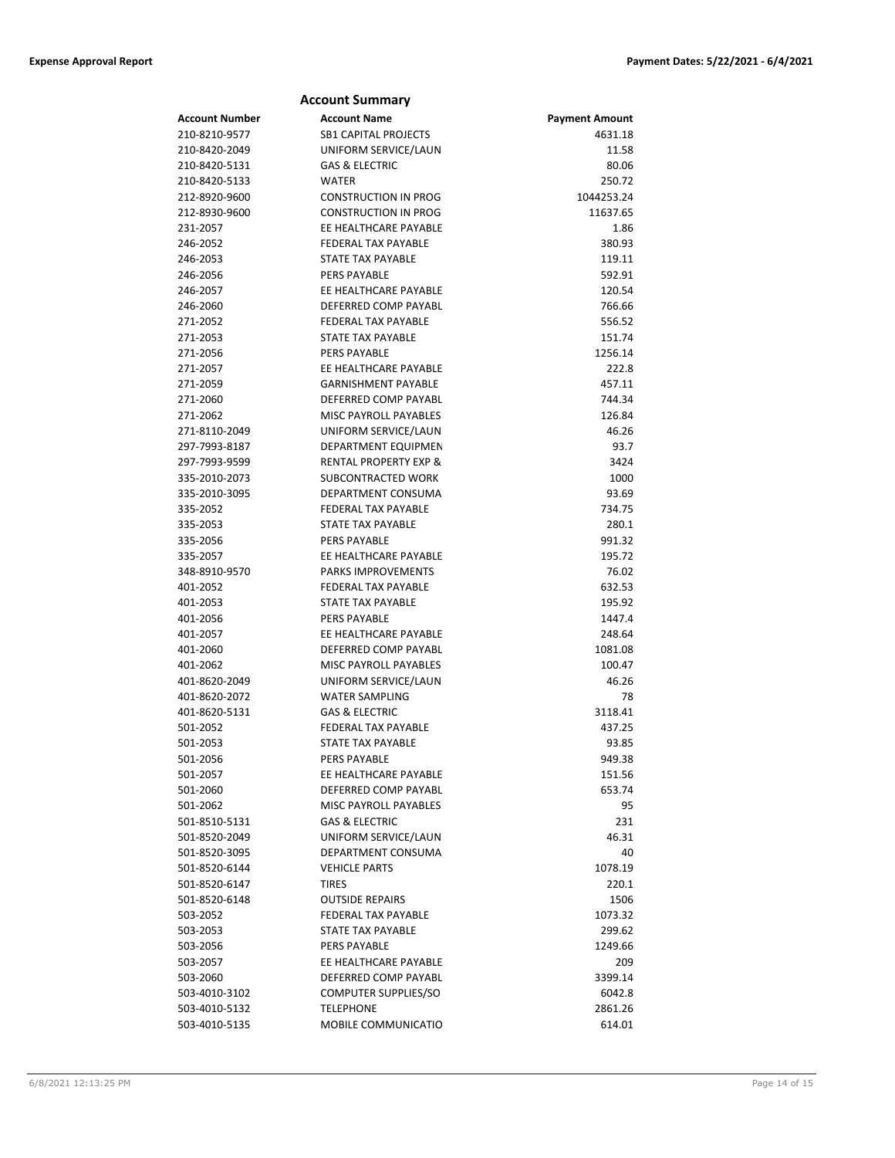|                       | <b>Account Summary</b>           |                       |
|-----------------------|----------------------------------|-----------------------|
| <b>Account Number</b> | <b>Account Name</b>              | <b>Payment Amount</b> |
| 210-8210-9577         | <b>SB1 CAPITAL PROJECTS</b>      | 4631.18               |
| 210-8420-2049         | UNIFORM SERVICE/LAUN             | 11.58                 |
| 210-8420-5131         | <b>GAS &amp; ELECTRIC</b>        | 80.06                 |
| 210-8420-5133         | <b>WATER</b>                     | 250.72                |
| 212-8920-9600         | <b>CONSTRUCTION IN PROG</b>      | 1044253.24            |
| 212-8930-9600         | <b>CONSTRUCTION IN PROG</b>      | 11637.65              |
| 231-2057              | EE HEALTHCARE PAYABLE            | 1.86                  |
| 246-2052              | <b>FEDERAL TAX PAYABLE</b>       | 380.93                |
| 246-2053              | <b>STATE TAX PAYABLE</b>         | 119.11                |
| 246-2056              | <b>PERS PAYABLE</b>              | 592.91                |
| 246-2057              | EE HEALTHCARE PAYABLE            | 120.54                |
| 246-2060              | DEFERRED COMP PAYABL             | 766.66                |
| 271-2052              | <b>FEDERAL TAX PAYABLE</b>       | 556.52                |
| 271-2053              | STATE TAX PAYABLE                | 151.74                |
| 271-2056              | <b>PERS PAYABLE</b>              | 1256.14               |
| 271-2057              | EE HEALTHCARE PAYABLE            | 222.8                 |
| 271-2059              | <b>GARNISHMENT PAYABLE</b>       | 457.11                |
| 271-2060              | DEFERRED COMP PAYABL             | 744.34                |
| 271-2062              | MISC PAYROLL PAYABLES            | 126.84                |
| 271-8110-2049         | UNIFORM SERVICE/LAUN             | 46.26                 |
| 297-7993-8187         | DEPARTMENT EQUIPMEN              | 93.7                  |
| 297-7993-9599         | <b>RENTAL PROPERTY EXP &amp;</b> | 3424                  |
| 335-2010-2073         | SUBCONTRACTED WORK               | 1000                  |
| 335-2010-3095         | DEPARTMENT CONSUMA               | 93.69                 |
| 335-2052              | <b>FEDERAL TAX PAYABLE</b>       | 734.75                |
| 335-2053              | STATE TAX PAYABLE                | 280.1                 |
| 335-2056              | <b>PERS PAYABLE</b>              | 991.32                |
| 335-2057              | EE HEALTHCARE PAYABLE            | 195.72                |
| 348-8910-9570         | <b>PARKS IMPROVEMENTS</b>        | 76.02                 |
| 401-2052              | <b>FEDERAL TAX PAYABLE</b>       | 632.53                |
| 401-2053              | STATE TAX PAYABLE                | 195.92                |
| 401-2056              | <b>PERS PAYABLE</b>              | 1447.4                |
| 401-2057              | EE HEALTHCARE PAYABLE            | 248.64                |
| 401-2060              | DEFERRED COMP PAYABL             | 1081.08               |
| 401-2062              | <b>MISC PAYROLL PAYABLES</b>     | 100.47                |
| 401-8620-2049         | UNIFORM SERVICE/LAUN             | 46.26                 |
| 401-8620-2072         | <b>WATER SAMPLING</b>            | 78                    |
| 401-8620-5131         | <b>GAS &amp; ELECTRIC</b>        | 3118.41               |
| 501-2052              | <b>FEDERAL TAX PAYABLE</b>       | 437.25                |
| 501-2053              | <b>STATE TAX PAYABLE</b>         | 93.85                 |
| 501-2056              | PERS PAYABLE                     | 949.38                |
| 501-2057              | EE HEALTHCARE PAYABLE            | 151.56                |
| 501-2060              | DEFERRED COMP PAYABL             | 653.74                |
| 501-2062              | MISC PAYROLL PAYABLES            | 95                    |
| 501-8510-5131         | <b>GAS &amp; ELECTRIC</b>        | 231                   |
| 501-8520-2049         | UNIFORM SERVICE/LAUN             | 46.31                 |
| 501-8520-3095         | DEPARTMENT CONSUMA               | 40                    |
| 501-8520-6144         | <b>VEHICLE PARTS</b>             | 1078.19               |
| 501-8520-6147         | <b>TIRES</b>                     | 220.1                 |
| 501-8520-6148         | <b>OUTSIDE REPAIRS</b>           | 1506                  |
| 503-2052              | FEDERAL TAX PAYABLE              | 1073.32               |
| 503-2053              | STATE TAX PAYABLE                | 299.62                |
| 503-2056              | <b>PERS PAYABLE</b>              | 1249.66               |
| 503-2057              | EE HEALTHCARE PAYABLE            | 209                   |
| 503-2060              | DEFERRED COMP PAYABL             | 3399.14               |
| 503-4010-3102         | COMPUTER SUPPLIES/SO             | 6042.8                |
| 503-4010-5132         | <b>TELEPHONE</b>                 | 2861.26               |
| 503-4010-5135         | MOBILE COMMUNICATIO              | 614.01                |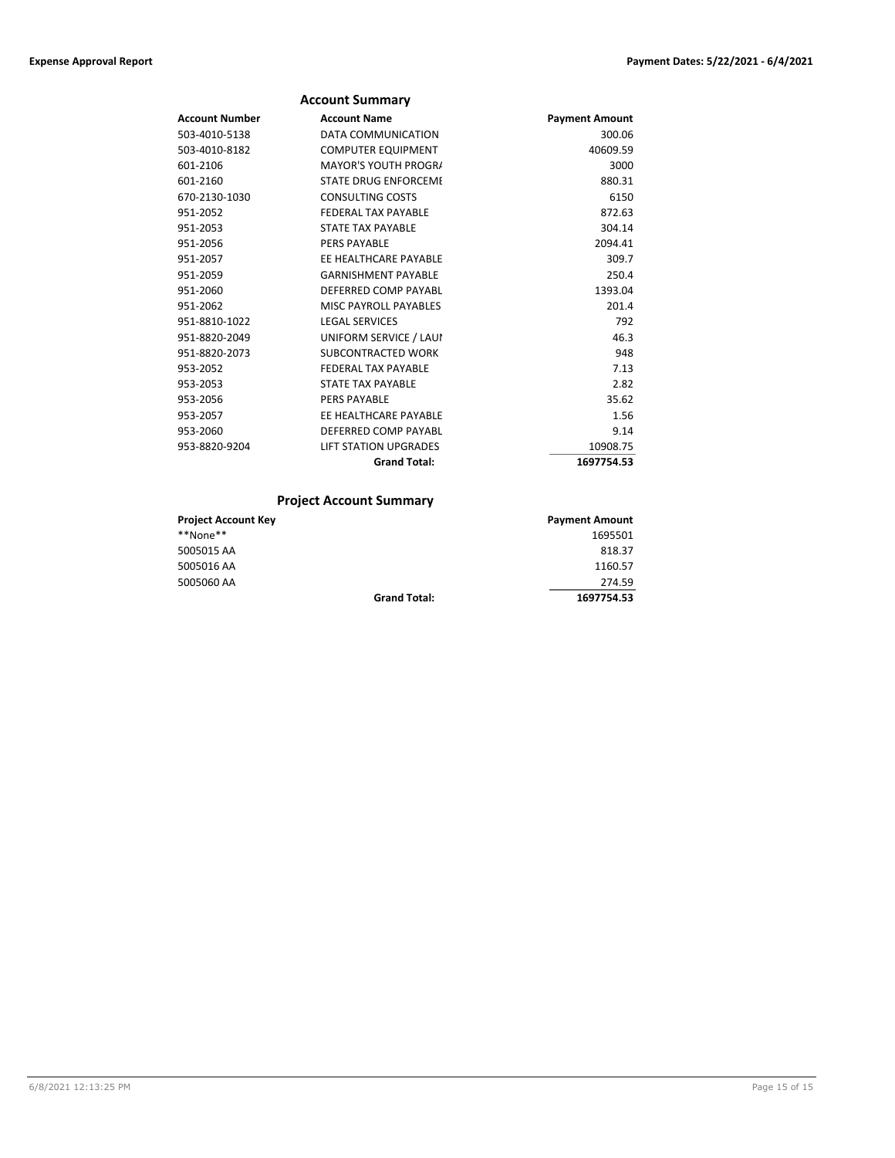### **Account Summary**

| <b>Account Number</b> | <b>Account Name</b>          | <b>Payment Amount</b> |
|-----------------------|------------------------------|-----------------------|
| 503-4010-5138         | DATA COMMUNICATION           | 300.06                |
| 503-4010-8182         | <b>COMPUTER EQUIPMENT</b>    | 40609.59              |
| 601-2106              | <b>MAYOR'S YOUTH PROGRA</b>  | 3000                  |
| 601-2160              | <b>STATE DRUG ENFORCEME</b>  | 880.31                |
| 670-2130-1030         | <b>CONSULTING COSTS</b>      | 6150                  |
| 951-2052              | FFDFRAI TAX PAYARIF          | 872.63                |
| 951-2053              | <b>STATE TAX PAYABLE</b>     | 304.14                |
| 951-2056              | <b>PERS PAYABLE</b>          | 2094.41               |
| 951-2057              | FF HFAITHCARF PAYARIF        | 309.7                 |
| 951-2059              | <b>GARNISHMENT PAYABLE</b>   | 250.4                 |
| 951-2060              | DEFERRED COMP PAYABL         | 1393.04               |
| 951-2062              | MISC PAYROLL PAYABLES        | 201.4                 |
| 951-8810-1022         | <b>LEGAL SERVICES</b>        | 792                   |
| 951-8820-2049         | UNIFORM SERVICE / LAUI       | 46.3                  |
| 951-8820-2073         | SUBCONTRACTED WORK           | 948                   |
| 953-2052              | <b>FEDERAL TAX PAYABLE</b>   | 7.13                  |
| 953-2053              | <b>STATE TAX PAYABLE</b>     | 2.82                  |
| 953-2056              | <b>PERS PAYABLE</b>          | 35.62                 |
| 953-2057              | EE HEALTHCARE PAYABLE        | 1.56                  |
| 953-2060              | DEFERRED COMP PAYABL         | 9.14                  |
| 953-8820-9204         | <b>LIFT STATION UPGRADES</b> | 10908.75              |
|                       | <b>Grand Total:</b>          | 1697754.53            |

# **Project Account Summary**

| <b>Project Account Key</b> |                     | <b>Payment Amount</b> |
|----------------------------|---------------------|-----------------------|
| **None**                   |                     | 1695501               |
| 5005015 AA                 |                     | 818.37                |
| 5005016 AA                 |                     | 1160.57               |
| 5005060 AA                 |                     | 274.59                |
|                            | <b>Grand Total:</b> | 1697754.53            |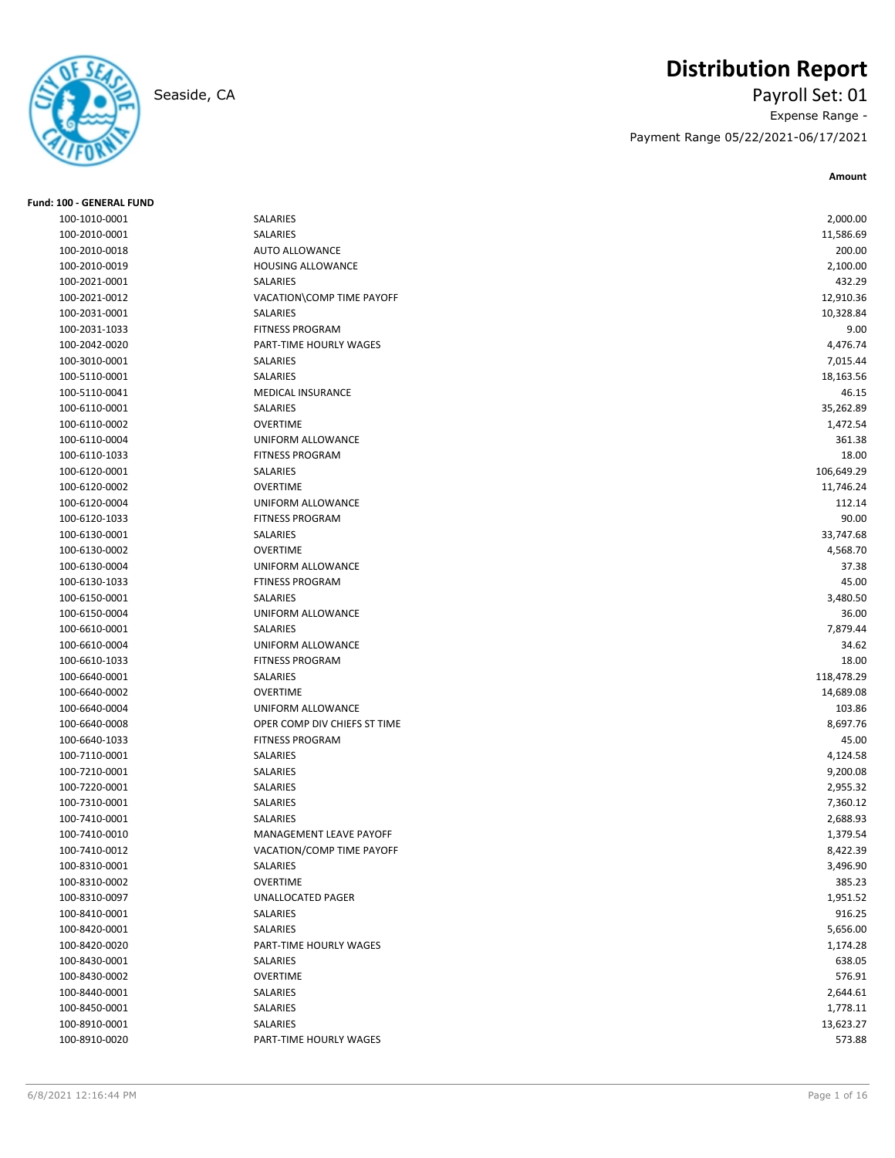

# **Distribution Report**

Seaside, CA Payroll Set: 01 Expense Range - Payment Range 05/22/2021-06/17/2021

| <b>Fund: 100 - GENERAL FUND</b> |                                |            |
|---------------------------------|--------------------------------|------------|
| 100-1010-0001                   | SALARIES                       | 2,000.00   |
| 100-2010-0001                   | SALARIES                       | 11,586.69  |
| 100-2010-0018                   | <b>AUTO ALLOWANCE</b>          | 200.00     |
| 100-2010-0019                   | HOUSING ALLOWANCE              | 2,100.00   |
| 100-2021-0001                   | SALARIES                       | 432.29     |
| 100-2021-0012                   | VACATION\COMP TIME PAYOFF      | 12,910.36  |
| 100-2031-0001                   | SALARIES                       | 10,328.84  |
| 100-2031-1033                   | <b>FITNESS PROGRAM</b>         | 9.00       |
| 100-2042-0020                   | PART-TIME HOURLY WAGES         | 4,476.74   |
| 100-3010-0001                   | SALARIES                       | 7,015.44   |
| 100-5110-0001                   | SALARIES                       | 18,163.56  |
| 100-5110-0041                   | <b>MEDICAL INSURANCE</b>       | 46.15      |
| 100-6110-0001                   | SALARIES                       | 35,262.89  |
| 100-6110-0002                   | <b>OVERTIME</b>                | 1,472.54   |
| 100-6110-0004                   | UNIFORM ALLOWANCE              | 361.38     |
| 100-6110-1033                   | <b>FITNESS PROGRAM</b>         | 18.00      |
| 100-6120-0001                   | SALARIES                       | 106,649.29 |
| 100-6120-0002                   | <b>OVERTIME</b>                | 11,746.24  |
| 100-6120-0004                   | UNIFORM ALLOWANCE              | 112.14     |
| 100-6120-1033                   | <b>FITNESS PROGRAM</b>         | 90.00      |
| 100-6130-0001                   | SALARIES                       | 33,747.68  |
| 100-6130-0002                   | <b>OVERTIME</b>                | 4,568.70   |
| 100-6130-0004                   | <b>UNIFORM ALLOWANCE</b>       | 37.38      |
| 100-6130-1033                   | <b>FTINESS PROGRAM</b>         | 45.00      |
| 100-6150-0001                   | <b>SALARIES</b>                | 3,480.50   |
| 100-6150-0004                   | <b>UNIFORM ALLOWANCE</b>       | 36.00      |
| 100-6610-0001                   | SALARIES                       | 7,879.44   |
| 100-6610-0004                   | UNIFORM ALLOWANCE              | 34.62      |
| 100-6610-1033                   | <b>FITNESS PROGRAM</b>         | 18.00      |
| 100-6640-0001                   | SALARIES                       | 118,478.29 |
| 100-6640-0002                   | <b>OVERTIME</b>                | 14,689.08  |
| 100-6640-0004                   | UNIFORM ALLOWANCE              | 103.86     |
| 100-6640-0008                   | OPER COMP DIV CHIEFS ST TIME   | 8,697.76   |
| 100-6640-1033                   | <b>FITNESS PROGRAM</b>         | 45.00      |
| 100-7110-0001                   | SALARIES                       | 4,124.58   |
| 100-7210-0001                   | SALARIES                       | 9,200.08   |
| 100-7220-0001                   | SALARIES                       | 2,955.32   |
| 100-7310-0001                   | SALARIES                       | 7,360.12   |
| 100-7410-0001                   | SALARIES                       | 2,688.93   |
| 100-7410-0010                   | <b>MANAGEMENT LEAVE PAYOFF</b> | 1,379.54   |
| 100-7410-0012                   | VACATION/COMP TIME PAYOFF      | 8,422.39   |
| 100-8310-0001                   | SALARIES                       | 3,496.90   |
| 100-8310-0002                   | <b>OVERTIME</b>                | 385.23     |
| 100-8310-0097                   | UNALLOCATED PAGER              | 1,951.52   |
| 100-8410-0001                   | SALARIES                       | 916.25     |
| 100-8420-0001                   | SALARIES                       | 5,656.00   |
| 100-8420-0020                   | PART-TIME HOURLY WAGES         | 1,174.28   |
| 100-8430-0001                   | SALARIES                       | 638.05     |
| 100-8430-0002                   | <b>OVERTIME</b>                | 576.91     |
| 100-8440-0001                   | SALARIES                       | 2,644.61   |
| 100-8450-0001                   | SALARIES                       | 1,778.11   |
| 100-8910-0001                   | SALARIES                       | 13,623.27  |
| 100-8910-0020                   | PART-TIME HOURLY WAGES         | 573.88     |
|                                 |                                |            |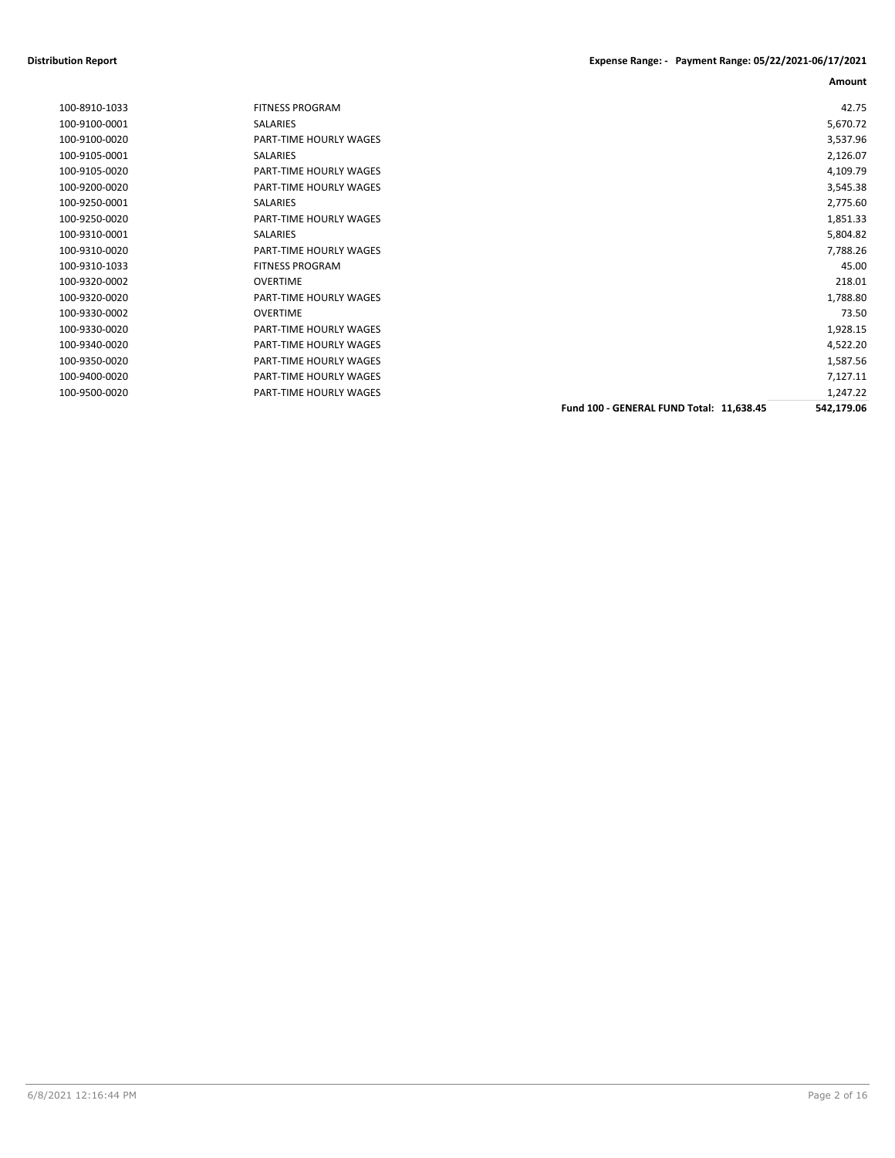| <b>FITNESS PROGRAM</b>        |                                          | 42.75      |
|-------------------------------|------------------------------------------|------------|
| SALARIES                      |                                          | 5,670.72   |
| PART-TIME HOURLY WAGES        |                                          | 3,537.96   |
| SALARIES                      |                                          | 2,126.07   |
| PART-TIME HOURLY WAGES        |                                          | 4,109.79   |
| PART-TIME HOURLY WAGES        |                                          | 3,545.38   |
| <b>SALARIES</b>               |                                          | 2,775.60   |
| <b>PART-TIME HOURLY WAGES</b> |                                          | 1,851.33   |
| SALARIES                      |                                          | 5,804.82   |
| <b>PART-TIME HOURLY WAGES</b> |                                          | 7,788.26   |
| <b>FITNESS PROGRAM</b>        |                                          | 45.00      |
| <b>OVERTIME</b>               |                                          | 218.01     |
| PART-TIME HOURLY WAGES        |                                          | 1,788.80   |
| OVERTIME                      |                                          | 73.50      |
| <b>PART-TIME HOURLY WAGES</b> |                                          | 1,928.15   |
| PART-TIME HOURLY WAGES        |                                          | 4,522.20   |
| <b>PART-TIME HOURLY WAGES</b> |                                          | 1,587.56   |
| PART-TIME HOURLY WAGES        |                                          | 7,127.11   |
| PART-TIME HOURLY WAGES        |                                          | 1,247.22   |
|                               | Fund 100 - GENERAL FUND Total: 11,638.45 | 542,179.06 |
|                               |                                          |            |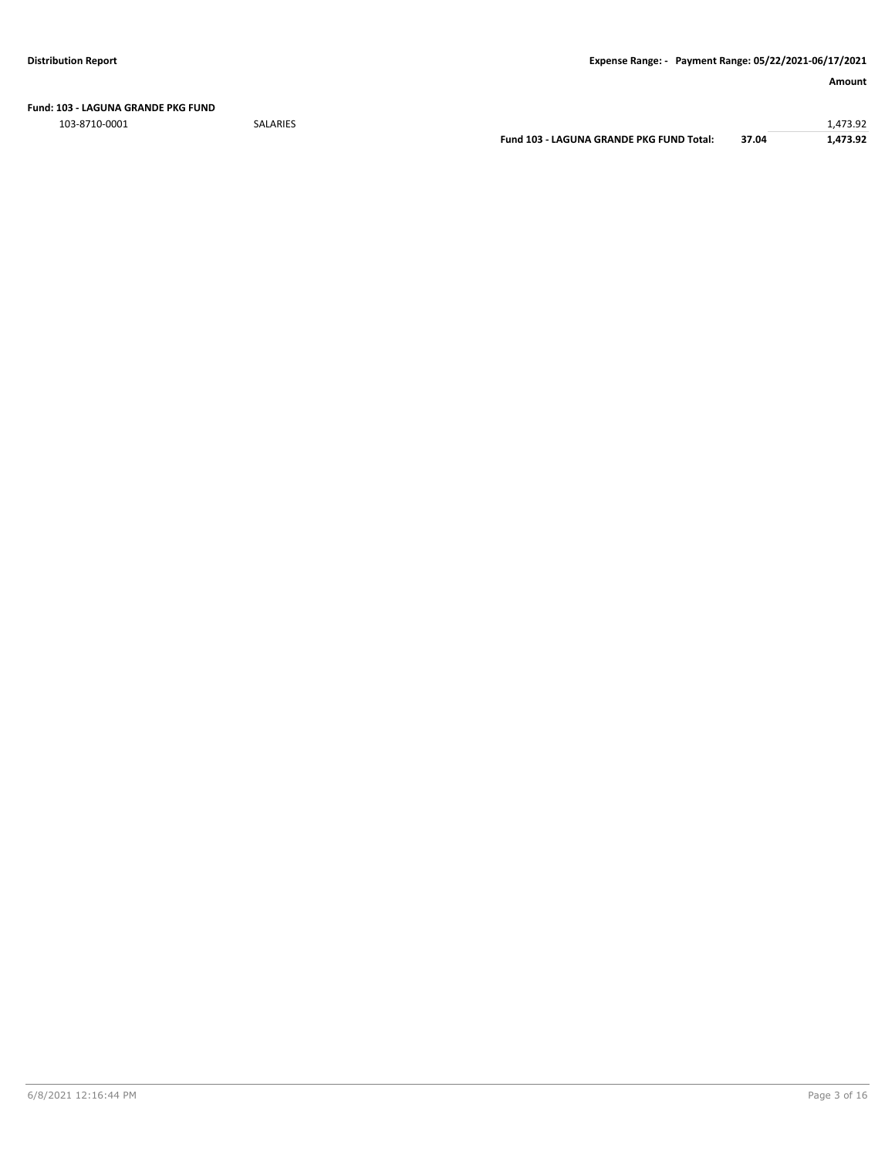**Fund: 103 - LAGUNA GRANDE PKG FUND**

103-8710-0001 SALARIES 1,473.92 **Fund 103 - LAGUNA GRANDE PKG FUND Total: 37.04 1,473.92**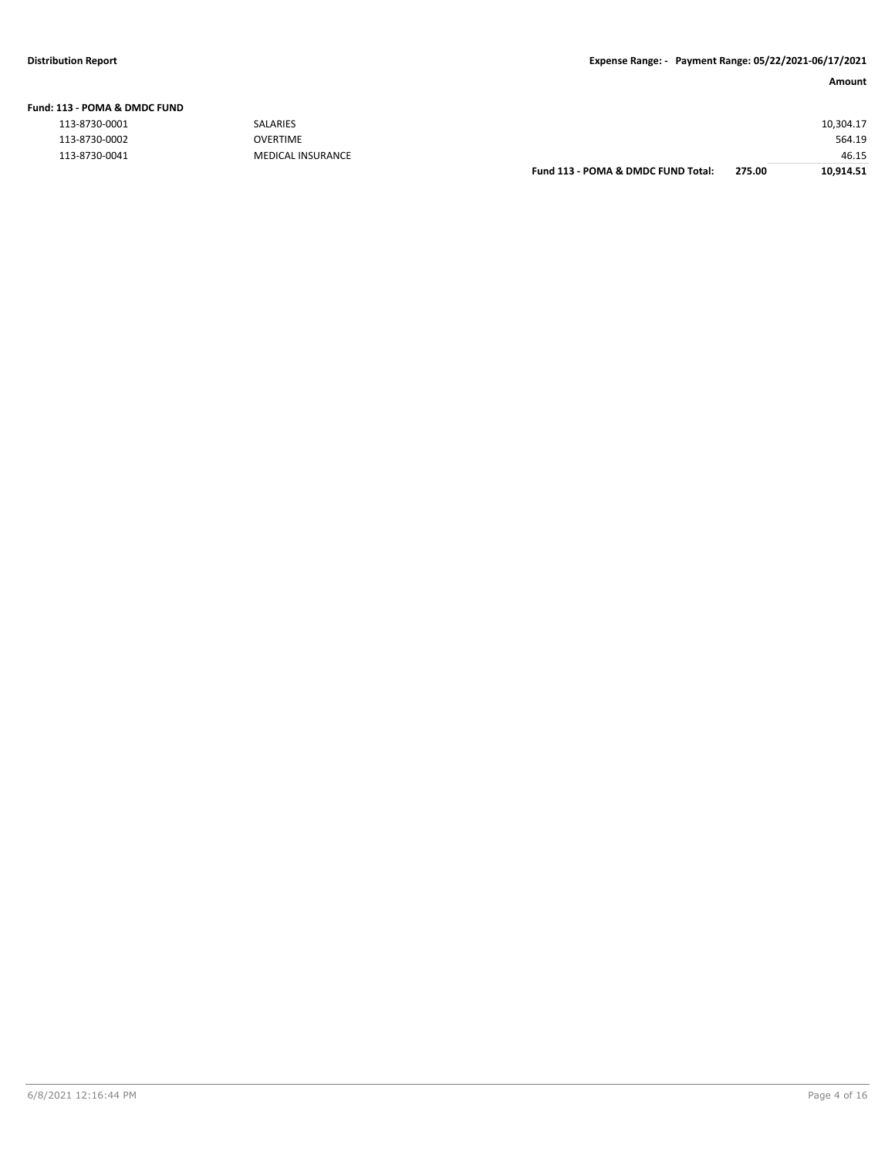**Fund: 113 - POMA & DMDC FUND**

| <b>113 - POMA &amp; DMDC FUND</b> |                          |
|-----------------------------------|--------------------------|
| 113-8730-0001                     | SALARIES                 |
| 113-8730-0002                     | OVERTIME                 |
| 113-8730-0041                     | <b>MEDICAL INSURANCE</b> |

|               |                          | Fund 113 - POMA & DMDC FUND Total: | 275.00 | 10.914.51 |
|---------------|--------------------------|------------------------------------|--------|-----------|
| 113-8730-0041 | <b>MEDICAL INSURANCE</b> |                                    |        | 46.15     |
| 113-8730-0002 | <b>OVERTIME</b>          |                                    |        | 564.19    |
| 113-8730-0001 | <b>SALARIES</b>          |                                    |        | 10,304.17 |
|               |                          |                                    |        |           |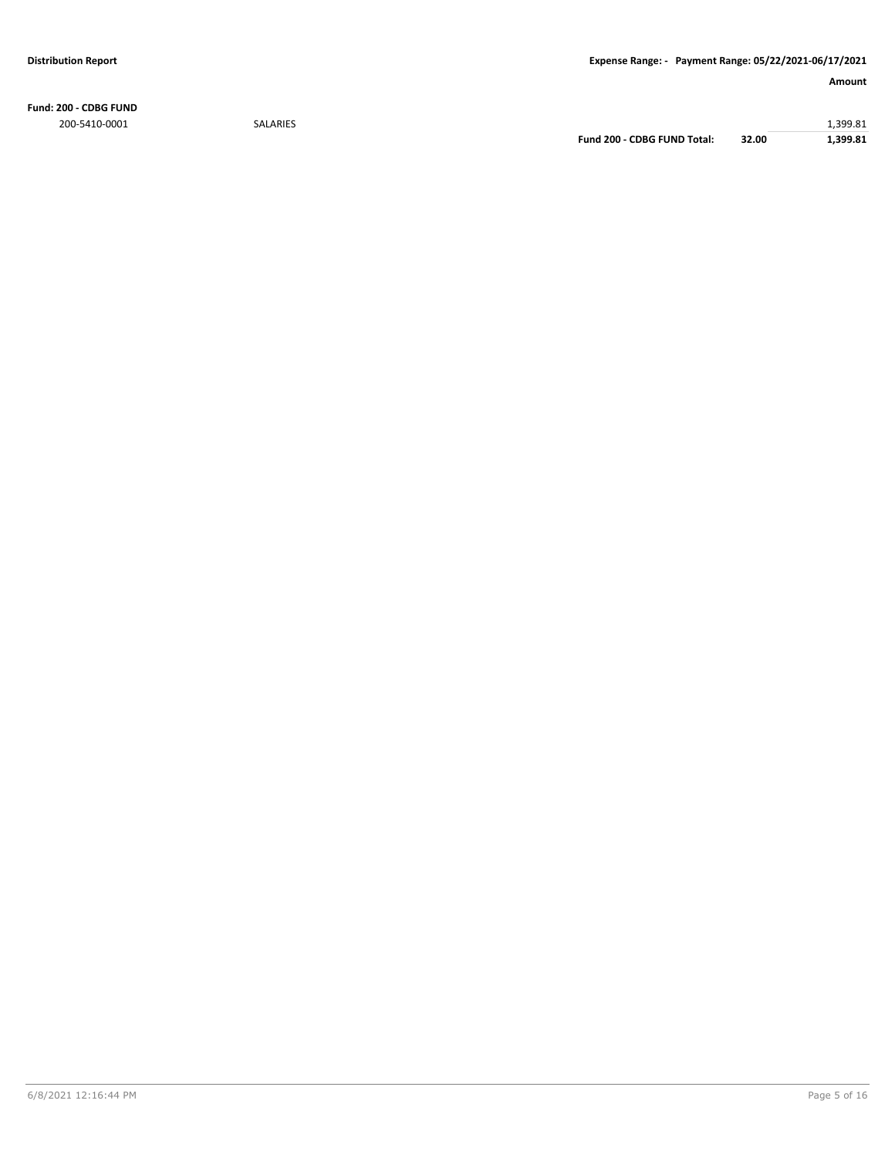**Fund: 200 - CDBG FUND** 200-5410-0001 SALARIES 1,399.81

**Fund 200 - CDBG FUND Total: 32.00 1,399.81**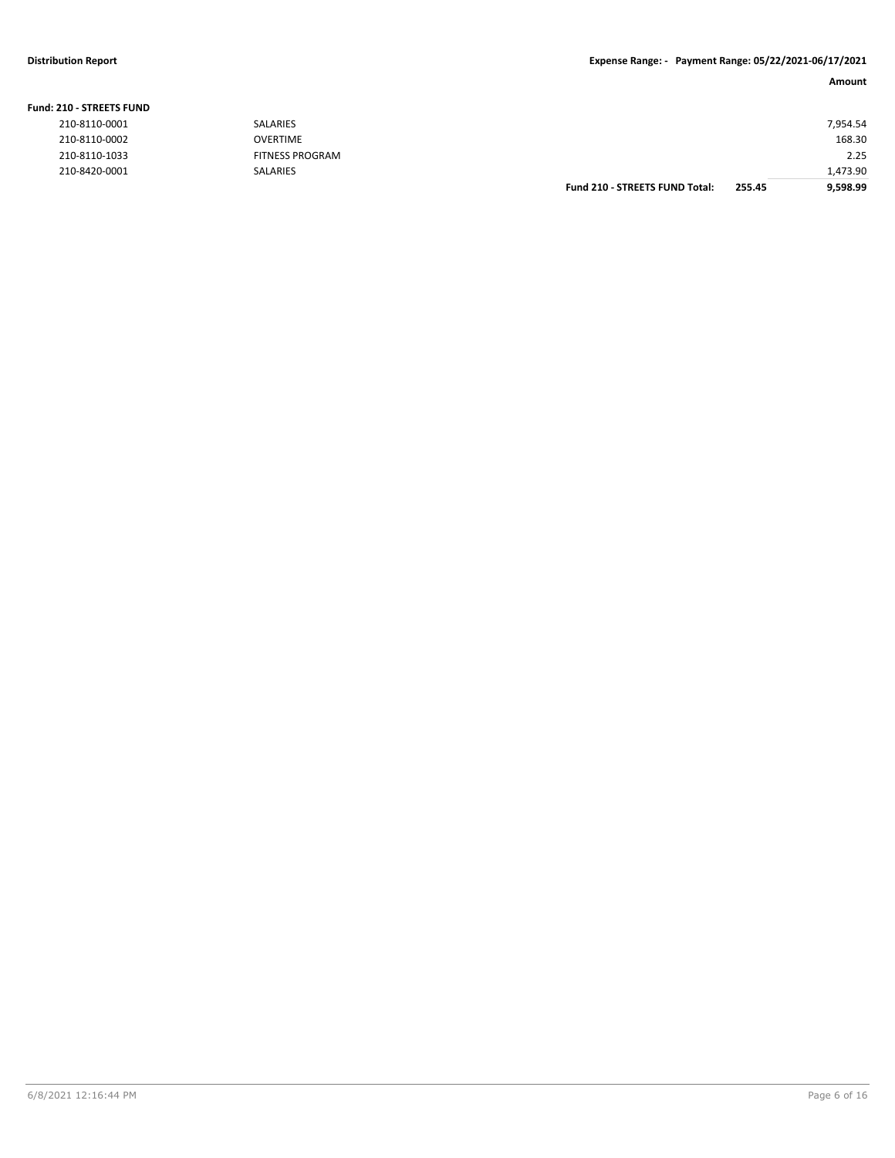### **Distribution Report Expense Range: - Payment Range: 05/22/2021-06/17/2021**

| . .<br>×<br>×<br>v<br>×<br>۰ |  |
|------------------------------|--|
|------------------------------|--|

| <b>210 - STREETS FUND</b> |                        |                                       |        |          |  |
|---------------------------|------------------------|---------------------------------------|--------|----------|--|
| 210-8110-0001             | <b>SALARIES</b>        |                                       |        | 7,954.54 |  |
| 210-8110-0002             | <b>OVERTIME</b>        |                                       |        | 168.30   |  |
| 210-8110-1033             | <b>FITNESS PROGRAM</b> |                                       |        | 2.25     |  |
| 210-8420-0001             | <b>SALARIES</b>        |                                       |        | 1,473.90 |  |
|                           |                        | <b>Fund 210 - STREETS FUND Total:</b> | 255.45 | 9,598.99 |  |
|                           |                        |                                       |        |          |  |

|  | <b>Fund: 210 - STREETS FUND</b> |
|--|---------------------------------|
|--|---------------------------------|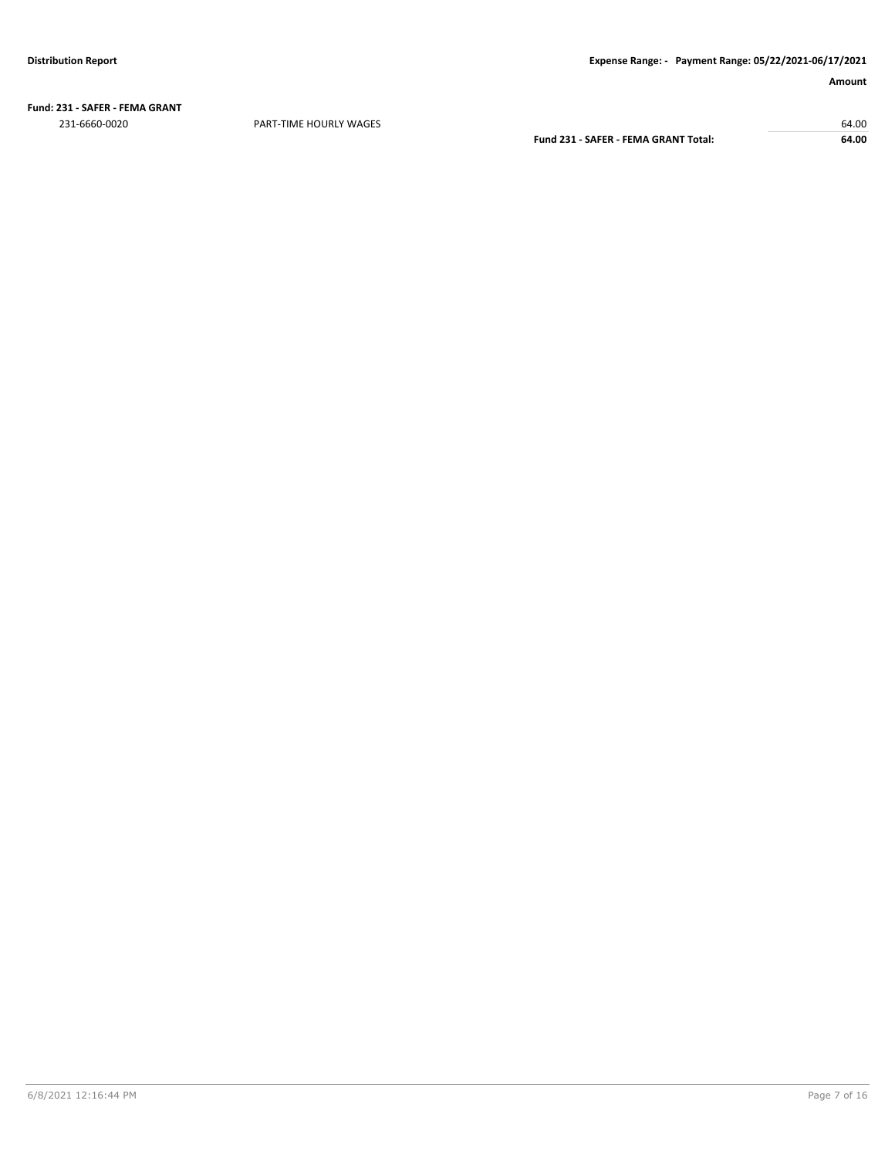**Fund: 231 - SAFER - FEMA GRANT** 231-6660-0020 PART-TIME HOURLY WAGES 64.00

**Fund 231 - SAFER - FEMA GRANT Total: 64.00**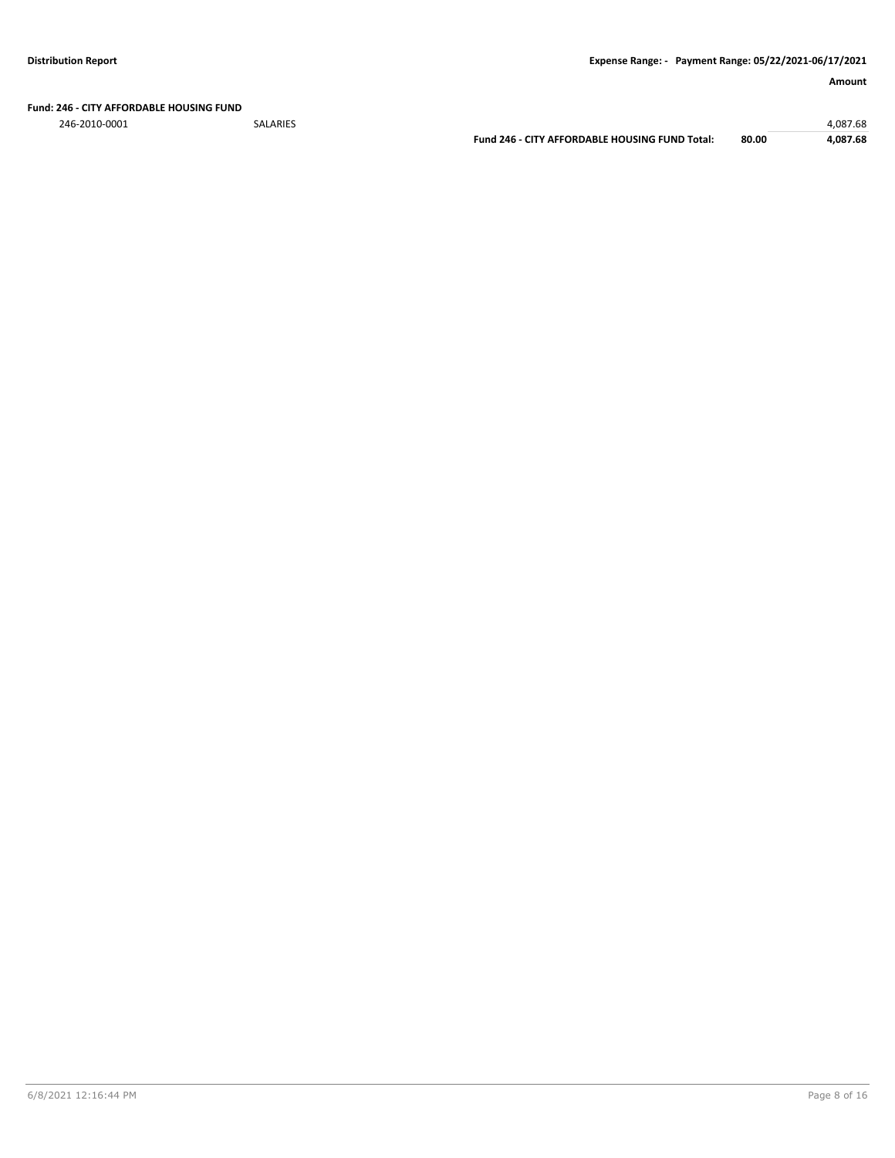**Fund: 246 - CITY AFFORDABLE HOUSING FUND**

246-2010-0001 SALARIES 4,087.68

**Fund 246 - CITY AFFORDABLE HOUSING FUND Total: 80.00 4,087.68**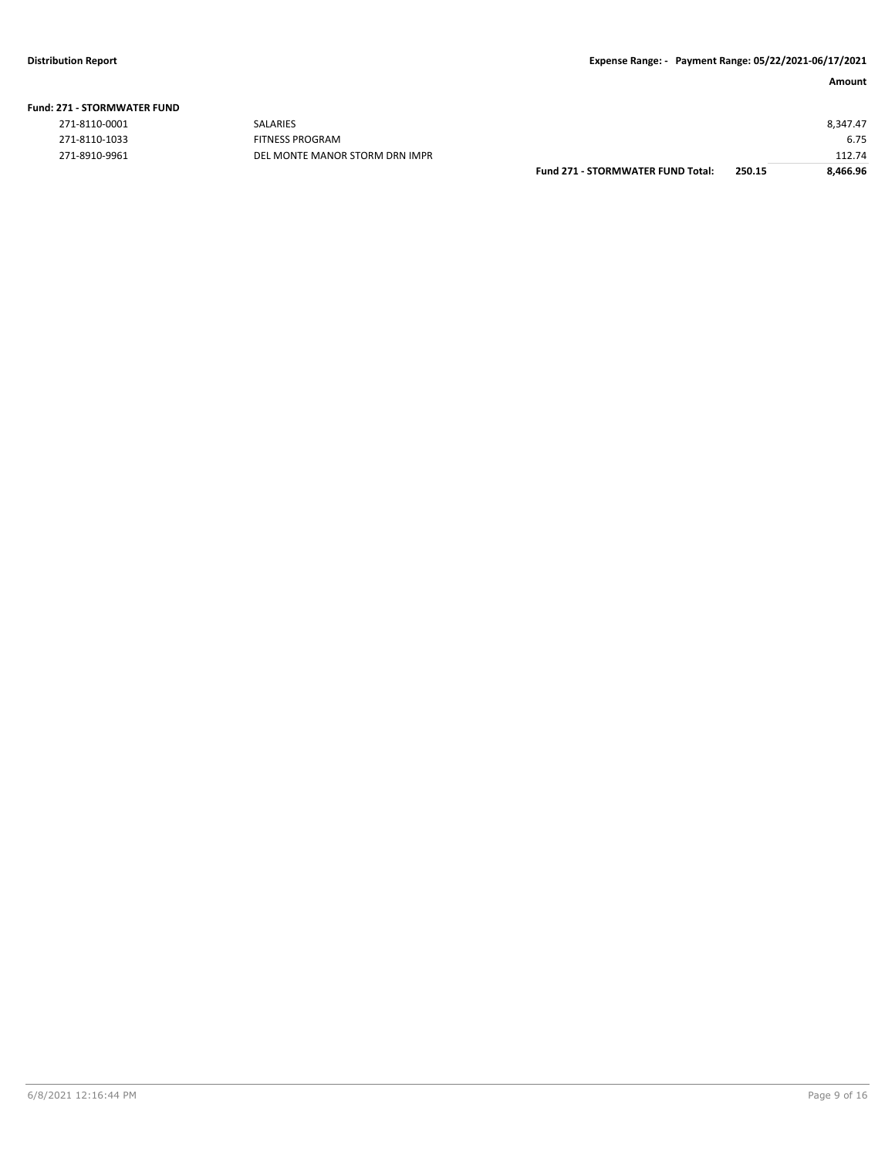|  |  |  | <b>Fund: 271 - STORMWATER FUND</b> |  |
|--|--|--|------------------------------------|--|
|--|--|--|------------------------------------|--|

| 271-8110-0001 |
|---------------|
| 271-8110-1033 |
| 271-8910-9961 |

|               | <b>Fund 271 - STORMWATER FUND Total:</b> | 250.15 | 8,466.96 |
|---------------|------------------------------------------|--------|----------|
| 271-8910-9961 | DEL MONTE MANOR STORM DRN IMPR           |        | 112.74   |
| 271-8110-1033 | FITNESS PROGRAM                          |        | 6.75     |
| 271-8110-0001 | <b>SALARIES</b>                          |        | 8.347.47 |
|               |                                          |        |          |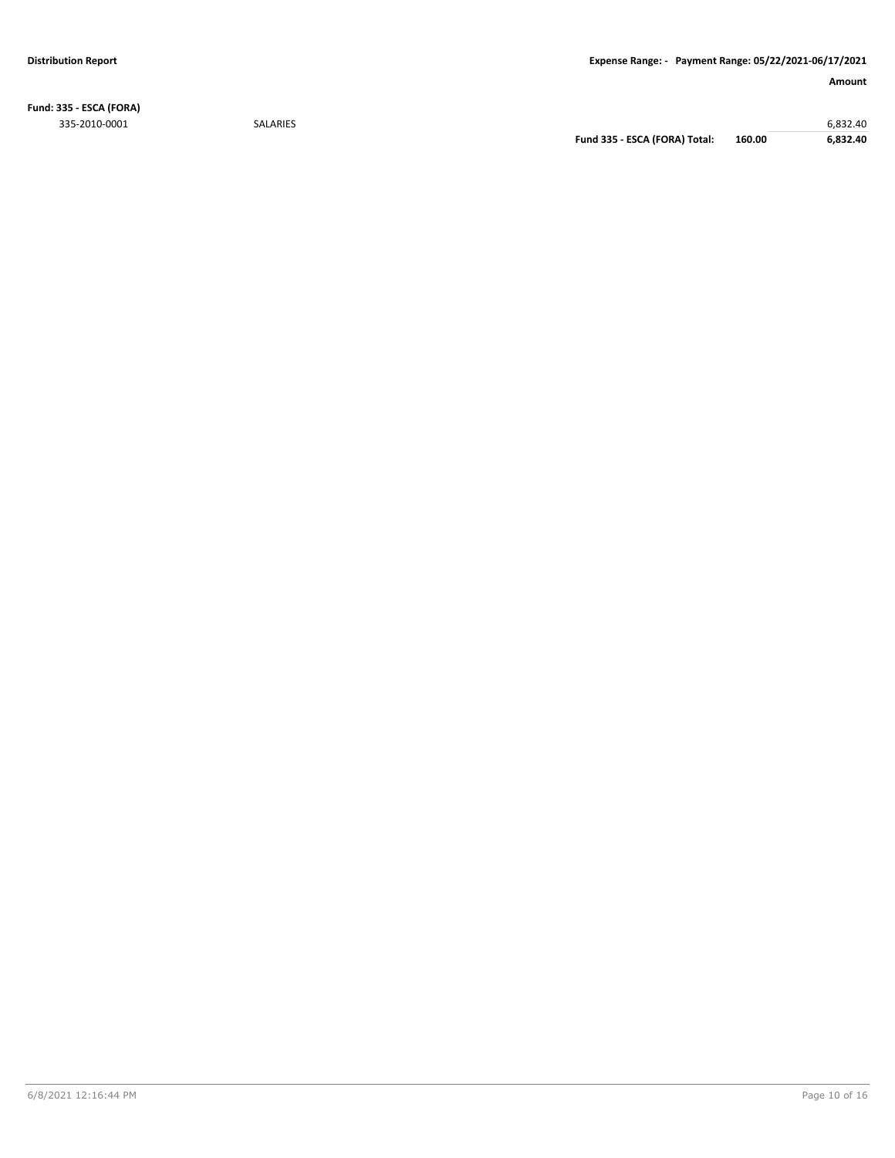**Fund: 335 - ESCA (FORA)** 335-2010-0001 SALARIES 6,832.40

**Fund 335 - ESCA (FORA) Total: 160.00 6,832.40**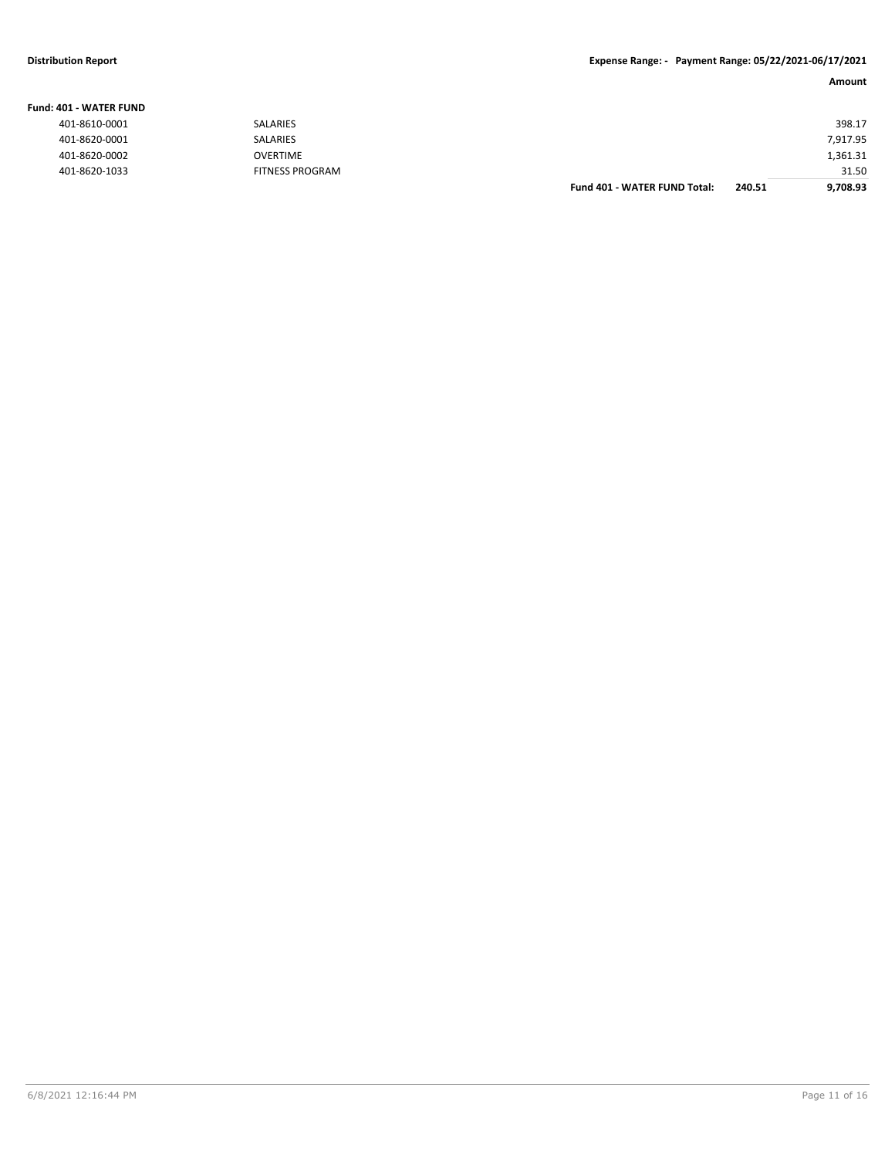**Fund: 401 - WATER FUND**

### **Distribution Report Expense Range: - Payment Range: 05/22/2021-06/17/2021**

| <b>IO1 - WATER FUND</b> |                        |                                     |        |          |
|-------------------------|------------------------|-------------------------------------|--------|----------|
| 401-8610-0001           | SALARIES               |                                     |        | 398.17   |
| 401-8620-0001           | SALARIES               |                                     |        | 7,917.95 |
| 401-8620-0002           | OVERTIME               |                                     |        | 1,361.31 |
| 401-8620-1033           | <b>FITNESS PROGRAM</b> |                                     |        | 31.50    |
|                         |                        | <b>Fund 401 - WATER FUND Total:</b> | 240.51 | 9.708.93 |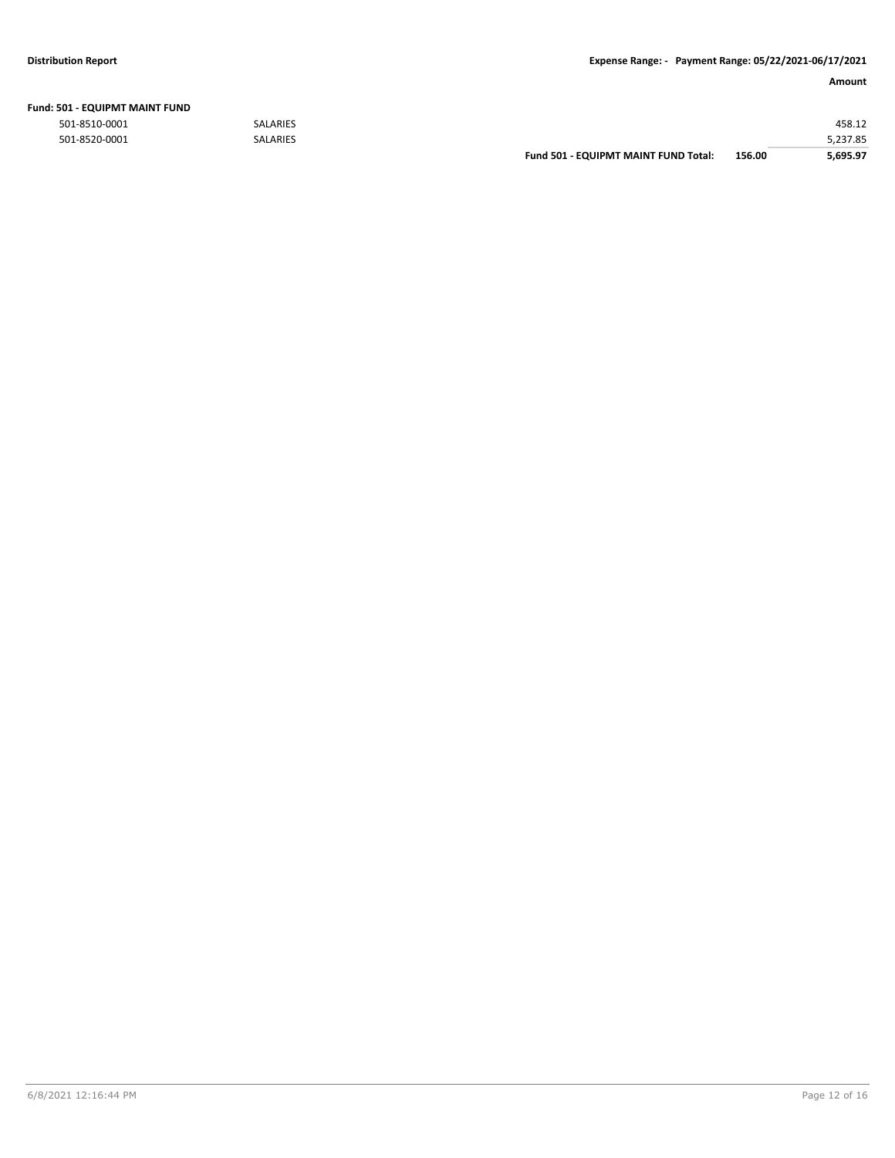|  | Fund: 501 - EQUIPMT MAINT FUND |  |
|--|--------------------------------|--|
|  |                                |  |

|               |                 | Fund 501 - EQUIPMT MAINT FUND Total: | 156.00 | 5.695.97 |
|---------------|-----------------|--------------------------------------|--------|----------|
| 501-8520-0001 | SALARIES        |                                      |        | 5,237.85 |
| 501-8510-0001 | <b>SALARIES</b> |                                      |        | 458.12   |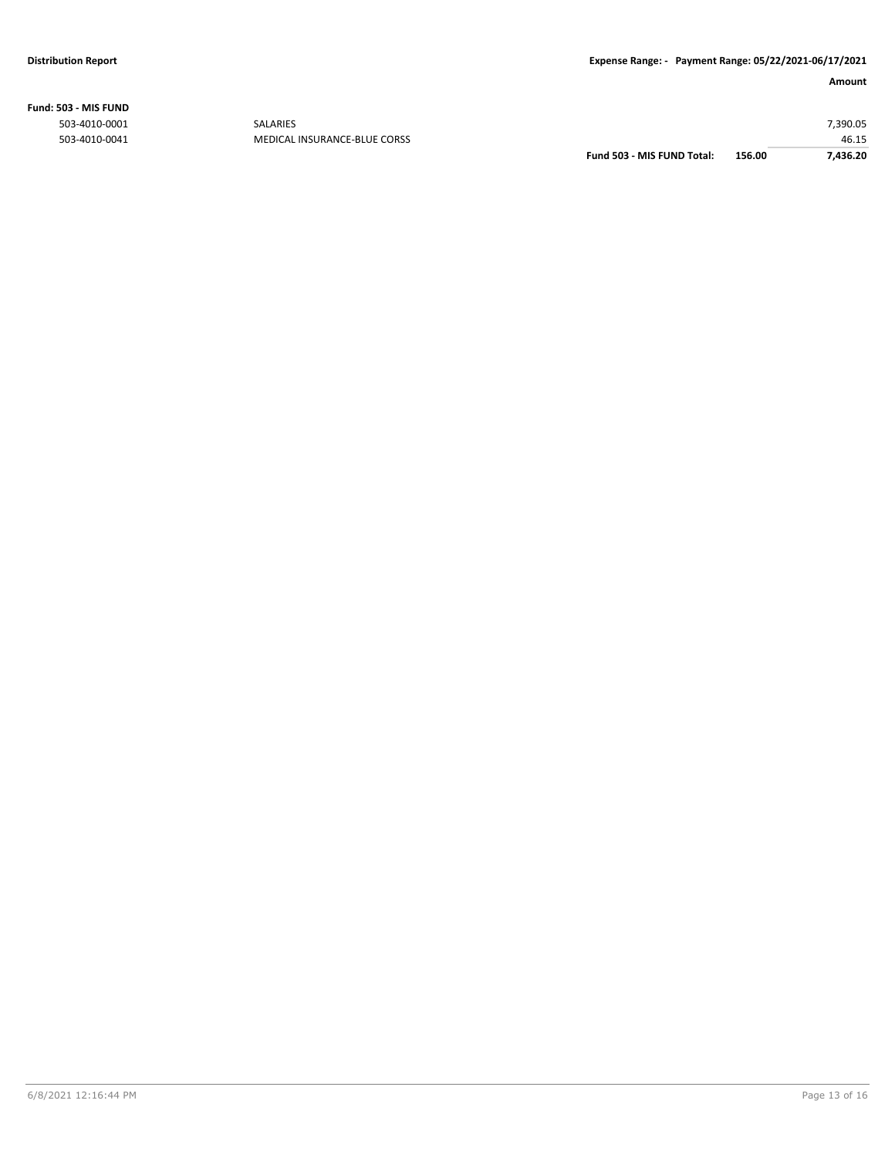**Fund: 503 - MIS FUND**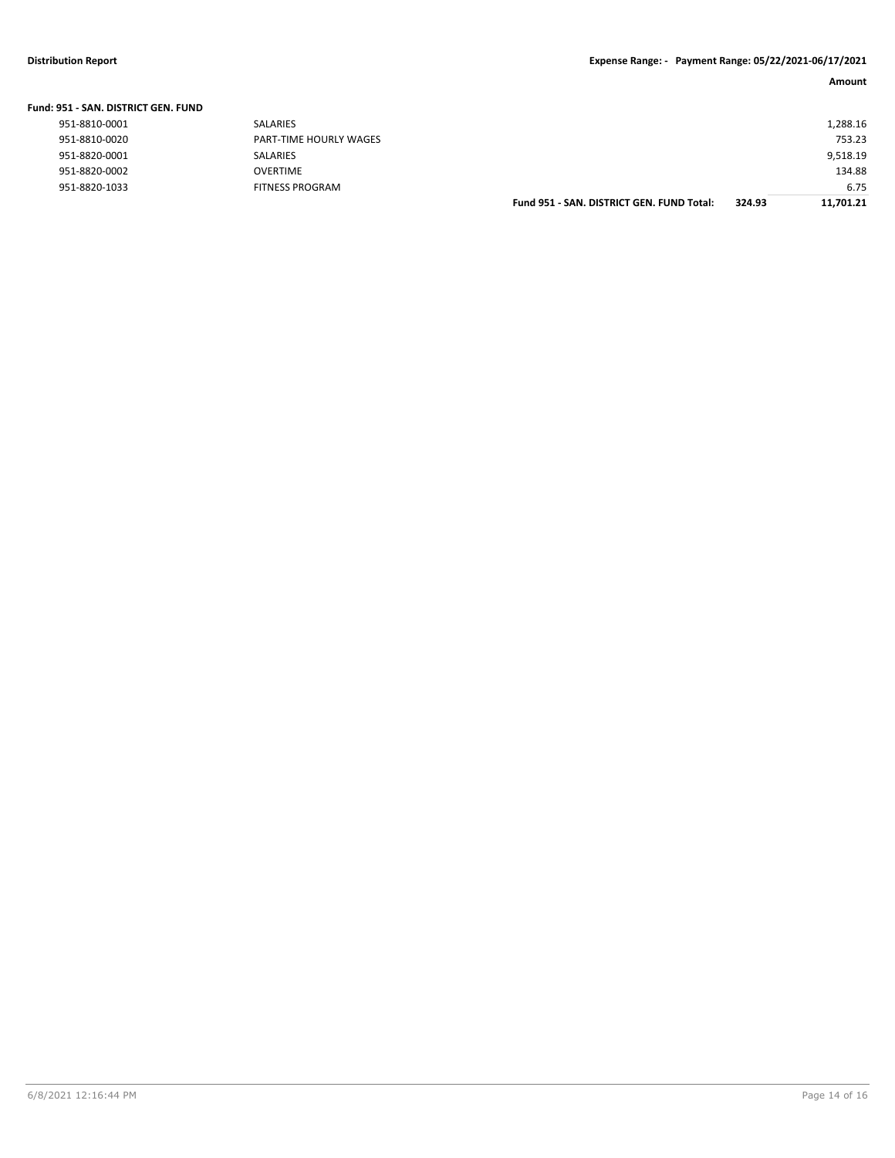| <b>Fund: 951 - SAN, DISTRICT GEN, FUND</b> |                        |                                           |        |           |
|--------------------------------------------|------------------------|-------------------------------------------|--------|-----------|
| 951-8810-0001                              | SALARIES               |                                           |        | 1,288.16  |
| 951-8810-0020                              | PART-TIME HOURLY WAGES |                                           |        | 753.23    |
| 951-8820-0001                              | SALARIES               |                                           |        | 9,518.19  |
| 951-8820-0002                              | <b>OVERTIME</b>        |                                           |        | 134.88    |
| 951-8820-1033                              | <b>FITNESS PROGRAM</b> |                                           |        | 6.75      |
|                                            |                        | Fund 951 - SAN, DISTRICT GEN, FUND Total: | 324.93 | 11,701.21 |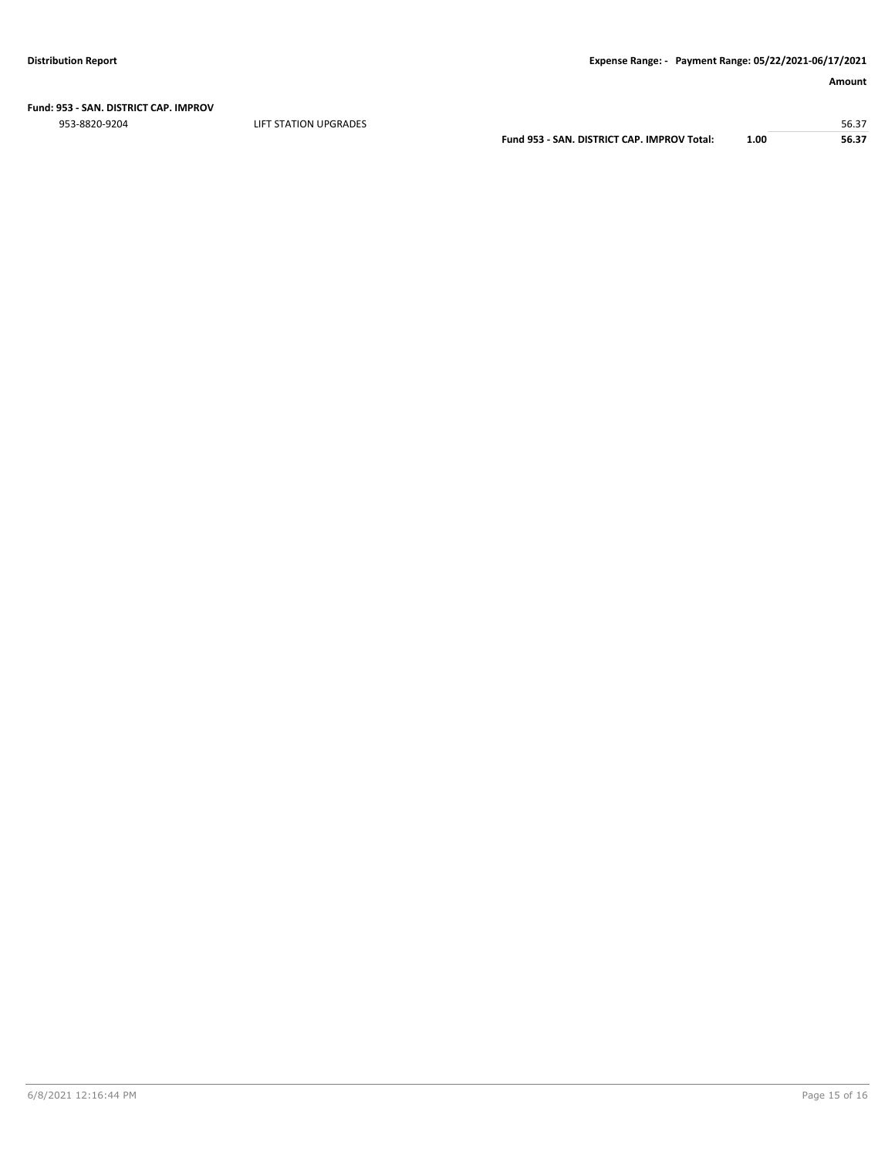**Fund: 953 - SAN. DISTRICT CAP. IMPROV**

er in the station of the station of the station of the station of the station of the station of the station of the station of the station of the station of the station of the station of the station of the station of the st

**Fund 953 - SAN. DISTRICT CAP. IMPROV Total: 1.00 56.37**